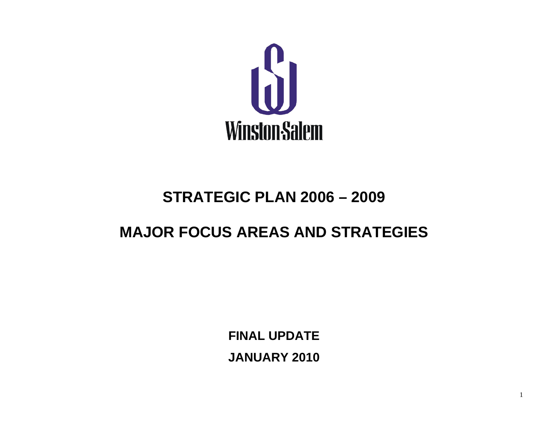

# **STRATEGIC PLAN 2006 – 2009**

# **MAJOR FOCUS AREAS AND STRATEGIES**

**FINAL UPDATE JANUARY 2010**

1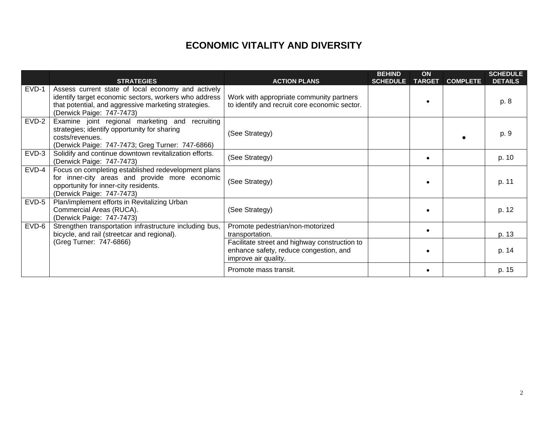## **ECONOMIC VITALITY AND DIVERSITY**

|         | <b>STRATEGIES</b>                                                                                                                                                                                | <b>ACTION PLANS</b>                                                                                             | <b>BEHIND</b><br><b>SCHEDULE</b> | ON<br><b>TARGET</b> | <b>COMPLETE</b> | <b>SCHEDULE</b><br><b>DETAILS</b> |
|---------|--------------------------------------------------------------------------------------------------------------------------------------------------------------------------------------------------|-----------------------------------------------------------------------------------------------------------------|----------------------------------|---------------------|-----------------|-----------------------------------|
| $EVD-1$ | Assess current state of local economy and actively<br>identify target economic sectors, workers who address<br>that potential, and aggressive marketing strategies.<br>(Derwick Paige: 747-7473) | Work with appropriate community partners<br>to identify and recruit core economic sector.                       |                                  |                     |                 | p. 8                              |
| $EVD-2$ | Examine joint regional marketing and recruiting<br>strategies; identify opportunity for sharing<br>costs/revenues.<br>(Derwick Paige: 747-7473; Greg Turner: 747-6866)                           | (See Strategy)                                                                                                  |                                  |                     |                 | p. 9                              |
| $EVD-3$ | Solidify and continue downtown revitalization efforts.<br>(Derwick Paige: 747-7473)                                                                                                              | (See Strategy)                                                                                                  |                                  |                     |                 | p. 10                             |
| $EVD-4$ | Focus on completing established redevelopment plans<br>for inner-city areas and provide more economic<br>opportunity for inner-city residents.<br>(Derwick Paige: 747-7473)                      | (See Strategy)                                                                                                  |                                  |                     |                 | p. 11                             |
| $EVD-5$ | Plan/implement efforts in Revitalizing Urban<br>Commercial Areas (RUCA).<br>(Derwick Paige: 747-7473)                                                                                            | (See Strategy)                                                                                                  |                                  |                     |                 | p. 12                             |
| $EVD-6$ | Strengthen transportation infrastructure including bus,<br>bicycle, and rail (streetcar and regional).                                                                                           | Promote pedestrian/non-motorized<br>transportation.                                                             |                                  |                     |                 | p. 13                             |
|         | (Greg Turner: 747-6866)                                                                                                                                                                          | Facilitate street and highway construction to<br>enhance safety, reduce congestion, and<br>improve air quality. |                                  |                     |                 | p. 14                             |
|         |                                                                                                                                                                                                  | Promote mass transit.                                                                                           |                                  |                     |                 | p. 15                             |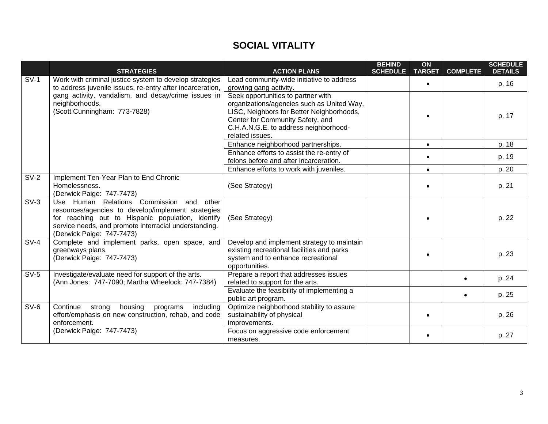# **SOCIAL VITALITY**

|        | <b>STRATEGIES</b>                                                                                                                                                                                                                               | <b>ACTION PLANS</b>                                                                                                                                                                                                           | <b>BEHIND</b><br><b>SCHEDULE</b> | ON<br><b>TARGET</b> | <b>COMPLETE</b> | <b>SCHEDULE</b><br><b>DETAILS</b> |
|--------|-------------------------------------------------------------------------------------------------------------------------------------------------------------------------------------------------------------------------------------------------|-------------------------------------------------------------------------------------------------------------------------------------------------------------------------------------------------------------------------------|----------------------------------|---------------------|-----------------|-----------------------------------|
| $SV-1$ | Work with criminal justice system to develop strategies<br>to address juvenile issues, re-entry after incarceration,                                                                                                                            | Lead community-wide initiative to address<br>growing gang activity.                                                                                                                                                           |                                  | $\bullet$           |                 | p. 16                             |
|        | gang activity, vandalism, and decay/crime issues in<br>neighborhoods.<br>(Scott Cunningham: 773-7828)                                                                                                                                           | Seek opportunities to partner with<br>organizations/agencies such as United Way,<br>LISC, Neighbors for Better Neighborhoods,<br>Center for Community Safety, and<br>C.H.A.N.G.E. to address neighborhood-<br>related issues. |                                  |                     |                 | p. 17                             |
|        |                                                                                                                                                                                                                                                 | Enhance neighborhood partnerships.                                                                                                                                                                                            |                                  | $\bullet$           |                 | p. 18                             |
|        |                                                                                                                                                                                                                                                 | Enhance efforts to assist the re-entry of<br>felons before and after incarceration.                                                                                                                                           |                                  | $\bullet$           |                 | p. 19                             |
|        |                                                                                                                                                                                                                                                 | Enhance efforts to work with juveniles.                                                                                                                                                                                       |                                  | $\bullet$           |                 | p. 20                             |
| $SV-2$ | Implement Ten-Year Plan to End Chronic<br>Homelessness.<br>(Derwick Paige: 747-7473)                                                                                                                                                            | (See Strategy)                                                                                                                                                                                                                |                                  |                     |                 | p. 21                             |
| $SV-3$ | Use Human Relations Commission<br>and<br>other<br>resources/agencies to develop/implement strategies<br>for reaching out to Hispanic population, identify<br>service needs, and promote interracial understanding.<br>(Derwick Paige: 747-7473) | (See Strategy)                                                                                                                                                                                                                |                                  |                     |                 | p. 22                             |
| $SV-4$ | Complete and implement parks, open space, and<br>greenways plans.<br>(Derwick Paige: 747-7473)                                                                                                                                                  | Develop and implement strategy to maintain<br>existing recreational facilities and parks<br>system and to enhance recreational<br>opportunities.                                                                              |                                  |                     |                 | p. 23                             |
| $SV-5$ | Investigate/evaluate need for support of the arts.<br>(Ann Jones: 747-7090; Martha Wheelock: 747-7384)                                                                                                                                          | Prepare a report that addresses issues<br>related to support for the arts.                                                                                                                                                    |                                  |                     | $\bullet$       | p. 24                             |
|        |                                                                                                                                                                                                                                                 | Evaluate the feasibility of implementing a<br>public art program.                                                                                                                                                             |                                  |                     | $\bullet$       | p. 25                             |
| $SV-6$ | Continue<br>housing<br>including<br>strong<br>programs<br>effort/emphasis on new construction, rehab, and code<br>enforcement.                                                                                                                  | Optimize neighborhood stability to assure<br>sustainability of physical<br>improvements.                                                                                                                                      |                                  |                     |                 | p. 26                             |
|        | (Derwick Paige: 747-7473)                                                                                                                                                                                                                       | Focus on aggressive code enforcement<br>measures.                                                                                                                                                                             |                                  |                     |                 | p. 27                             |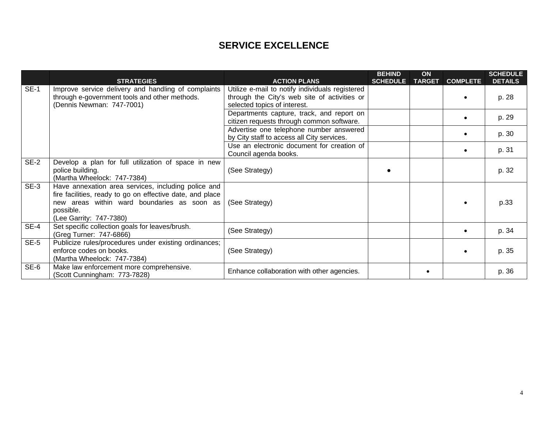#### **SERVICE EXCELLENCE**

|             | <b>STRATEGIES</b>                                                                                                                                                                                       | <b>ACTION PLANS</b>                                                                                                             | <b>BEHIND</b><br><b>SCHEDULE</b> | ON<br><b>TARGET</b> | <b>COMPLETE</b> | <b>SCHEDULE</b><br><b>DETAILS</b> |
|-------------|---------------------------------------------------------------------------------------------------------------------------------------------------------------------------------------------------------|---------------------------------------------------------------------------------------------------------------------------------|----------------------------------|---------------------|-----------------|-----------------------------------|
| <b>SE-1</b> | Improve service delivery and handling of complaints<br>through e-government tools and other methods.<br>(Dennis Newman: 747-7001)                                                                       | Utilize e-mail to notify individuals registered<br>through the City's web site of activities or<br>selected topics of interest. |                                  |                     | $\bullet$       | p. 28                             |
|             |                                                                                                                                                                                                         | Departments capture, track, and report on<br>citizen requests through common software.                                          |                                  |                     | $\bullet$       | p. 29                             |
|             |                                                                                                                                                                                                         | Advertise one telephone number answered<br>by City staff to access all City services.                                           |                                  |                     | $\bullet$       | p. 30                             |
|             |                                                                                                                                                                                                         | Use an electronic document for creation of<br>Council agenda books.                                                             |                                  |                     | $\bullet$       | p. 31                             |
| $SE-2$      | Develop a plan for full utilization of space in new<br>police building.<br>(Martha Wheelock: 747-7384)                                                                                                  | (See Strategy)                                                                                                                  |                                  |                     |                 | p. 32                             |
| $SE-3$      | Have annexation area services, including police and<br>fire facilities, ready to go on effective date, and place<br>new areas within ward boundaries as soon as<br>possible.<br>(Lee Garrity: 747-7380) | (See Strategy)                                                                                                                  |                                  |                     |                 | p.33                              |
| $SE-4$      | Set specific collection goals for leaves/brush.<br>(Greg Turner: 747-6866)                                                                                                                              | (See Strategy)                                                                                                                  |                                  |                     | $\bullet$       | p. 34                             |
| $SE-5$      | Publicize rules/procedures under existing ordinances;<br>enforce codes on books.<br>(Martha Wheelock: 747-7384)                                                                                         | (See Strategy)                                                                                                                  |                                  |                     |                 | p. 35                             |
| SE-6        | Make law enforcement more comprehensive.<br>(Scott Cunningham: 773-7828)                                                                                                                                | Enhance collaboration with other agencies.                                                                                      |                                  |                     |                 | p. 36                             |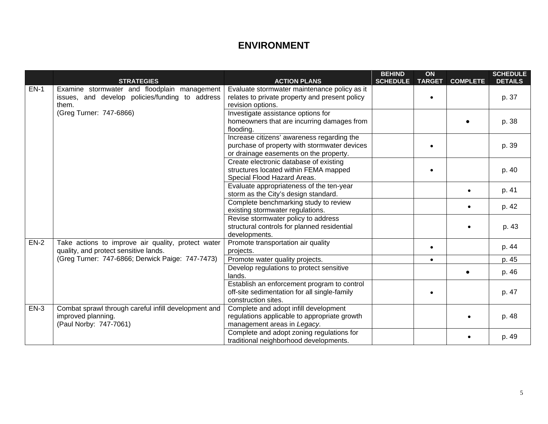### **ENVIRONMENT**

|        | <b>STRATEGIES</b>                                    | <b>ACTION PLANS</b>                            | <b>BEHIND</b><br><b>SCHEDULE</b> | ON<br><b>TARGET</b> | <b>COMPLETE</b> | <b>SCHEDULE</b><br><b>DETAILS</b> |
|--------|------------------------------------------------------|------------------------------------------------|----------------------------------|---------------------|-----------------|-----------------------------------|
| $EN-1$ | Examine stormwater and floodplain management         | Evaluate stormwater maintenance policy as it   |                                  |                     |                 |                                   |
|        | issues, and develop policies/funding to address      | relates to private property and present policy |                                  |                     |                 | p. 37                             |
|        | them.                                                | revision options.                              |                                  |                     |                 |                                   |
|        | (Greg Turner: 747-6866)                              | Investigate assistance options for             |                                  |                     |                 |                                   |
|        |                                                      | homeowners that are incurring damages from     |                                  |                     |                 | p. 38                             |
|        |                                                      | flooding.                                      |                                  |                     |                 |                                   |
|        |                                                      | Increase citizens' awareness regarding the     |                                  |                     |                 |                                   |
|        |                                                      | purchase of property with stormwater devices   |                                  |                     |                 | p. 39                             |
|        |                                                      | or drainage easements on the property.         |                                  |                     |                 |                                   |
|        |                                                      | Create electronic database of existing         |                                  |                     |                 |                                   |
|        |                                                      | structures located within FEMA mapped          |                                  |                     |                 | p. 40                             |
|        |                                                      | Special Flood Hazard Areas.                    |                                  |                     |                 |                                   |
|        |                                                      | Evaluate appropriateness of the ten-year       |                                  |                     |                 | p. 41                             |
|        |                                                      | storm as the City's design standard.           |                                  |                     |                 |                                   |
|        |                                                      | Complete benchmarking study to review          |                                  |                     |                 | p. 42                             |
|        |                                                      | existing stormwater regulations.               |                                  |                     |                 |                                   |
|        |                                                      | Revise stormwater policy to address            |                                  |                     |                 |                                   |
|        |                                                      | structural controls for planned residential    |                                  |                     |                 | p. 43                             |
|        |                                                      | developments.                                  |                                  |                     |                 |                                   |
| $EN-2$ | Take actions to improve air quality, protect water   | Promote transportation air quality             |                                  | $\bullet$           |                 | p. 44                             |
|        | quality, and protect sensitive lands.                | projects.                                      |                                  |                     |                 |                                   |
|        | (Greg Turner: 747-6866; Derwick Paige: 747-7473)     | Promote water quality projects.                |                                  | $\bullet$           |                 | p. 45                             |
|        |                                                      | Develop regulations to protect sensitive       |                                  |                     |                 | p. 46                             |
|        |                                                      | lands.                                         |                                  |                     |                 |                                   |
|        |                                                      | Establish an enforcement program to control    |                                  |                     |                 |                                   |
|        |                                                      | off-site sedimentation for all single-family   |                                  |                     |                 | p. 47                             |
|        |                                                      | construction sites.                            |                                  |                     |                 |                                   |
| $EN-3$ | Combat sprawl through careful infill development and | Complete and adopt infill development          |                                  |                     |                 |                                   |
|        | improved planning.                                   | regulations applicable to appropriate growth   |                                  |                     |                 | p. 48                             |
|        | (Paul Norby: 747-7061)                               | management areas in Legacy.                    |                                  |                     |                 |                                   |
|        |                                                      | Complete and adopt zoning regulations for      |                                  |                     | $\bullet$       | p. 49                             |
|        |                                                      | traditional neighborhood developments.         |                                  |                     |                 |                                   |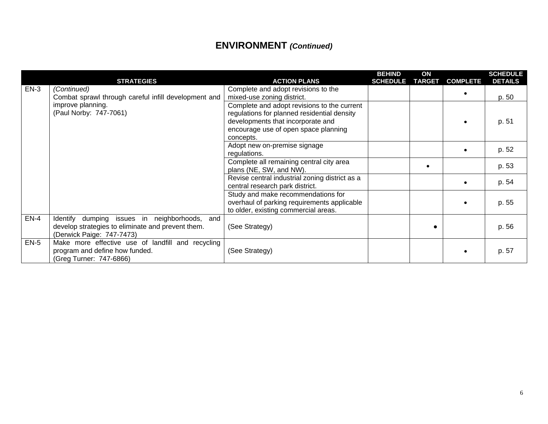# **ENVIRONMENT** *(Continued)*

|        | <b>STRATEGIES</b>                                                                                                                     | <b>ACTION PLANS</b>                                                                                                                                                                  | <b>BEHIND</b><br><b>SCHEDULE</b> | ON<br><b>TARGET</b> | <b>COMPLETE</b> | <b>SCHEDULE</b><br><b>DETAILS</b> |
|--------|---------------------------------------------------------------------------------------------------------------------------------------|--------------------------------------------------------------------------------------------------------------------------------------------------------------------------------------|----------------------------------|---------------------|-----------------|-----------------------------------|
| $EN-3$ | (Continued)<br>Combat sprawl through careful infill development and                                                                   | Complete and adopt revisions to the<br>mixed-use zoning district.                                                                                                                    |                                  |                     |                 | p. 50                             |
|        | improve planning.<br>(Paul Norby: 747-7061)                                                                                           | Complete and adopt revisions to the current<br>regulations for planned residential density<br>developments that incorporate and<br>encourage use of open space planning<br>concepts. |                                  |                     |                 | p. 51                             |
|        |                                                                                                                                       | Adopt new on-premise signage<br>regulations.                                                                                                                                         |                                  |                     |                 | p. 52                             |
|        |                                                                                                                                       | Complete all remaining central city area<br>plans (NE, SW, and NW).                                                                                                                  |                                  | $\bullet$           |                 | p. 53                             |
|        |                                                                                                                                       | Revise central industrial zoning district as a<br>central research park district.                                                                                                    |                                  |                     |                 | p. 54                             |
|        |                                                                                                                                       | Study and make recommendations for<br>overhaul of parking requirements applicable<br>to older, existing commercial areas.                                                            |                                  |                     |                 | p. 55                             |
| $EN-4$ | dumping issues in neighborhoods,<br>Identify<br>and<br>develop strategies to eliminate and prevent them.<br>(Derwick Paige: 747-7473) | (See Strategy)                                                                                                                                                                       |                                  |                     |                 | p. 56                             |
| $EN-5$ | Make more effective use of landfill and recycling<br>program and define how funded.<br>(Greg Turner: 747-6866)                        | (See Strategy)                                                                                                                                                                       |                                  |                     |                 | p. 57                             |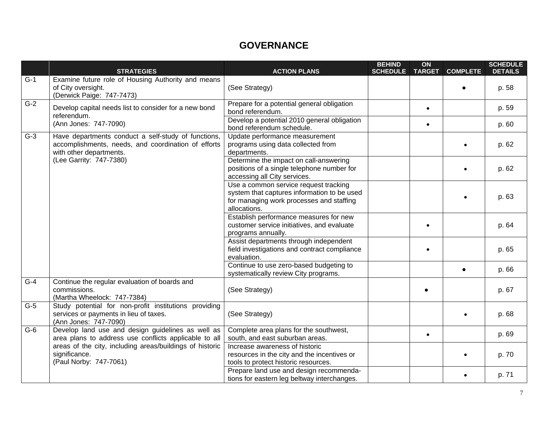## **GOVERNANCE**

|                         | <b>STRATEGIES</b>                                                                                                                     | <b>ACTION PLANS</b>                                                                                                                              | <b>BEHIND</b><br><b>SCHEDULE</b> | ON<br><b>TARGET</b> | <b>COMPLETE</b> | <b>SCHEDULE</b><br><b>DETAILS</b> |
|-------------------------|---------------------------------------------------------------------------------------------------------------------------------------|--------------------------------------------------------------------------------------------------------------------------------------------------|----------------------------------|---------------------|-----------------|-----------------------------------|
| $G-1$                   | Examine future role of Housing Authority and means<br>of City oversight.<br>(Derwick Paige: 747-7473)                                 | (See Strategy)                                                                                                                                   |                                  |                     |                 | p. 58                             |
| $G-2$                   | Develop capital needs list to consider for a new bond<br>referendum.                                                                  | Prepare for a potential general obligation<br>bond referendum.                                                                                   |                                  | $\bullet$           |                 | p. 59                             |
|                         | (Ann Jones: 747-7090)                                                                                                                 | Develop a potential 2010 general obligation<br>bond referendum schedule.                                                                         |                                  | $\bullet$           |                 | p. 60                             |
| $G-3$                   | Have departments conduct a self-study of functions,<br>accomplishments, needs, and coordination of efforts<br>with other departments. | Update performance measurement<br>programs using data collected from<br>departments.                                                             |                                  |                     |                 | p. 62                             |
| (Lee Garrity: 747-7380) | Determine the impact on call-answering<br>positions of a single telephone number for<br>accessing all City services.                  |                                                                                                                                                  |                                  |                     | p. 62           |                                   |
|                         |                                                                                                                                       | Use a common service request tracking<br>system that captures information to be used<br>for managing work processes and staffing<br>allocations. |                                  |                     |                 | p. 63                             |
|                         |                                                                                                                                       | Establish performance measures for new<br>customer service initiatives, and evaluate<br>programs annually.                                       |                                  |                     |                 | p. 64                             |
|                         |                                                                                                                                       | Assist departments through independent<br>field investigations and contract compliance<br>evaluation.                                            |                                  |                     |                 | p. 65                             |
|                         |                                                                                                                                       | Continue to use zero-based budgeting to<br>systematically review City programs.                                                                  |                                  |                     | $\bullet$       | p. 66                             |
| $\overline{G-4}$        | Continue the regular evaluation of boards and<br>commissions.<br>(Martha Wheelock: 747-7384)                                          | (See Strategy)                                                                                                                                   |                                  |                     |                 | p. 67                             |
| $G-5$                   | Study potential for non-profit institutions providing<br>services or payments in lieu of taxes.<br>(Ann Jones: 747-7090)              | (See Strategy)                                                                                                                                   |                                  |                     |                 | p. 68                             |
| $G-6$                   | Develop land use and design guidelines as well as<br>area plans to address use conflicts applicable to all                            | Complete area plans for the southwest,<br>south, and east suburban areas.                                                                        |                                  | $\bullet$           |                 | p. 69                             |
|                         | areas of the city, including areas/buildings of historic<br>significance.<br>(Paul Norby: 747-7061)                                   | Increase awareness of historic<br>resources in the city and the incentives or<br>tools to protect historic resources.                            |                                  |                     |                 | p. 70                             |
|                         |                                                                                                                                       | Prepare land use and design recommenda-<br>tions for eastern leg beltway interchanges.                                                           |                                  |                     | $\bullet$       | p. 71                             |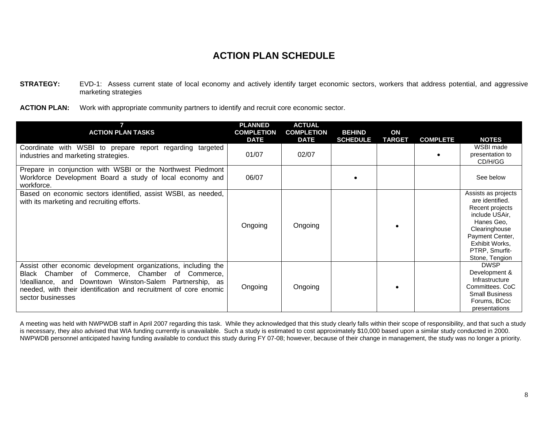- **STRATEGY:** EVD-1: Assess current state of local economy and actively identify target economic sectors, workers that address potential, and aggressive marketing strategies
- ACTION PLAN: Work with appropriate community partners to identify and recruit core economic sector.

| <b>ACTION PLAN TASKS</b>                                                                                                                                                                                                                                                 | <b>PLANNED</b><br><b>COMPLETION</b><br><b>DATE</b> | <b>ACTUAL</b><br><b>COMPLETION</b><br><b>DATE</b> | <b>BEHIND</b><br><b>SCHEDULE</b> | ON<br><b>TARGET</b> | <b>COMPLETE</b> | <b>NOTES</b>                                                                                                                                                                        |
|--------------------------------------------------------------------------------------------------------------------------------------------------------------------------------------------------------------------------------------------------------------------------|----------------------------------------------------|---------------------------------------------------|----------------------------------|---------------------|-----------------|-------------------------------------------------------------------------------------------------------------------------------------------------------------------------------------|
| Coordinate with WSBI to prepare report regarding targeted<br>industries and marketing strategies.                                                                                                                                                                        | 01/07                                              | 02/07                                             |                                  |                     |                 | WSBI made<br>presentation to<br>CD/H/GG                                                                                                                                             |
| Prepare in conjunction with WSBI or the Northwest Piedmont<br>Workforce Development Board a study of local economy and<br>workforce.                                                                                                                                     | 06/07                                              |                                                   |                                  |                     |                 | See below                                                                                                                                                                           |
| Based on economic sectors identified, assist WSBI, as needed,<br>with its marketing and recruiting efforts.                                                                                                                                                              | Ongoing                                            | Ongoing                                           |                                  |                     |                 | Assists as projects<br>are identified.<br>Recent projects<br>include USAir,<br>Hanes Geo.<br>Clearinghouse<br>Payment Center,<br>Exhibit Works,<br>PTRP, Smurfit-<br>Stone, Tengion |
| Assist other economic development organizations, including the<br>Black Chamber of Commerce, Chamber of<br>Commerce,<br>Idealliance, and Downtown Winston-Salem Partnership, as<br>needed, with their identification and recruitment of core enomic<br>sector businesses | Ongoing                                            | Ongoing                                           |                                  |                     |                 | <b>DWSP</b><br>Development &<br>Infrastructure<br>Committees, CoC<br><b>Small Business</b><br>Forums, BCoc<br>presentations                                                         |

A meeting was held with NWPWDB staff in April 2007 regarding this task. While they acknowledged that this study clearly falls within their scope of responsibility, and that such a study is necessary, they also advised that WIA funding currently is unavailable. Such a study is estimated to cost approximately \$10,000 based upon a similar study conducted in 2000. NWPWDB personnel anticipated having funding available to conduct this study during FY 07-08; however, because of their change in management, the study was no longer a priority.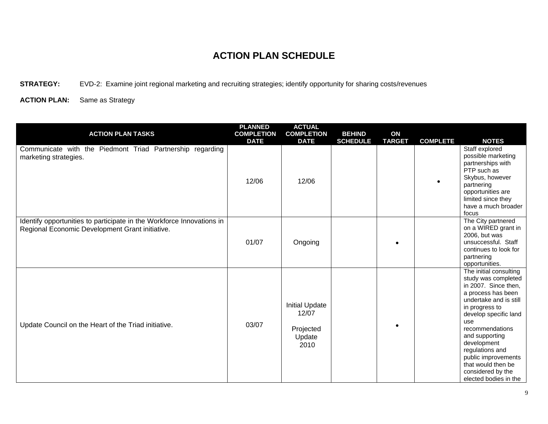**STRATEGY:** EVD-2: Examine joint regional marketing and recruiting strategies; identify opportunity for sharing costs/revenues

| <b>ACTION PLAN TASKS</b>                                                                                                 | <b>PLANNED</b><br><b>COMPLETION</b><br><b>DATE</b> | <b>ACTUAL</b><br><b>COMPLETION</b><br><b>DATE</b>             | <b>BEHIND</b><br><b>SCHEDULE</b> | ON<br><b>TARGET</b> | <b>COMPLETE</b> | <b>NOTES</b>                                                                                                                                                                                                                                                                                                                              |
|--------------------------------------------------------------------------------------------------------------------------|----------------------------------------------------|---------------------------------------------------------------|----------------------------------|---------------------|-----------------|-------------------------------------------------------------------------------------------------------------------------------------------------------------------------------------------------------------------------------------------------------------------------------------------------------------------------------------------|
| Communicate with the Piedmont Triad Partnership regarding<br>marketing strategies.                                       | 12/06                                              | 12/06                                                         |                                  |                     |                 | Staff explored<br>possible marketing<br>partnerships with<br>PTP such as<br>Skybus, however<br>partnering<br>opportunities are<br>limited since they<br>have a much broader<br>focus                                                                                                                                                      |
| Identify opportunities to participate in the Workforce Innovations in<br>Regional Economic Development Grant initiative. | 01/07                                              | Ongoing                                                       |                                  |                     |                 | The City partnered<br>on a WIRED grant in<br>2006, but was<br>unsuccessful. Staff<br>continues to look for<br>partnering<br>opportunities.                                                                                                                                                                                                |
| Update Council on the Heart of the Triad initiative.                                                                     | 03/07                                              | <b>Initial Update</b><br>12/07<br>Projected<br>Update<br>2010 |                                  |                     |                 | The initial consulting<br>study was completed<br>in 2007. Since then,<br>a process has been<br>undertake and is still<br>in progress to<br>develop specific land<br>use<br>recommendations<br>and supporting<br>development<br>regulations and<br>public improvements<br>that would then be<br>considered by the<br>elected bodies in the |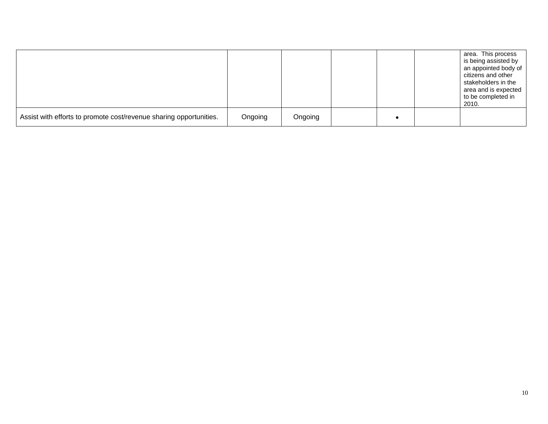|                                                                    |         |         |  | area. This process<br>is being assisted by<br>an appointed body of<br>citizens and other<br>stakeholders in the<br>area and is expected<br>to be completed in<br>2010. |
|--------------------------------------------------------------------|---------|---------|--|------------------------------------------------------------------------------------------------------------------------------------------------------------------------|
| Assist with efforts to promote cost/revenue sharing opportunities. | Ongoing | Ongoing |  |                                                                                                                                                                        |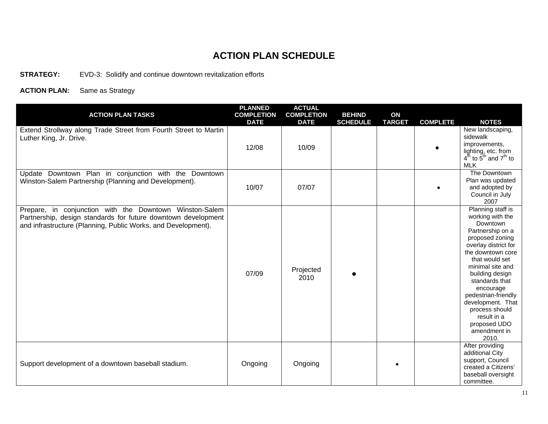**STRATEGY:** EVD-3: Solidify and continue downtown revitalization efforts

| <b>ACTION PLAN TASKS</b>                                                                                                                                                                  | <b>PLANNED</b><br><b>COMPLETION</b><br><b>DATE</b> | <b>ACTUAL</b><br><b>COMPLETION</b><br><b>DATE</b> | <b>BEHIND</b><br><b>SCHEDULE</b> | ON<br><b>TARGET</b> | <b>COMPLETE</b> | <b>NOTES</b>                                                                                                                                                                                                                                                                                                                                        |
|-------------------------------------------------------------------------------------------------------------------------------------------------------------------------------------------|----------------------------------------------------|---------------------------------------------------|----------------------------------|---------------------|-----------------|-----------------------------------------------------------------------------------------------------------------------------------------------------------------------------------------------------------------------------------------------------------------------------------------------------------------------------------------------------|
| Extend Strollway along Trade Street from Fourth Street to Martin<br>Luther King, Jr. Drive.                                                                                               | 12/08                                              | 10/09                                             |                                  |                     |                 | New landscaping,<br>sidewalk<br>improvements,<br>lighting, etc. from<br>$4^{\text{th}}$ to $5^{\text{th}}$ and $7^{\text{th}}$ to<br><b>MLK</b>                                                                                                                                                                                                     |
| Update Downtown Plan in conjunction with the Downtown<br>Winston-Salem Partnership (Planning and Development).                                                                            | 10/07                                              | 07/07                                             |                                  |                     |                 | The Downtown<br>Plan was updated<br>and adopted by<br>Council in July<br>2007                                                                                                                                                                                                                                                                       |
| Prepare, in conjunction with the Downtown Winston-Salem<br>Partnership, design standards for future downtown development<br>and infrastructure (Planning, Public Works, and Development). | 07/09                                              | Projected<br>2010                                 |                                  |                     |                 | Planning staff is<br>working with the<br>Downtown<br>Partnership on a<br>proposed zoning<br>overlay district for<br>the downtown core<br>that would set<br>minimal site and<br>building design<br>standards that<br>encourage<br>pedestrian-friendly<br>development. That<br>process should<br>result in a<br>proposed UDO<br>amendment in<br>2010. |
| Support development of a downtown baseball stadium.                                                                                                                                       | Ongoing                                            | Ongoing                                           |                                  |                     |                 | After providing<br>additional City<br>support, Council<br>created a Citizens'<br>baseball oversight<br>committee.                                                                                                                                                                                                                                   |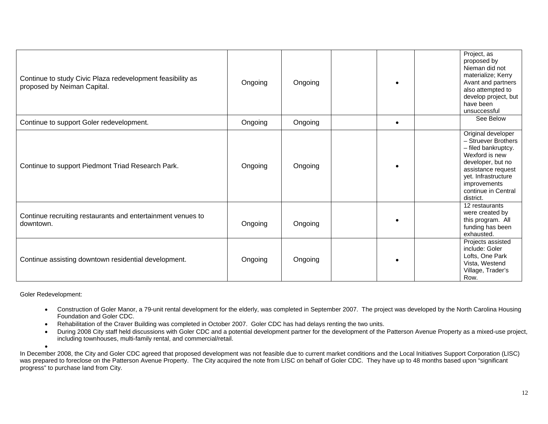| Continue to study Civic Plaza redevelopment feasibility as<br>proposed by Neiman Capital. | Ongoing | Ongoing |           | Project, as<br>proposed by<br>Nieman did not<br>materialize; Kerry<br>Avant and partners<br>also attempted to<br>develop project, but<br>have been<br>unsuccessful                                       |
|-------------------------------------------------------------------------------------------|---------|---------|-----------|----------------------------------------------------------------------------------------------------------------------------------------------------------------------------------------------------------|
| Continue to support Goler redevelopment.                                                  | Ongoing | Ongoing | $\bullet$ | See Below                                                                                                                                                                                                |
| Continue to support Piedmont Triad Research Park.                                         | Ongoing | Ongoing |           | Original developer<br>- Struever Brothers<br>- filed bankruptcy.<br>Wexford is new<br>developer, but no<br>assistance request<br>yet. Infrastructure<br>improvements<br>continue in Central<br>district. |
| Continue recruiting restaurants and entertainment venues to<br>downtown.                  | Ongoing | Ongoing |           | 12 restaurants<br>were created by<br>this program. All<br>funding has been<br>exhausted.                                                                                                                 |
| Continue assisting downtown residential development.                                      | Ongoing | Ongoing |           | Projects assisted<br>include: Goler<br>Lofts, One Park<br>Vista, Westend<br>Village, Trader's<br>Row.                                                                                                    |

Goler Redevelopment:

- Construction of Goler Manor, a 79-unit rental development for the elderly, was completed in September 2007. The project was developed by the North Carolina Housing Foundation and Goler CDC.
- Rehabilitation of the Craver Building was completed in October 2007. Goler CDC has had delays renting the two units.
- During 2008 City staff held discussions with Goler CDC and a potential development partner for the development of the Patterson Avenue Property as a mixed-use project, including townhouses, multi-family rental, and commercial/retail.

• In December 2008, the City and Goler CDC agreed that proposed development was not feasible due to current market conditions and the Local Initiatives Support Corporation (LISC) was prepared to foreclose on the Patterson Avenue Property. The City acquired the note from LISC on behalf of Goler CDC. They have up to 48 months based upon "significant" progress" to purchase land from City.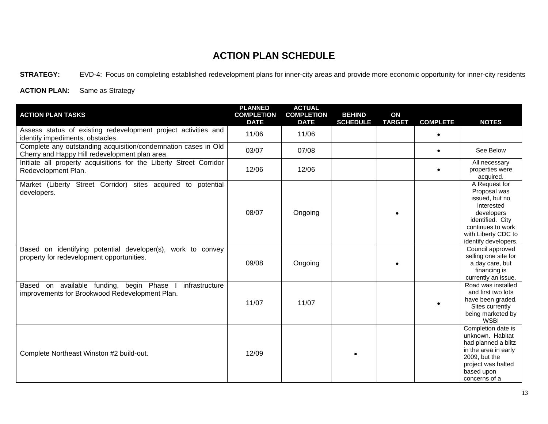**STRATEGY:** EVD-4: Focus on completing established redevelopment plans for inner-city areas and provide more economic opportunity for inner-city residents

| <b>ACTION PLAN TASKS</b>                                                                                         | <b>PLANNED</b><br><b>COMPLETION</b><br><b>DATE</b> | <b>ACTUAL</b><br><b>COMPLETION</b><br><b>DATE</b> | <b>BEHIND</b><br><b>SCHEDULE</b> | ON<br><b>TARGET</b> | <b>COMPLETE</b> | <b>NOTES</b>                                                                                                                                                        |
|------------------------------------------------------------------------------------------------------------------|----------------------------------------------------|---------------------------------------------------|----------------------------------|---------------------|-----------------|---------------------------------------------------------------------------------------------------------------------------------------------------------------------|
| Assess status of existing redevelopment project activities and<br>identify impediments, obstacles.               | 11/06                                              | 11/06                                             |                                  |                     | $\bullet$       |                                                                                                                                                                     |
| Complete any outstanding acquisition/condemnation cases in Old<br>Cherry and Happy Hill redevelopment plan area. | 03/07                                              | 07/08                                             |                                  |                     | $\bullet$       | See Below                                                                                                                                                           |
| Initiate all property acquisitions for the Liberty Street Corridor<br>Redevelopment Plan.                        | 12/06                                              | 12/06                                             |                                  |                     |                 | All necessary<br>properties were<br>acquired.                                                                                                                       |
| Market (Liberty Street Corridor) sites acquired to potential<br>developers.                                      | 08/07                                              | Ongoing                                           |                                  |                     |                 | A Request for<br>Proposal was<br>issued, but no<br>interested<br>developers<br>identified. City<br>continues to work<br>with Liberty CDC to<br>identify developers. |
| Based on identifying potential developer(s), work to convey<br>property for redevelopment opportunities.         | 09/08                                              | Ongoing                                           |                                  |                     |                 | Council approved<br>selling one site for<br>a day care, but<br>financing is<br>currently an issue.                                                                  |
| Based on available funding, begin Phase I<br>infrastructure<br>improvements for Brookwood Redevelopment Plan.    | 11/07                                              | 11/07                                             |                                  |                     |                 | Road was installed<br>and first two lots<br>have been graded.<br>Sites currently<br>being marketed by<br><b>WSBI</b>                                                |
| Complete Northeast Winston #2 build-out.                                                                         | 12/09                                              |                                                   |                                  |                     |                 | Completion date is<br>unknown. Habitat<br>had planned a blitz<br>in the area in early<br>2009, but the<br>project was halted<br>based upon<br>concerns of a         |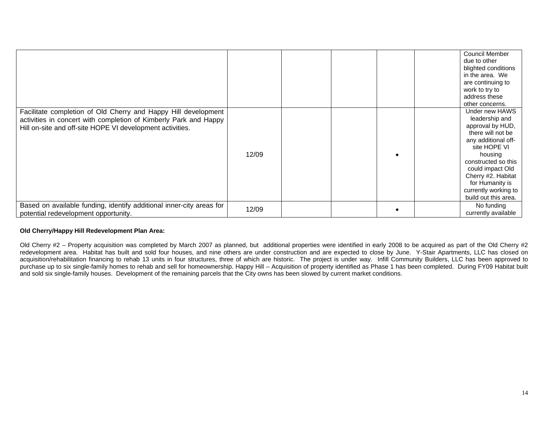|                                                                                                                                                                                                 |       |  | <b>Council Member</b><br>due to other<br>blighted conditions<br>in the area. We<br>are continuing to<br>work to try to<br>address these<br>other concerns.                                                                                                      |
|-------------------------------------------------------------------------------------------------------------------------------------------------------------------------------------------------|-------|--|-----------------------------------------------------------------------------------------------------------------------------------------------------------------------------------------------------------------------------------------------------------------|
| Facilitate completion of Old Cherry and Happy Hill development<br>activities in concert with completion of Kimberly Park and Happy<br>Hill on-site and off-site HOPE VI development activities. | 12/09 |  | Under new HAWS<br>leadership and<br>approval by HUD,<br>there will not be<br>any additional off-<br>site HOPE VI<br>housing<br>constructed so this<br>could impact Old<br>Cherry #2. Habitat<br>for Humanity is<br>currently working to<br>build out this area. |
| Based on available funding, identify additional inner-city areas for<br>potential redevelopment opportunity.                                                                                    | 12/09 |  | No funding<br>currently available                                                                                                                                                                                                                               |

#### **Old Cherry/Happy Hill Redevelopment Plan Area:**

Old Cherry #2 - Property acquisition was completed by March 2007 as planned, but additional properties were identified in early 2008 to be acquired as part of the Old Cherry #2 redevelopment area. Habitat has built and sold four houses, and nine others are under construction and are expected to close by June. Y-Stair Apartments, LLC has closed on acquisition/rehabilitation financing to rehab 13 units in four structures, three of which are historic. The project is under way. Infill Community Builders, LLC has been approved to purchase up to six single-family homes to rehab and sell for homeownership. Happy Hill – Acquisition of property identified as Phase 1 has been completed. During FY09 Habitat built and sold six single-family houses. Development of the remaining parcels that the City owns has been slowed by current market conditions.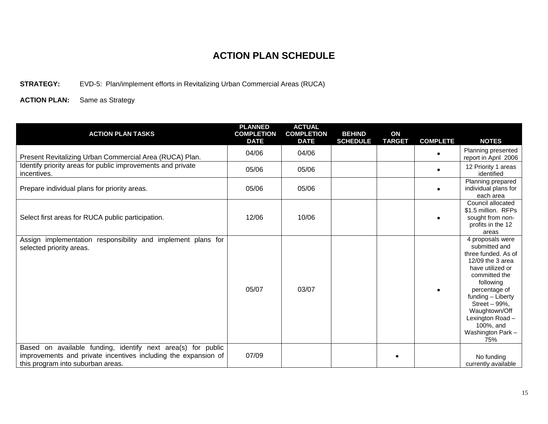#### **STRATEGY:** EVD-5: Plan/implement efforts in Revitalizing Urban Commercial Areas (RUCA)

| <b>ACTION PLAN TASKS</b>                                                                                                                                            | <b>PLANNED</b><br><b>COMPLETION</b><br><b>DATE</b> | <b>ACTUAL</b><br><b>COMPLETION</b><br><b>DATE</b> | <b>BEHIND</b><br><b>SCHEDULE</b> | ON<br><b>TARGET</b> | <b>COMPLETE</b> | <b>NOTES</b>                                                                                                                                                                                                                                                      |
|---------------------------------------------------------------------------------------------------------------------------------------------------------------------|----------------------------------------------------|---------------------------------------------------|----------------------------------|---------------------|-----------------|-------------------------------------------------------------------------------------------------------------------------------------------------------------------------------------------------------------------------------------------------------------------|
| Present Revitalizing Urban Commercial Area (RUCA) Plan.                                                                                                             | 04/06                                              | 04/06                                             |                                  |                     | $\bullet$       | Planning presented<br>report in April 2006                                                                                                                                                                                                                        |
| Identify priority areas for public improvements and private<br>incentives.                                                                                          | 05/06                                              | 05/06                                             |                                  |                     | $\bullet$       | 12 Priority 1 areas<br>identified                                                                                                                                                                                                                                 |
| Prepare individual plans for priority areas.                                                                                                                        | 05/06                                              | 05/06                                             |                                  |                     | $\bullet$       | Planning prepared<br>individual plans for<br>each area                                                                                                                                                                                                            |
| Select first areas for RUCA public participation.                                                                                                                   | 12/06                                              | 10/06                                             |                                  |                     |                 | Council allocated<br>\$1.5 million. RFPs<br>sought from non-<br>profits in the 12<br>areas                                                                                                                                                                        |
| Assign implementation responsibility and implement plans for<br>selected priority areas.                                                                            | 05/07                                              | 03/07                                             |                                  |                     |                 | 4 proposals were<br>submitted and<br>three funded. As of<br>12/09 the 3 area<br>have utilized or<br>committed the<br>following<br>percentage of<br>funding - Liberty<br>Street - 99%,<br>Waughtown/Off<br>Lexington Road-<br>100%, and<br>Washington Park-<br>75% |
| Based on available funding, identify next area(s) for public<br>improvements and private incentives including the expansion of<br>this program into suburban areas. | 07/09                                              |                                                   |                                  |                     |                 | No funding<br>currently available                                                                                                                                                                                                                                 |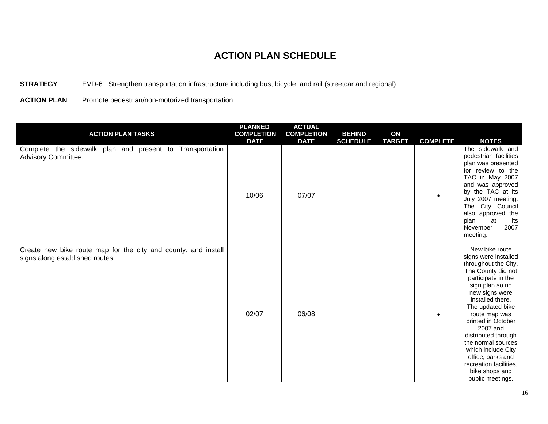**STRATEGY**: EVD-6: Strengthen transportation infrastructure including bus, bicycle, and rail (streetcar and regional)

**ACTION PLAN**: Promote pedestrian/non-motorized transportation

| <b>ACTION PLAN TASKS</b>                                                                          | <b>PLANNED</b><br><b>COMPLETION</b><br><b>DATE</b> | <b>ACTUAL</b><br><b>COMPLETION</b><br><b>DATE</b> | <b>BEHIND</b><br><b>SCHEDULE</b> | ON<br><b>TARGET</b> | <b>COMPLETE</b> | <b>NOTES</b>                                                                                                                                                                                                                                                                                                                                                                                       |
|---------------------------------------------------------------------------------------------------|----------------------------------------------------|---------------------------------------------------|----------------------------------|---------------------|-----------------|----------------------------------------------------------------------------------------------------------------------------------------------------------------------------------------------------------------------------------------------------------------------------------------------------------------------------------------------------------------------------------------------------|
| Complete the sidewalk plan and present to Transportation<br>Advisory Committee.                   | 10/06                                              | 07/07                                             |                                  |                     | $\bullet$       | The sidewalk and<br>pedestrian facilities<br>plan was presented<br>for review to the<br>TAC in May 2007<br>and was approved<br>by the TAC at its<br>July 2007 meeting.<br>The City Council<br>also approved the<br>plan<br>at<br>its<br>2007<br>November<br>meeting.                                                                                                                               |
| Create new bike route map for the city and county, and install<br>signs along established routes. | 02/07                                              | 06/08                                             |                                  |                     | $\bullet$       | New bike route<br>signs were installed<br>throughout the City.<br>The County did not<br>participate in the<br>sign plan so no<br>new signs were<br>installed there.<br>The updated bike<br>route map was<br>printed in October<br>2007 and<br>distributed through<br>the normal sources<br>which include City<br>office, parks and<br>recreation facilities,<br>bike shops and<br>public meetings. |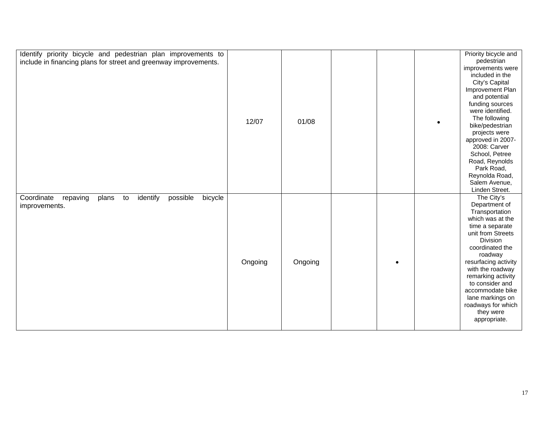| Identify priority bicycle and pedestrian plan improvements to<br>include in financing plans for street and greenway improvements. | 12/07   | 01/08   | $\bullet$ | Priority bicycle and<br>pedestrian<br>improvements were<br>included in the<br>City's Capital<br>Improvement Plan<br>and potential<br>funding sources<br>were identified.<br>The following<br>bike/pedestrian<br>projects were<br>approved in 2007-<br>2008: Carver<br>School, Petree<br>Road, Reynolds<br>Park Road,<br>Reynolda Road,<br>Salem Avenue,<br>Linden Street. |
|-----------------------------------------------------------------------------------------------------------------------------------|---------|---------|-----------|---------------------------------------------------------------------------------------------------------------------------------------------------------------------------------------------------------------------------------------------------------------------------------------------------------------------------------------------------------------------------|
| identify<br>Coordinate<br>repaving<br>possible<br>bicycle<br>plans<br>to<br>improvements.                                         | Ongoing | Ongoing |           | The City's<br>Department of<br>Transportation<br>which was at the<br>time a separate<br>unit from Streets<br>Division<br>coordinated the<br>roadway<br>resurfacing activity<br>with the roadway<br>remarking activity<br>to consider and<br>accommodate bike<br>lane markings on<br>roadways for which<br>they were<br>appropriate.                                       |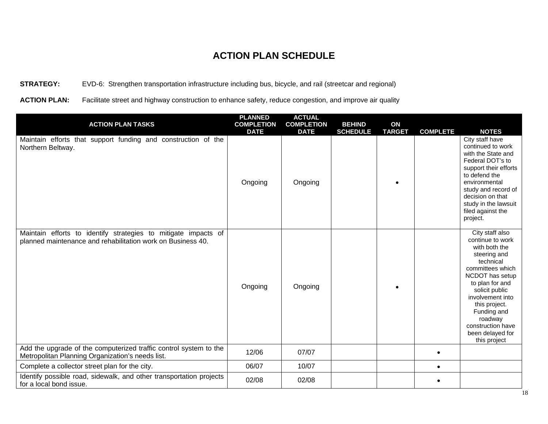#### **STRATEGY:** EVD-6: Strengthen transportation infrastructure including bus, bicycle, and rail (streetcar and regional)

**ACTION PLAN:** Facilitate street and highway construction to enhance safety, reduce congestion, and improve air quality

| <b>ACTION PLAN TASKS</b>                                                                                                      | <b>PLANNED</b><br><b>COMPLETION</b> | <b>ACTUAL</b><br><b>COMPLETION</b> | <b>BEHIND</b>   | ON            |                 |                                                                                                                                                                                                                                                                                       |
|-------------------------------------------------------------------------------------------------------------------------------|-------------------------------------|------------------------------------|-----------------|---------------|-----------------|---------------------------------------------------------------------------------------------------------------------------------------------------------------------------------------------------------------------------------------------------------------------------------------|
| Maintain efforts that support funding and construction of the<br>Northern Beltway.                                            | <b>DATE</b><br>Ongoing              | <b>DATE</b><br>Ongoing             | <b>SCHEDULE</b> | <b>TARGET</b> | <b>COMPLETE</b> | <b>NOTES</b><br>City staff have<br>continued to work<br>with the State and<br>Federal DOT's to<br>support their efforts<br>to defend the<br>environmental<br>study and record of<br>decision on that<br>study in the lawsuit<br>filed against the<br>project.                         |
| Maintain efforts to identify strategies to mitigate impacts of<br>planned maintenance and rehabilitation work on Business 40. | Ongoing                             | Ongoing                            |                 |               |                 | City staff also<br>continue to work<br>with both the<br>steering and<br>technical<br>committees which<br>NCDOT has setup<br>to plan for and<br>solicit public<br>involvement into<br>this project.<br>Funding and<br>roadway<br>construction have<br>been delayed for<br>this project |
| Add the upgrade of the computerized traffic control system to the<br>Metropolitan Planning Organization's needs list.         | 12/06                               | 07/07                              |                 |               | $\bullet$       |                                                                                                                                                                                                                                                                                       |
| Complete a collector street plan for the city.                                                                                | 06/07                               | 10/07                              |                 |               | $\bullet$       |                                                                                                                                                                                                                                                                                       |
| Identify possible road, sidewalk, and other transportation projects<br>for a local bond issue.                                | 02/08                               | 02/08                              |                 |               |                 |                                                                                                                                                                                                                                                                                       |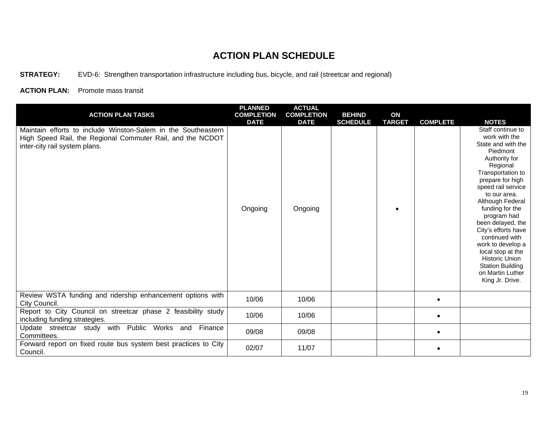**STRATEGY:** EVD-6: Strengthen transportation infrastructure including bus, bicycle, and rail (streetcar and regional)

**ACTION PLAN:** Promote mass transit

| <b>ACTION PLAN TASKS</b>                                                                                                                                     | <b>PLANNED</b><br><b>COMPLETION</b><br><b>DATE</b> | <b>ACTUAL</b><br><b>COMPLETION</b><br><b>DATE</b> | <b>BEHIND</b><br><b>SCHEDULE</b> | ON<br><b>TARGET</b> | <b>COMPLETE</b> | <b>NOTES</b>                                                                                                                                                                                                                                                                                                                                                                                                                              |
|--------------------------------------------------------------------------------------------------------------------------------------------------------------|----------------------------------------------------|---------------------------------------------------|----------------------------------|---------------------|-----------------|-------------------------------------------------------------------------------------------------------------------------------------------------------------------------------------------------------------------------------------------------------------------------------------------------------------------------------------------------------------------------------------------------------------------------------------------|
| Maintain efforts to include Winston-Salem in the Southeastern<br>High Speed Rail, the Regional Commuter Rail, and the NCDOT<br>inter-city rail system plans. | Ongoing                                            | Ongoing                                           |                                  | $\bullet$           |                 | Staff continue to<br>work with the<br>State and with the<br>Piedmont<br>Authority for<br>Regional<br>Transportation to<br>prepare for high<br>speed rail service<br>to our area.<br>Although Federal<br>funding for the<br>program had<br>been delayed, the<br>City's efforts have<br>continued with<br>work to develop a<br>local stop at the<br><b>Historic Union</b><br><b>Station Building</b><br>on Martin Luther<br>King Jr. Drive. |
| Review WSTA funding and ridership enhancement options with<br>City Council.                                                                                  | 10/06                                              | 10/06                                             |                                  |                     | $\bullet$       |                                                                                                                                                                                                                                                                                                                                                                                                                                           |
| Report to City Council on streetcar phase 2 feasibility study<br>including funding strategies.                                                               | 10/06                                              | 10/06                                             |                                  |                     | $\bullet$       |                                                                                                                                                                                                                                                                                                                                                                                                                                           |
| Update streetcar study with Public<br>Works<br>Finance<br>and<br>Committees.                                                                                 | 09/08                                              | 09/08                                             |                                  |                     | $\bullet$       |                                                                                                                                                                                                                                                                                                                                                                                                                                           |
| Forward report on fixed route bus system best practices to City<br>Council.                                                                                  | 02/07                                              | 11/07                                             |                                  |                     | $\bullet$       |                                                                                                                                                                                                                                                                                                                                                                                                                                           |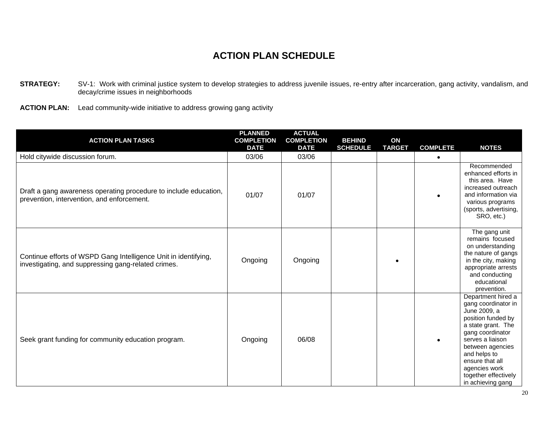- **STRATEGY:** SV-1: Work with criminal justice system to develop strategies to address juvenile issues, re-entry after incarceration, gang activity, vandalism, and decay/crime issues in neighborhoods
- **ACTION PLAN:** Lead community-wide initiative to address growing gang activity

| <b>ACTION PLAN TASKS</b>                                                                                               | <b>PLANNED</b><br><b>COMPLETION</b> | <b>ACTUAL</b><br><b>COMPLETION</b> | <b>BEHIND</b>   | ON            |                              |                                                                                                                                                                                                                                                                    |
|------------------------------------------------------------------------------------------------------------------------|-------------------------------------|------------------------------------|-----------------|---------------|------------------------------|--------------------------------------------------------------------------------------------------------------------------------------------------------------------------------------------------------------------------------------------------------------------|
| Hold citywide discussion forum.                                                                                        | <b>DATE</b><br>03/06                | <b>DATE</b><br>03/06               | <b>SCHEDULE</b> | <b>TARGET</b> | <b>COMPLETE</b><br>$\bullet$ | <b>NOTES</b>                                                                                                                                                                                                                                                       |
| Draft a gang awareness operating procedure to include education,<br>prevention, intervention, and enforcement.         | 01/07                               | 01/07                              |                 |               | $\bullet$                    | Recommended<br>enhanced efforts in<br>this area. Have<br>increased outreach<br>and information via<br>various programs<br>(sports, advertising,<br>SRO, etc.)                                                                                                      |
| Continue efforts of WSPD Gang Intelligence Unit in identifying,<br>investigating, and suppressing gang-related crimes. | Ongoing                             | Ongoing                            |                 |               |                              | The gang unit<br>remains focused<br>on understanding<br>the nature of gangs<br>in the city, making<br>appropriate arrests<br>and conducting<br>educational<br>prevention.                                                                                          |
| Seek grant funding for community education program.                                                                    | Ongoing                             | 06/08                              |                 |               | $\bullet$                    | Department hired a<br>gang coordinator in<br>June 2009, a<br>position funded by<br>a state grant. The<br>gang coordinator<br>serves a liaison<br>between agencies<br>and helps to<br>ensure that all<br>agencies work<br>together effectively<br>in achieving gang |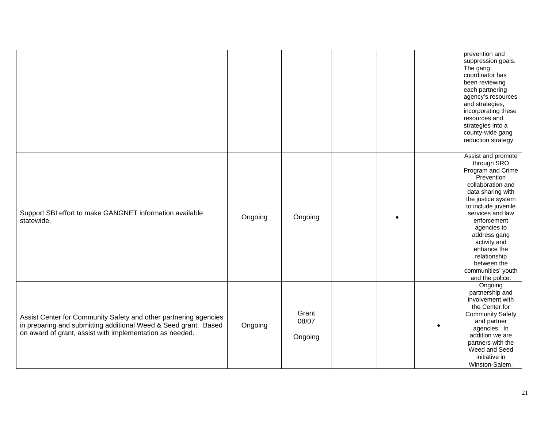|                                                                                                                                                                                                 |         |                           |  | prevention and<br>suppression goals.<br>The gang<br>coordinator has<br>been reviewing<br>each partnering<br>agency's resources<br>and strategies,<br>incorporating these<br>resources and<br>strategies into a<br>county-wide gang<br>reduction strategy.                                                                            |
|-------------------------------------------------------------------------------------------------------------------------------------------------------------------------------------------------|---------|---------------------------|--|--------------------------------------------------------------------------------------------------------------------------------------------------------------------------------------------------------------------------------------------------------------------------------------------------------------------------------------|
| Support SBI effort to make GANGNET information available<br>statewide.                                                                                                                          | Ongoing | Ongoing                   |  | Assist and promote<br>through SRO<br>Program and Crime<br>Prevention<br>collaboration and<br>data sharing with<br>the justice system<br>to include juvenile<br>services and law<br>enforcement<br>agencies to<br>address gang<br>activity and<br>enhance the<br>relationship<br>between the<br>communities' youth<br>and the police. |
| Assist Center for Community Safety and other partnering agencies<br>in preparing and submitting additional Weed & Seed grant. Based<br>on award of grant, assist with implementation as needed. | Ongoing | Grant<br>08/07<br>Ongoing |  | Ongoing<br>partnership and<br>involvement with<br>the Center for<br><b>Community Safety</b><br>and partner<br>agencies. In<br>addition we are<br>partners with the<br>Weed and Seed<br>initiative in<br>Winston-Salem.                                                                                                               |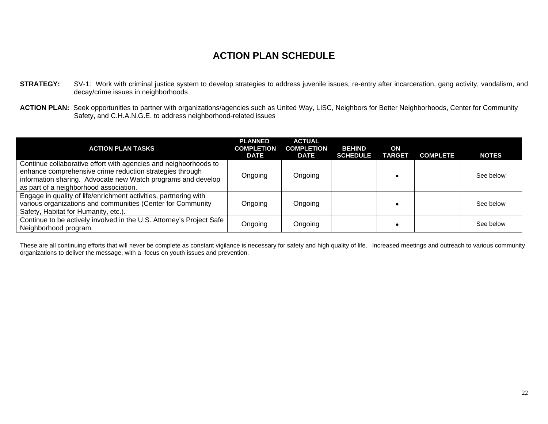- **STRATEGY:** SV-1: Work with criminal justice system to develop strategies to address juvenile issues, re-entry after incarceration, gang activity, vandalism, and decay/crime issues in neighborhoods
- ACTION PLAN: Seek opportunities to partner with organizations/agencies such as United Way, LISC, Neighbors for Better Neighborhoods, Center for Community Safety, and C.H.A.N.G.E. to address neighborhood-related issues

| <b>ACTION PLAN TASKS</b>                                                                                                                                                                                                               | <b>PLANNED</b><br><b>COMPLETION</b><br>DATE | <b>ACTUAL</b><br><b>COMPLETION</b><br><b>DATE</b> | <b>BEHIND</b><br><b>SCHEDULE</b> | ON<br><b>TARGET</b> | <b>COMPLETE</b> | <b>NOTES</b> |
|----------------------------------------------------------------------------------------------------------------------------------------------------------------------------------------------------------------------------------------|---------------------------------------------|---------------------------------------------------|----------------------------------|---------------------|-----------------|--------------|
| Continue collaborative effort with agencies and neighborhoods to<br>enhance comprehensive crime reduction strategies through<br>information sharing. Advocate new Watch programs and develop<br>as part of a neighborhood association. | Ongoing                                     | Ongoing                                           |                                  |                     |                 | See below    |
| Engage in quality of life/enrichment activities, partnering with<br>various organizations and communities (Center for Community<br>Safety, Habitat for Humanity, etc.).                                                                | Ongoing                                     | Ongoing                                           |                                  |                     |                 | See below    |
| Continue to be actively involved in the U.S. Attorney's Project Safe<br>Neighborhood program.                                                                                                                                          | Ongoing                                     | Ongoing                                           |                                  |                     |                 | See below    |

These are all continuing efforts that will never be complete as constant vigilance is necessary for safety and high quality of life. Increased meetings and outreach to various community organizations to deliver the message, with a focus on youth issues and prevention.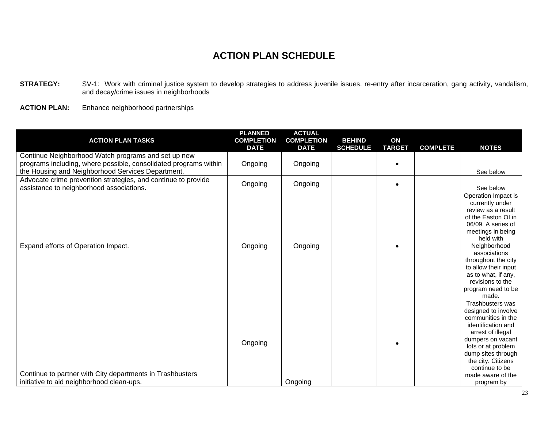STRATEGY: SV-1: Work with criminal justice system to develop strategies to address juvenile issues, re-entry after incarceration, gang activity, vandalism, and decay/crime issues in neighborhoods

**ACTION PLAN:** Enhance neighborhood partnerships

| <b>ACTION PLAN TASKS</b>                                                                                                                                                     | <b>PLANNED</b><br><b>COMPLETION</b><br><b>DATE</b> | <b>ACTUAL</b><br><b>COMPLETION</b><br><b>DATE</b> | <b>BEHIND</b><br><b>SCHEDULE</b> | ON<br><b>TARGET</b> | <b>COMPLETE</b> | <b>NOTES</b>                                                                                                                                                                                                                                                                                         |
|------------------------------------------------------------------------------------------------------------------------------------------------------------------------------|----------------------------------------------------|---------------------------------------------------|----------------------------------|---------------------|-----------------|------------------------------------------------------------------------------------------------------------------------------------------------------------------------------------------------------------------------------------------------------------------------------------------------------|
| Continue Neighborhood Watch programs and set up new<br>programs including, where possible, consolidated programs within<br>the Housing and Neighborhood Services Department. | Ongoing                                            | Ongoing                                           |                                  |                     |                 | See below                                                                                                                                                                                                                                                                                            |
| Advocate crime prevention strategies, and continue to provide<br>assistance to neighborhood associations.                                                                    | Ongoing                                            | Ongoing                                           |                                  |                     |                 | See below                                                                                                                                                                                                                                                                                            |
| Expand efforts of Operation Impact.                                                                                                                                          | Ongoing                                            | Ongoing                                           |                                  |                     |                 | Operation Impact is<br>currently under<br>review as a result<br>of the Easton OI in<br>06/09. A series of<br>meetings in being<br>held with<br>Neighborhood<br>associations<br>throughout the city<br>to allow their input<br>as to what, if any,<br>revisions to the<br>program need to be<br>made. |
| Continue to partner with City departments in Trashbusters<br>initiative to aid neighborhood clean-ups.                                                                       | Ongoing                                            | Ongoing                                           |                                  |                     |                 | Trashbusters was<br>designed to involve<br>communities in the<br>identification and<br>arrest of illegal<br>dumpers on vacant<br>lots or at problem<br>dump sites through<br>the city. Citizens<br>continue to be<br>made aware of the<br>program by                                                 |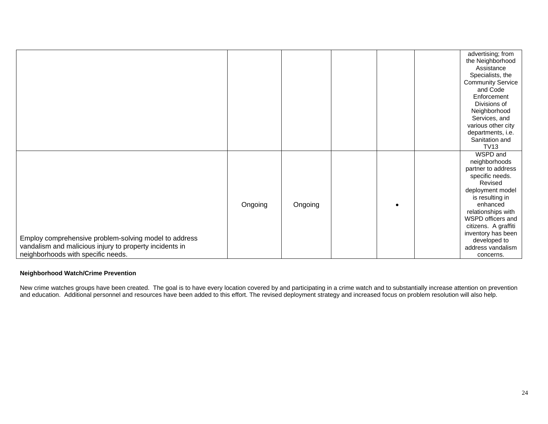|                                                                                                                                                        |         |         |  | advertising; from<br>the Neighborhood<br>Assistance<br>Specialists, the<br><b>Community Service</b><br>and Code<br>Enforcement<br>Divisions of<br>Neighborhood<br>Services, and<br>various other city<br>departments, i.e.<br>Sanitation and                                |
|--------------------------------------------------------------------------------------------------------------------------------------------------------|---------|---------|--|-----------------------------------------------------------------------------------------------------------------------------------------------------------------------------------------------------------------------------------------------------------------------------|
|                                                                                                                                                        |         |         |  | <b>TV13</b>                                                                                                                                                                                                                                                                 |
| Employ comprehensive problem-solving model to address<br>vandalism and malicious injury to property incidents in<br>neighborhoods with specific needs. | Ongoing | Ongoing |  | WSPD and<br>neighborhoods<br>partner to address<br>specific needs.<br>Revised<br>deployment model<br>is resulting in<br>enhanced<br>relationships with<br>WSPD officers and<br>citizens. A graffiti<br>inventory has been<br>developed to<br>address vandalism<br>concerns. |

#### **Neighborhood Watch/Crime Prevention**

New crime watches groups have been created. The goal is to have every location covered by and participating in a crime watch and to substantially increase attention on prevention and education. Additional personnel and resources have been added to this effort. The revised deployment strategy and increased focus on problem resolution will also help.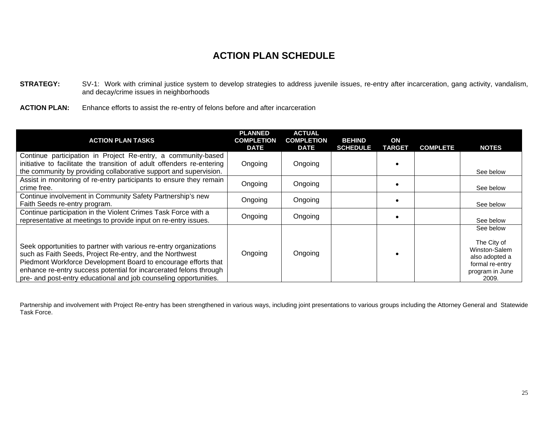**STRATEGY:** SV-1: Work with criminal justice system to develop strategies to address juvenile issues, re-entry after incarceration, gang activity, vandalism, and decay/crime issues in neighborhoods

**ACTION PLAN:** Enhance efforts to assist the re-entry of felons before and after incarceration

| <b>ACTION PLAN TASKS</b>                                                                                                                                                                                                                                                                                                                   | <b>PLANNED</b><br><b>COMPLETION</b><br><b>DATE</b> | <b>ACTUAL</b><br><b>COMPLETION</b><br><b>DATE</b> | <b>BEHIND</b><br><b>SCHEDULE</b> | ON<br><b>TARGET</b> | <b>COMPLETE</b> | <b>NOTES</b>                                                                                               |
|--------------------------------------------------------------------------------------------------------------------------------------------------------------------------------------------------------------------------------------------------------------------------------------------------------------------------------------------|----------------------------------------------------|---------------------------------------------------|----------------------------------|---------------------|-----------------|------------------------------------------------------------------------------------------------------------|
| Continue participation in Project Re-entry, a community-based<br>initiative to facilitate the transition of adult offenders re-entering<br>the community by providing collaborative support and supervision.                                                                                                                               | Ongoing                                            | Ongoing                                           |                                  |                     |                 | See below                                                                                                  |
| Assist in monitoring of re-entry participants to ensure they remain<br>crime free.                                                                                                                                                                                                                                                         | Ongoing                                            | Ongoing                                           |                                  |                     |                 | See below                                                                                                  |
| Continue involvement in Community Safety Partnership's new<br>Faith Seeds re-entry program.                                                                                                                                                                                                                                                | Ongoing                                            | Ongoing                                           |                                  |                     |                 | See below                                                                                                  |
| Continue participation in the Violent Crimes Task Force with a<br>representative at meetings to provide input on re-entry issues.                                                                                                                                                                                                          | Ongoing                                            | Ongoing                                           |                                  |                     |                 | See below                                                                                                  |
| Seek opportunities to partner with various re-entry organizations<br>such as Faith Seeds, Project Re-entry, and the Northwest<br>Piedmont Workforce Development Board to encourage efforts that<br>enhance re-entry success potential for incarcerated felons through<br>pre- and post-entry educational and job counseling opportunities. | Ongoing                                            | Ongoing                                           |                                  |                     |                 | See below<br>The City of<br>Winston-Salem<br>also adopted a<br>formal re-entry<br>program in June<br>2009. |

Partnership and involvement with Project Re-entry has been strengthened in various ways, including joint presentations to various groups including the Attorney General and Statewide Task Force.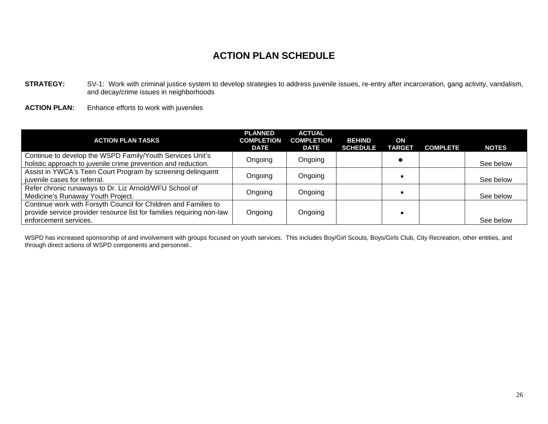**STRATEGY:** SV-1: Work with criminal justice system to develop strategies to address juvenile issues, re-entry after incarceration, gang activity, vandalism, and decay/crime issues in neighborhoods

**ACTION PLAN:** Enhance efforts to work with juveniles

| <b>ACTION PLAN TASKS</b>                                                                                                                                          | <b>PLANNED</b><br><b>COMPLETION</b><br><b>DATE</b> | <b>ACTUAL</b><br><b>COMPLETION</b><br><b>DATE</b> | <b>BEHIND</b><br><b>SCHEDULE</b> | ON<br><b>TARGET</b> | <b>COMPLETE</b> | <b>NOTES</b> |
|-------------------------------------------------------------------------------------------------------------------------------------------------------------------|----------------------------------------------------|---------------------------------------------------|----------------------------------|---------------------|-----------------|--------------|
| Continue to develop the WSPD Family/Youth Services Unit's<br>holistic approach to juvenile crime prevention and reduction.                                        | Ongoing                                            | Ongoing                                           |                                  |                     |                 | See below    |
| Assist in YWCA's Teen Court Program by screening delinquent<br>juvenile cases for referral.                                                                       | Ongoing                                            | Ongoing                                           |                                  |                     |                 | See below    |
| Refer chronic runaways to Dr. Liz Arnold/WFU School of<br>Medicine's Runaway Youth Project.                                                                       | Ongoing                                            | Ongoing                                           |                                  |                     |                 | See below    |
| Continue work with Forsyth Council for Children and Families to<br>provide service provider resource list for families requiring non-law<br>enforcement services. | Ongoing                                            | Ongoing                                           |                                  |                     |                 | See below    |

WSPD has increased sponsorship of and involvement with groups focused on youth services. This includes Boy/Girl Scouts, Boys/Girls Club, City Recreation, other entities, and through direct actions of WSPD components and personnel..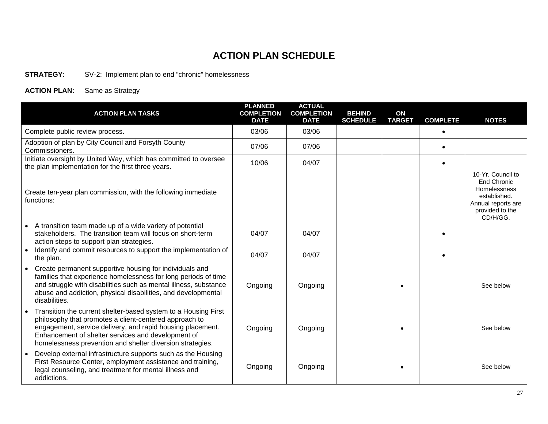#### **STRATEGY:** SV-2: Implement plan to end "chronic" homelessness

| <b>ACTION PLAN TASKS</b>                                                                                                                                                                                                                                                                                  | <b>PLANNED</b><br><b>COMPLETION</b><br><b>DATE</b> | <b>ACTUAL</b><br><b>COMPLETION</b><br><b>DATE</b> | <b>BEHIND</b><br><b>SCHEDULE</b> | ON<br><b>TARGET</b> | <b>COMPLETE</b> | <b>NOTES</b>                                                                                                                 |
|-----------------------------------------------------------------------------------------------------------------------------------------------------------------------------------------------------------------------------------------------------------------------------------------------------------|----------------------------------------------------|---------------------------------------------------|----------------------------------|---------------------|-----------------|------------------------------------------------------------------------------------------------------------------------------|
| Complete public review process.                                                                                                                                                                                                                                                                           | 03/06                                              | 03/06                                             |                                  |                     | $\bullet$       |                                                                                                                              |
| Adoption of plan by City Council and Forsyth County<br>Commissioners.                                                                                                                                                                                                                                     | 07/06                                              | 07/06                                             |                                  |                     | $\bullet$       |                                                                                                                              |
| Initiate oversight by United Way, which has committed to oversee<br>the plan implementation for the first three years.                                                                                                                                                                                    | 10/06                                              | 04/07                                             |                                  |                     | $\bullet$       |                                                                                                                              |
| Create ten-year plan commission, with the following immediate<br>functions:                                                                                                                                                                                                                               |                                                    |                                                   |                                  |                     |                 | 10-Yr. Council to<br><b>End Chronic</b><br>Homelessness<br>established.<br>Annual reports are<br>provided to the<br>CD/H/GG. |
| A transition team made up of a wide variety of potential<br>stakeholders. The transition team will focus on short-term<br>action steps to support plan strategies.<br>Identify and commit resources to support the implementation of<br>the plan.                                                         | 04/07<br>04/07                                     | 04/07<br>04/07                                    |                                  |                     |                 |                                                                                                                              |
| Create permanent supportive housing for individuals and<br>families that experience homelessness for long periods of time<br>and struggle with disabilities such as mental illness, substance<br>abuse and addiction, physical disabilities, and developmental<br>disabilities.                           | Ongoing                                            | Ongoing                                           |                                  |                     |                 | See below                                                                                                                    |
| Transition the current shelter-based system to a Housing First<br>philosophy that promotes a client-centered approach to<br>engagement, service delivery, and rapid housing placement.<br>Enhancement of shelter services and development of<br>homelessness prevention and shelter diversion strategies. | Ongoing                                            | Ongoing                                           |                                  |                     |                 | See below                                                                                                                    |
| Develop external infrastructure supports such as the Housing<br>First Resource Center, employment assistance and training,<br>legal counseling, and treatment for mental illness and<br>addictions.                                                                                                       | Ongoing                                            | Ongoing                                           |                                  |                     |                 | See below                                                                                                                    |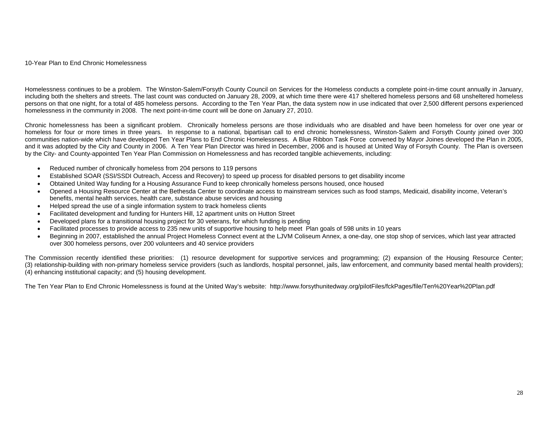10-Year Plan to End Chronic Homelessness

Homelessness continues to be a problem. The Winston-Salem/Forsyth County Council on Services for the Homeless conducts a complete point-in-time count annually in January, including both the shelters and streets. The last count was conducted on January 28, 2009, at which time there were 417 sheltered homeless persons and 68 unsheltered homeless persons on that one night, for a total of 485 homeless persons. According to the Ten Year Plan, the data system now in use indicated that over 2,500 different persons experienced homelessness in the community in 2008. The next point-in-time count will be done on January 27, 2010.

Chronic homelessness has been a significant problem. Chronically homeless persons are those individuals who are disabled and have been homeless for over one year or homeless for four or more times in three years. In response to a national, bipartisan call to end chronic homelessness, Winston-Salem and Forsyth County joined over 300 communities nation-wide which have developed Ten Year Plans to End Chronic Homelessness. A Blue Ribbon Task Force convened by Mayor Joines developed the Plan in 2005, and it was adopted by the City and County in 2006. A Ten Year Plan Director was hired in December, 2006 and is housed at United Way of Forsyth County. The Plan is overseen by the City- and County-appointed Ten Year Plan Commission on Homelessness and has recorded tangible achievements, including:

- Reduced number of chronically homeless from 204 persons to 119 persons
- Established SOAR (SSI/SSDI Outreach, Access and Recovery) to speed up process for disabled persons to get disability income
- Obtained United Way funding for a Housing Assurance Fund to keep chronically homeless persons housed, once housed
- Opened a Housing Resource Center at the Bethesda Center to coordinate access to mainstream services such as food stamps, Medicaid, disability income, Veteran's benefits, mental health services, health care, substance abuse services and housing
- Helped spread the use of a single information system to track homeless clients
- Facilitated development and funding for Hunters Hill, 12 apartment units on Hutton Street
- Developed plans for a transitional housing project for 30 veterans, for which funding is pending
- Facilitated processes to provide access to 235 new units of supportive housing to help meet Plan goals of 598 units in 10 years
- Beginning in 2007, established the annual Project Homeless Connect event at the LJVM Coliseum Annex, a one-day, one stop shop of services, which last year attracted over 300 homeless persons, over 200 volunteers and 40 service providers

The Commission recently identified these priorities: (1) resource development for supportive services and programming; (2) expansion of the Housing Resource Center; (3) relationship-building with non-primary homeless service providers (such as landlords, hospital personnel, jails, law enforcement, and community based mental health providers); (4) enhancing institutional capacity; and (5) housing development.

The Ten Year Plan to End Chronic Homelessness is found at the United Way's website: <http://www.forsythunitedway.org/pilotFiles/fckPages/file/Ten%20Year%20Plan.pdf>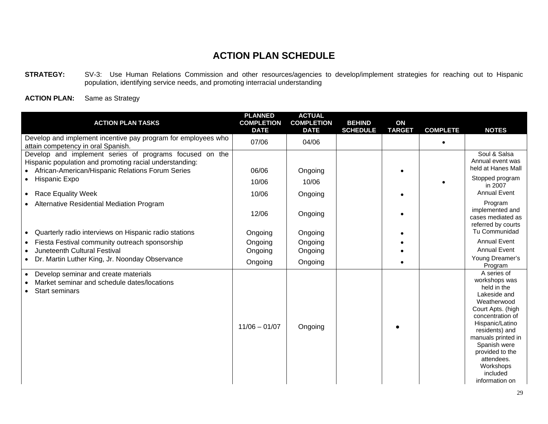**STRATEGY:** SV-3: Use Human Relations Commission and other resources/agencies to develop/implement strategies for reaching out to Hispanic population, identifying service needs, and promoting interracial understanding

| <b>ACTION PLAN TASKS</b>                                                                                                  | <b>PLANNED</b><br><b>COMPLETION</b><br><b>DATE</b> | <b>ACTUAL</b><br><b>COMPLETION</b><br><b>DATE</b> | <b>BEHIND</b><br><b>SCHEDULE</b> | ON<br><b>TARGET</b> | <b>COMPLETE</b> | <b>NOTES</b>                                                                                                                                                                                                                                                               |
|---------------------------------------------------------------------------------------------------------------------------|----------------------------------------------------|---------------------------------------------------|----------------------------------|---------------------|-----------------|----------------------------------------------------------------------------------------------------------------------------------------------------------------------------------------------------------------------------------------------------------------------------|
| Develop and implement incentive pay program for employees who<br>attain competency in oral Spanish.                       | 07/06                                              | 04/06                                             |                                  |                     |                 |                                                                                                                                                                                                                                                                            |
| Develop and implement series of programs focused on the<br>Hispanic population and promoting racial understanding:        |                                                    |                                                   |                                  |                     |                 | Soul & Salsa<br>Annual event was<br>held at Hanes Mall                                                                                                                                                                                                                     |
| African-American/Hispanic Relations Forum Series                                                                          | 06/06                                              | Ongoing                                           |                                  |                     |                 |                                                                                                                                                                                                                                                                            |
| <b>Hispanic Expo</b>                                                                                                      | 10/06                                              | 10/06                                             |                                  |                     |                 | Stopped program<br>in 2007                                                                                                                                                                                                                                                 |
| • Race Equality Week                                                                                                      | 10/06                                              | Ongoing                                           |                                  |                     |                 | <b>Annual Event</b>                                                                                                                                                                                                                                                        |
| Alternative Residential Mediation Program                                                                                 | 12/06                                              | Ongoing                                           |                                  |                     |                 | Program<br>implemented and<br>cases mediated as<br>referred by courts                                                                                                                                                                                                      |
| Quarterly radio interviews on Hispanic radio stations                                                                     | Ongoing                                            | Ongoing                                           |                                  |                     |                 | Tu Communidad                                                                                                                                                                                                                                                              |
| Fiesta Festival community outreach sponsorship                                                                            | Ongoing                                            | Ongoing                                           |                                  |                     |                 | <b>Annual Event</b>                                                                                                                                                                                                                                                        |
| Juneteenth Cultural Festival                                                                                              | Ongoing                                            | Ongoing                                           |                                  |                     |                 | <b>Annual Event</b>                                                                                                                                                                                                                                                        |
| Dr. Martin Luther King, Jr. Noonday Observance<br>$\bullet$                                                               | Ongoing                                            | Ongoing                                           |                                  |                     |                 | Young Dreamer's<br>Program                                                                                                                                                                                                                                                 |
| Develop seminar and create materials<br>$\bullet$<br>Market seminar and schedule dates/locations<br><b>Start seminars</b> | $11/06 - 01/07$                                    | Ongoing                                           |                                  |                     |                 | A series of<br>workshops was<br>held in the<br>Lakeside and<br>Weatherwood<br>Court Apts. (high<br>concentration of<br>Hispanic/Latino<br>residents) and<br>manuals printed in<br>Spanish were<br>provided to the<br>attendees.<br>Workshops<br>included<br>information on |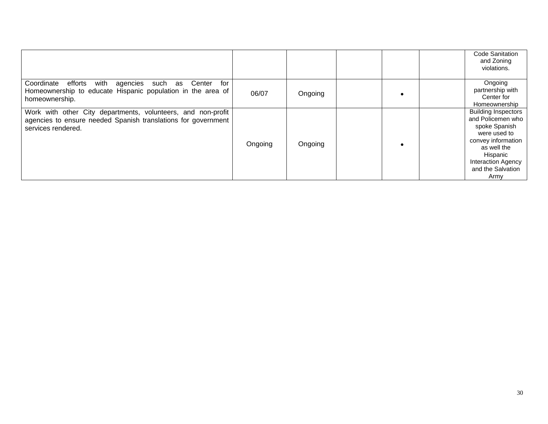|                                                                                                                                                     |         |         | Code Sanitation<br>and Zoning<br>violations.                                                                                                                                                |
|-----------------------------------------------------------------------------------------------------------------------------------------------------|---------|---------|---------------------------------------------------------------------------------------------------------------------------------------------------------------------------------------------|
| with<br>Center<br>Coordinate<br>for<br>efforts<br>agencies such as<br>Homeownership to educate Hispanic population in the area of<br>homeownership. | 06/07   | Ongoing | Ongoing<br>partnership with<br>Center for<br>Homeownership                                                                                                                                  |
| Work with other City departments, volunteers, and non-profit<br>agencies to ensure needed Spanish translations for government<br>services rendered. | Ongoing | Ongoing | <b>Building Inspectors</b><br>and Policemen who<br>spoke Spanish<br>were used to<br>convey information<br>as well the<br>Hispanic<br><b>Interaction Agency</b><br>and the Salvation<br>Army |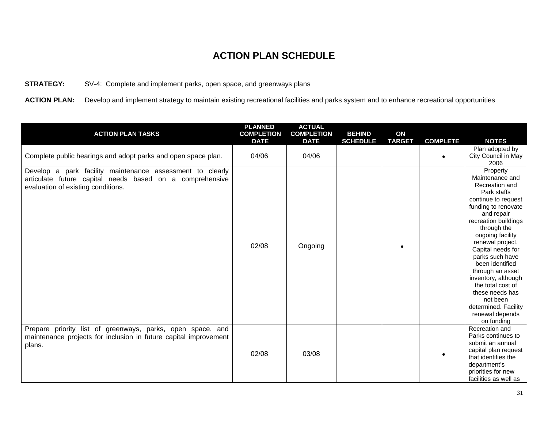#### **STRATEGY:** SV-4: Complete and implement parks, open space, and greenways plans

ACTION PLAN: Develop and implement strategy to maintain existing recreational facilities and parks system and to enhance recreational opportunities

| <b>ACTION PLAN TASKS</b>                                                                                                                                    | <b>PLANNED</b><br><b>COMPLETION</b><br><b>DATE</b> | <b>ACTUAL</b><br><b>COMPLETION</b><br><b>DATE</b> | <b>BEHIND</b><br><b>SCHEDULE</b> | ON<br><b>TARGET</b> | <b>COMPLETE</b> | <b>NOTES</b>                                                                                                                                                                                                                                                                                                                                                                                                               |
|-------------------------------------------------------------------------------------------------------------------------------------------------------------|----------------------------------------------------|---------------------------------------------------|----------------------------------|---------------------|-----------------|----------------------------------------------------------------------------------------------------------------------------------------------------------------------------------------------------------------------------------------------------------------------------------------------------------------------------------------------------------------------------------------------------------------------------|
| Complete public hearings and adopt parks and open space plan.                                                                                               | 04/06                                              | 04/06                                             |                                  |                     | $\bullet$       | Plan adopted by<br>City Council in May<br>2006                                                                                                                                                                                                                                                                                                                                                                             |
| Develop a park facility maintenance assessment to clearly<br>articulate future capital needs based on a comprehensive<br>evaluation of existing conditions. | 02/08                                              | Ongoing                                           |                                  |                     |                 | Property<br>Maintenance and<br>Recreation and<br>Park staffs<br>continue to request<br>funding to renovate<br>and repair<br>recreation buildings<br>through the<br>ongoing facility<br>renewal project.<br>Capital needs for<br>parks such have<br>been identified<br>through an asset<br>inventory, although<br>the total cost of<br>these needs has<br>not been<br>determined. Facility<br>renewal depends<br>on funding |
| Prepare priority list of greenways, parks, open space, and<br>maintenance projects for inclusion in future capital improvement<br>plans.                    | 02/08                                              | 03/08                                             |                                  |                     |                 | Recreation and<br>Parks continues to<br>submit an annual<br>capital plan request<br>that identifies the<br>department's<br>priorities for new<br>facilities as well as                                                                                                                                                                                                                                                     |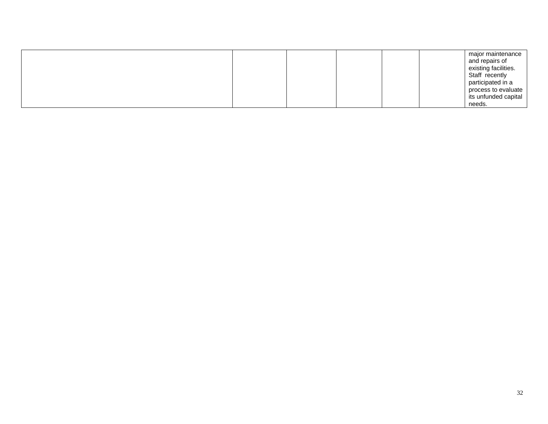|  | major maintenance<br>and repairs of<br>existing facilities.<br>Staff recently<br>participated in a<br>process to evaluate<br>its unfunded capital |
|--|---------------------------------------------------------------------------------------------------------------------------------------------------|
|  | needs.                                                                                                                                            |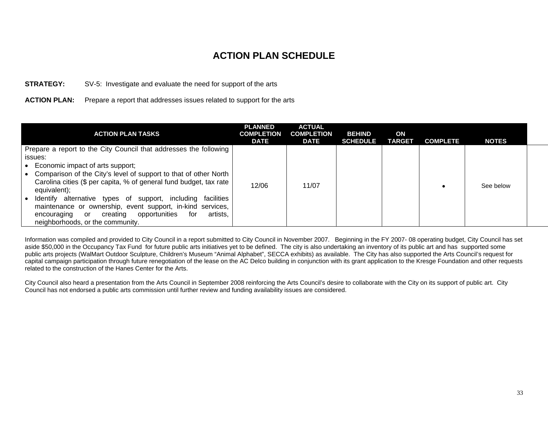#### **STRATEGY:** SV-5: Investigate and evaluate the need for support of the arts

#### **ACTION PLAN:** Prepare a report that addresses issues related to support for the arts

| ACTION PLAN TASKS                                                                                                                      | <b>PLANNED</b><br><b>COMPLETION</b><br><b>DATE</b> | <b>ACTUAL</b><br><b>COMPLETION</b><br><b>DATE</b> | <b>BEHIND</b><br><b>SCHEDULE</b> | ON<br><b>TARGET</b> | <b>COMPLETE</b> | <b>NOTES</b> |  |
|----------------------------------------------------------------------------------------------------------------------------------------|----------------------------------------------------|---------------------------------------------------|----------------------------------|---------------------|-----------------|--------------|--|
| Prepare a report to the City Council that addresses the following                                                                      |                                                    |                                                   |                                  |                     |                 |              |  |
| issues:                                                                                                                                |                                                    |                                                   |                                  |                     |                 |              |  |
| Economic impact of arts support;                                                                                                       |                                                    |                                                   |                                  |                     |                 |              |  |
| Comparison of the City's level of support to that of other North<br>Carolina cities (\$ per capita, % of general fund budget, tax rate | 12/06                                              | 11/07                                             |                                  |                     |                 | See below    |  |
| equivalent);                                                                                                                           |                                                    |                                                   |                                  |                     |                 |              |  |
| alternative types of support, including<br>Identify<br>facilities                                                                      |                                                    |                                                   |                                  |                     |                 |              |  |
| maintenance or ownership, event support, in-kind services,                                                                             |                                                    |                                                   |                                  |                     |                 |              |  |
| opportunities<br>for<br>artists.<br>creating<br>encouraging<br>or                                                                      |                                                    |                                                   |                                  |                     |                 |              |  |
| neighborhoods, or the community.                                                                                                       |                                                    |                                                   |                                  |                     |                 |              |  |

Information was compiled and provided to City Council in a report submitted to City Council in November 2007. Beginning in the FY 2007- 08 operating budget, City Council has set aside \$50,000 in the Occupancy Tax Fund for future public arts initiatives yet to be defined. The city is also undertaking an inventory of its public art and has supported some public arts projects (WalMart Outdoor Sculpture, Children's Museum "Animal Alphabet", SECCA exhibits) as available. The City has also supported the Arts Council's request for capital campaign participation through future renegotiation of the lease on the AC Delco building in conjunction with its grant application to the Kresge Foundation and other requests related to the construction of the Hanes Center for the Arts.

City Council also heard a presentation from the Arts Council in September 2008 reinforcing the Arts Council's desire to collaborate with the City on its support of public art. City Council has not endorsed a public arts commission until further review and funding availability issues are considered.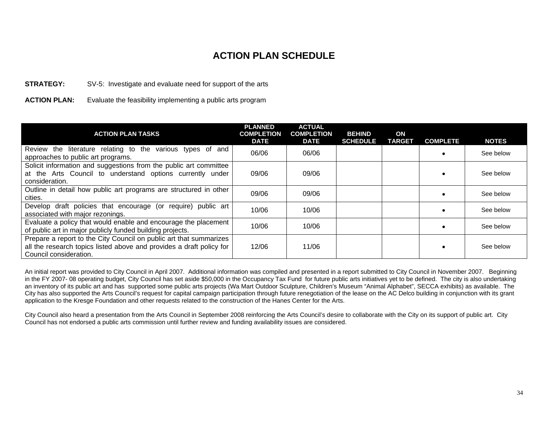#### **STRATEGY:** SV-5: Investigate and evaluate need for support of the arts

**ACTION PLAN:** Evaluate the feasibility implementing a public arts program

| <b>ACTION PLAN TASKS</b>                                                                                                                                             | <b>PLANNED</b><br><b>COMPLETION</b><br><b>DATE</b> | <b>ACTUAL</b><br><b>COMPLETION</b><br><b>DATE</b> | <b>BEHIND</b><br><b>SCHEDULE</b> | ON<br><b>TARGET</b> | <b>COMPLETE</b> | <b>NOTES</b> |
|----------------------------------------------------------------------------------------------------------------------------------------------------------------------|----------------------------------------------------|---------------------------------------------------|----------------------------------|---------------------|-----------------|--------------|
| the literature relating to the various types of and<br>Review<br>approaches to public art programs.                                                                  | 06/06                                              | 06/06                                             |                                  |                     |                 | See below    |
| Solicit information and suggestions from the public art committee<br>at the Arts Council to understand options currently under<br>consideration.                     | 09/06                                              | 09/06                                             |                                  |                     |                 | See below    |
| Outline in detail how public art programs are structured in other<br>cities.                                                                                         | 09/06                                              | 09/06                                             |                                  |                     |                 | See below    |
| Develop draft policies that encourage (or require) public art<br>associated with major rezonings.                                                                    | 10/06                                              | 10/06                                             |                                  |                     |                 | See below    |
| Evaluate a policy that would enable and encourage the placement<br>of public art in major publicly funded building projects.                                         | 10/06                                              | 10/06                                             |                                  |                     |                 | See below    |
| Prepare a report to the City Council on public art that summarizes<br>all the research topics listed above and provides a draft policy for<br>Council consideration. | 12/06                                              | 11/06                                             |                                  |                     |                 | See below    |

An initial report was provided to City Council in April 2007. Additional information was compiled and presented in a report submitted to City Council in November 2007. Beginning in the FY 2007- 08 operating budget, City Council has set aside \$50,000 in the Occupancy Tax Fund for future public arts initiatives yet to be defined. The city is also undertaking an inventory of its public art and has supported some public arts projects (Wa Mart Outdoor Sculpture, Children's Museum "Animal Alphabet", SECCA exhibits) as available. The City has also supported the Arts Council's request for capital campaign participation through future renegotiation of the lease on the AC Delco building in conjunction with its grant application to the Kresge Foundation and other requests related to the construction of the Hanes Center for the Arts.

City Council also heard a presentation from the Arts Council in September 2008 reinforcing the Arts Council's desire to collaborate with the City on its support of public art. City Council has not endorsed a public arts commission until further review and funding availability issues are considered.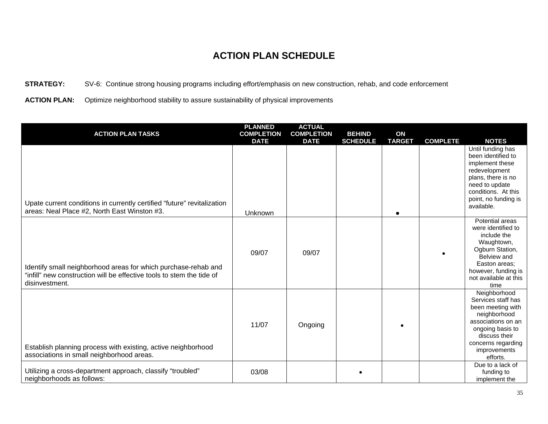**STRATEGY:** SV-6: Continue strong housing programs including effort/emphasis on new construction, rehab, and code enforcement

**ACTION PLAN:** Optimize neighborhood stability to assure sustainability of physical improvements

| <b>ACTION PLAN TASKS</b>                                                                                                                                  | <b>PLANNED</b><br><b>COMPLETION</b> | <b>ACTUAL</b><br><b>COMPLETION</b> | <b>BEHIND</b>   | ON            |                 |                                                                                                                                                                                      |
|-----------------------------------------------------------------------------------------------------------------------------------------------------------|-------------------------------------|------------------------------------|-----------------|---------------|-----------------|--------------------------------------------------------------------------------------------------------------------------------------------------------------------------------------|
|                                                                                                                                                           | <b>DATE</b>                         | <b>DATE</b>                        | <b>SCHEDULE</b> | <b>TARGET</b> | <b>COMPLETE</b> | <b>NOTES</b>                                                                                                                                                                         |
| Upate current conditions in currently certified "future" revitalization<br>areas: Neal Place #2, North East Winston #3.                                   | Unknown                             |                                    |                 |               |                 | Until funding has<br>been identified to<br>implement these<br>redevelopment<br>plans, there is no<br>need to update<br>conditions. At this<br>point, no funding is<br>available.     |
| Identify small neighborhood areas for which purchase-rehab and<br>"infill" new construction will be effective tools to stem the tide of<br>disinvestment. | 09/07                               | 09/07                              |                 |               |                 | Potential areas<br>were identified to<br>include the<br>Waughtown,<br>Ogburn Station,<br>Belview and<br>Easton areas;<br>however, funding is<br>not available at this<br>time        |
| Establish planning process with existing, active neighborhood<br>associations in small neighborhood areas.                                                | 11/07                               | Ongoing                            |                 |               |                 | Neighborhood<br>Services staff has<br>been meeting with<br>neighborhood<br>associations on an<br>ongoing basis to<br>discuss their<br>concerns regarding<br>improvements<br>efforts. |
| Utilizing a cross-department approach, classify "troubled"<br>neighborhoods as follows:                                                                   | 03/08                               |                                    |                 |               |                 | Due to a lack of<br>funding to<br>implement the                                                                                                                                      |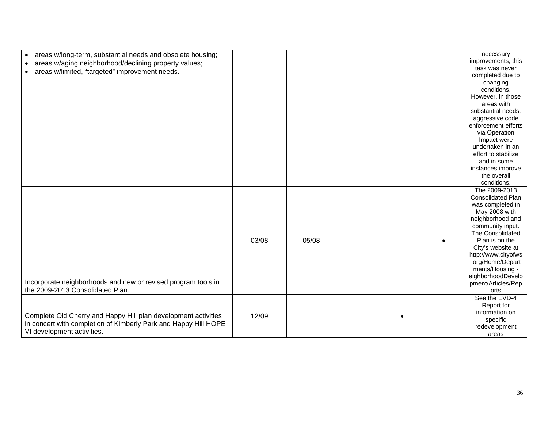| areas w/long-term, substantial needs and obsolete housing;      |       |       |  | necessary                |
|-----------------------------------------------------------------|-------|-------|--|--------------------------|
|                                                                 |       |       |  | improvements, this       |
| areas w/aging neighborhood/declining property values;           |       |       |  | task was never           |
| areas w/limited, "targeted" improvement needs.                  |       |       |  | completed due to         |
|                                                                 |       |       |  | changing                 |
|                                                                 |       |       |  | conditions.              |
|                                                                 |       |       |  | However, in those        |
|                                                                 |       |       |  | areas with               |
|                                                                 |       |       |  | substantial needs,       |
|                                                                 |       |       |  | aggressive code          |
|                                                                 |       |       |  | enforcement efforts      |
|                                                                 |       |       |  | via Operation            |
|                                                                 |       |       |  | Impact were              |
|                                                                 |       |       |  | undertaken in an         |
|                                                                 |       |       |  | effort to stabilize      |
|                                                                 |       |       |  | and in some              |
|                                                                 |       |       |  | instances improve        |
|                                                                 |       |       |  | the overall              |
|                                                                 |       |       |  | conditions.              |
|                                                                 |       |       |  | The 2009-2013            |
|                                                                 |       |       |  | <b>Consolidated Plan</b> |
|                                                                 |       |       |  | was completed in         |
|                                                                 |       |       |  | May 2008 with            |
|                                                                 |       |       |  | neighborhood and         |
|                                                                 |       |       |  | community input.         |
|                                                                 |       |       |  | The Consolidated         |
|                                                                 | 03/08 | 05/08 |  | Plan is on the           |
|                                                                 |       |       |  | City's website at        |
|                                                                 |       |       |  | http://www.cityofws      |
|                                                                 |       |       |  | .org/Home/Depart         |
|                                                                 |       |       |  | ments/Housing -          |
|                                                                 |       |       |  | eighborhoodDevelo        |
| Incorporate neighborhoods and new or revised program tools in   |       |       |  | pment/Articles/Rep       |
| the 2009-2013 Consolidated Plan.                                |       |       |  | orts                     |
|                                                                 |       |       |  | See the EVD-4            |
|                                                                 |       |       |  | Report for               |
|                                                                 |       |       |  | information on           |
| Complete Old Cherry and Happy Hill plan development activities  | 12/09 |       |  | specific                 |
| in concert with completion of Kimberly Park and Happy Hill HOPE |       |       |  | redevelopment            |
| VI development activities.                                      |       |       |  | areas                    |
|                                                                 |       |       |  |                          |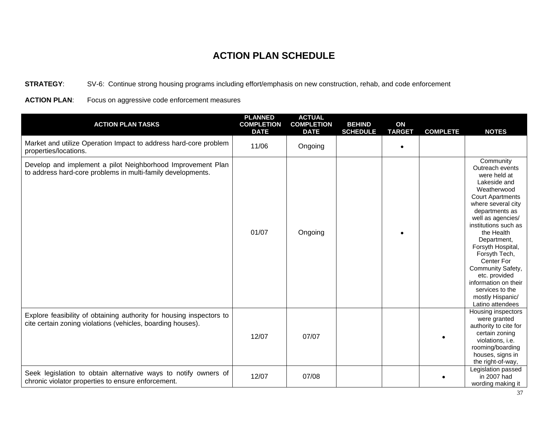**STRATEGY**: SV-6: Continue strong housing programs including effort/emphasis on new construction, rehab, and code enforcement

**ACTION PLAN**: Focus on aggressive code enforcement measures

| <b>ACTION PLAN TASKS</b>                                                                                                            | <b>PLANNED</b><br><b>COMPLETION</b><br><b>DATE</b> | <b>ACTUAL</b><br><b>COMPLETION</b><br><b>DATE</b> | <b>BEHIND</b><br><b>SCHEDULE</b> | ON<br><b>TARGET</b> | <b>COMPLETE</b> | <b>NOTES</b>                                                                                                                                                                                                                                                                                                                                                                                          |
|-------------------------------------------------------------------------------------------------------------------------------------|----------------------------------------------------|---------------------------------------------------|----------------------------------|---------------------|-----------------|-------------------------------------------------------------------------------------------------------------------------------------------------------------------------------------------------------------------------------------------------------------------------------------------------------------------------------------------------------------------------------------------------------|
| Market and utilize Operation Impact to address hard-core problem<br>properties/locations.                                           | 11/06                                              | Ongoing                                           |                                  | $\bullet$           |                 |                                                                                                                                                                                                                                                                                                                                                                                                       |
| Develop and implement a pilot Neighborhood Improvement Plan<br>to address hard-core problems in multi-family developments.          | 01/07                                              | Ongoing                                           |                                  |                     |                 | Community<br>Outreach events<br>were held at<br>Lakeside and<br>Weatherwood<br><b>Court Apartments</b><br>where several city<br>departments as<br>well as agencies/<br>institutions such as<br>the Health<br>Department,<br>Forsyth Hospital,<br>Forsyth Tech,<br>Center For<br>Community Safety,<br>etc. provided<br>information on their<br>services to the<br>mostly Hispanic/<br>Latino attendees |
| Explore feasibility of obtaining authority for housing inspectors to<br>cite certain zoning violations (vehicles, boarding houses). | 12/07                                              | 07/07                                             |                                  |                     |                 | Housing inspectors<br>were granted<br>authority to cite for<br>certain zoning<br>violations, i.e.<br>rooming/boarding<br>houses, signs in<br>the right-of-way,                                                                                                                                                                                                                                        |
| Seek legislation to obtain alternative ways to notify owners of<br>chronic violator properties to ensure enforcement.               | 12/07                                              | 07/08                                             |                                  |                     |                 | Legislation passed<br>in 2007 had<br>wording making it                                                                                                                                                                                                                                                                                                                                                |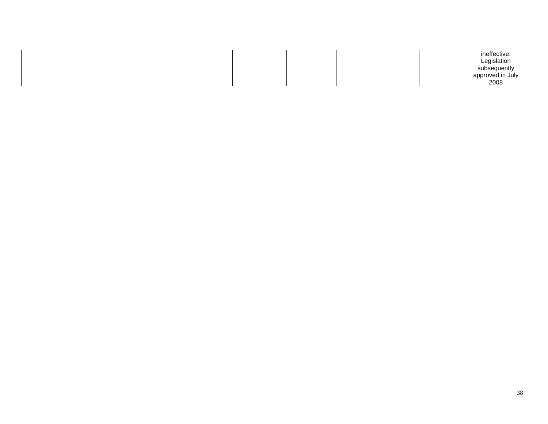|  |  |  | ineffective.<br>Legislation<br>subsequently<br>approved in July |
|--|--|--|-----------------------------------------------------------------|
|  |  |  | 2008                                                            |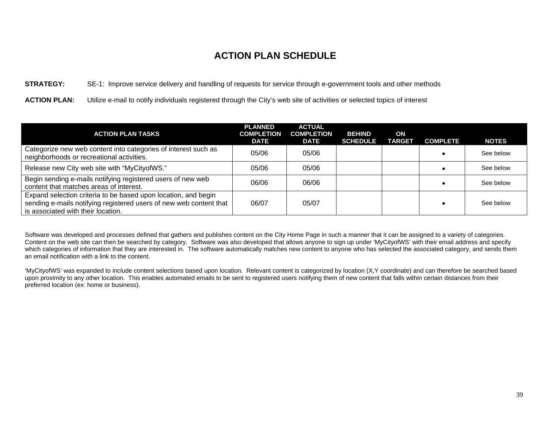#### **STRATEGY:** SE-1: Improve service delivery and handling of requests for service through e-government tools and other methods

**ACTION PLAN:** Utilize e-mail to notify individuals registered through the City's web site of activities or selected topics of interest

| <b>ACTION PLAN TASKS</b>                                                                                                                                                   | <b>PLANNED</b><br><b>COMPLETION</b><br><b>DATE</b> | <b>ACTUAL</b><br><b>COMPLETION</b><br><b>DATE</b> | <b>BEHIND</b><br><b>SCHEDULE</b> | ON<br><b>TARGET</b> | <b>COMPLETE</b> | <b>NOTES</b> |
|----------------------------------------------------------------------------------------------------------------------------------------------------------------------------|----------------------------------------------------|---------------------------------------------------|----------------------------------|---------------------|-----------------|--------------|
| Categorize new web content into categories of interest such as<br>neighborhoods or recreational activities.                                                                | 05/06                                              | 05/06                                             |                                  |                     |                 | See below    |
| Release new City web site with "MyCityofWS."                                                                                                                               | 05/06                                              | 05/06                                             |                                  |                     |                 | See below    |
| Begin sending e-mails notifying registered users of new web<br>content that matches areas of interest.                                                                     | 06/06                                              | 06/06                                             |                                  |                     |                 | See below    |
| Expand selection criteria to be based upon location, and begin<br>sending e-mails notifying registered users of new web content that<br>is associated with their location. | 06/07                                              | 05/07                                             |                                  |                     |                 | See below    |

Software was developed and processes defined that gathers and publishes content on the City Home Page in such a manner that it can be assigned to a variety of categories. Content on the web site can then be searched by category. Software was also developed that allows anyone to sign up under 'MyCityofWS' with their email address and specify which categories of information that they are interested in. The software automatically matches new content to anyone who has selected the associated category, and sends them an email notification with a link to the content.

'MyCityofWS' was expanded to include content selections based upon location. Relevant content is categorized by location (X,Y coordinate) and can therefore be searched based upon proximity to any other location. This enables automated emails to be sent to registered users notifying them of new content that falls within certain distances from their preferred location (ex: home or business).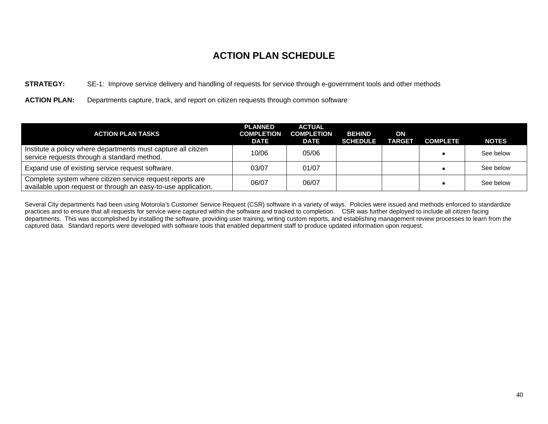#### **STRATEGY:** SE-1: Improve service delivery and handling of requests for service through e-government tools and other methods

**ACTION PLAN:** Departments capture, track, and report on citizen requests through common software

| <b>ACTION PLAN TASKS</b>                                                                                                   | <b>PLANNED</b><br><b>COMPLETION</b><br>DATE | <b>ACTUAL</b><br><b>COMPLETION</b><br>DATE | <b>BEHIND</b><br><b>SCHEDULE</b> | ON<br><b>TARGET</b> | <b>COMPLETE</b> | <b>NOTES</b> |
|----------------------------------------------------------------------------------------------------------------------------|---------------------------------------------|--------------------------------------------|----------------------------------|---------------------|-----------------|--------------|
| Institute a policy where departments must capture all citizen<br>service requests through a standard method.               | 10/06                                       | 05/06                                      |                                  |                     |                 | See below    |
| Expand use of existing service request software.                                                                           | 03/07                                       | 01/07                                      |                                  |                     |                 | See below    |
| Complete system where citizen service request reports are<br>available upon request or through an easy-to-use application. | 06/07                                       | 06/07                                      |                                  |                     |                 | See below    |

Several City departments had been using Motorola's Customer Service Request (CSR) software in a variety of ways. Policies were issued and methods enforced to standardize practices and to ensure that all requests for service were captured within the software and tracked to completion. CSR was further deployed to include all citizen facing departments. This was accomplished by installing the software, providing user training, writing custom reports, and establishing management review processes to learn from the captured data. Standard reports were developed with software tools that enabled department staff to produce updated information upon request.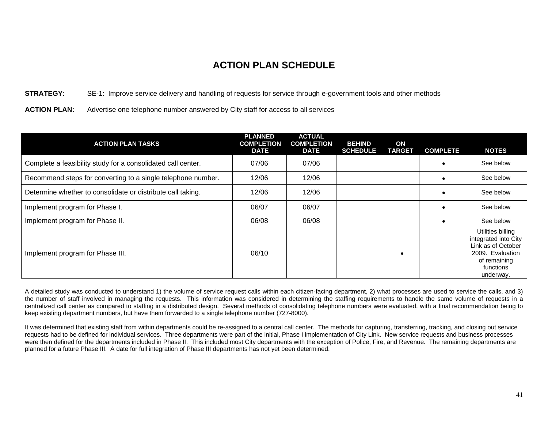#### **STRATEGY:** SE-1: Improve service delivery and handling of requests for service through e-government tools and other methods

#### **ACTION PLAN:** Advertise one telephone number answered by City staff for access to all services

| <b>ACTION PLAN TASKS</b>                                     | <b>PLANNED</b><br><b>COMPLETION</b><br><b>DATE</b> | <b>ACTUAL</b><br><b>COMPLETION</b><br><b>DATE</b> | <b>BEHIND</b><br><b>SCHEDULE</b> | ON<br><b>TARGET</b> | <b>COMPLETE</b> | <b>NOTES</b>                                                                                                                  |
|--------------------------------------------------------------|----------------------------------------------------|---------------------------------------------------|----------------------------------|---------------------|-----------------|-------------------------------------------------------------------------------------------------------------------------------|
| Complete a feasibility study for a consolidated call center. | 07/06                                              | 07/06                                             |                                  |                     |                 | See below                                                                                                                     |
| Recommend steps for converting to a single telephone number. | 12/06                                              | 12/06                                             |                                  |                     |                 | See below                                                                                                                     |
| Determine whether to consolidate or distribute call taking.  | 12/06                                              | 12/06                                             |                                  |                     |                 | See below                                                                                                                     |
| Implement program for Phase I.                               | 06/07                                              | 06/07                                             |                                  |                     |                 | See below                                                                                                                     |
| Implement program for Phase II.                              | 06/08                                              | 06/08                                             |                                  |                     |                 | See below                                                                                                                     |
| Implement program for Phase III.                             | 06/10                                              |                                                   |                                  |                     |                 | Utilities billing<br>integrated into City<br>Link as of October<br>2009. Evaluation<br>of remaining<br>functions<br>underway. |

A detailed study was conducted to understand 1) the volume of service request calls within each citizen-facing department, 2) what processes are used to service the calls, and 3) the number of staff involved in managing the requests. This information was considered in determining the staffing requirements to handle the same volume of requests in a centralized call center as compared to staffing in a distributed design. Several methods of consolidating telephone numbers were evaluated, with a final recommendation being to keep existing department numbers, but have them forwarded to a single telephone number (727-8000).

It was determined that existing staff from within departments could be re-assigned to a central call center. The methods for capturing, transferring, tracking, and closing out service requests had to be defined for individual services. Three departments were part of the initial, Phase I implementation of City Link. New service requests and business processes were then defined for the departments included in Phase II. This included most City departments with the exception of Police, Fire, and Revenue. The remaining departments are planned for a future Phase III. A date for full integration of Phase III departments has not yet been determined.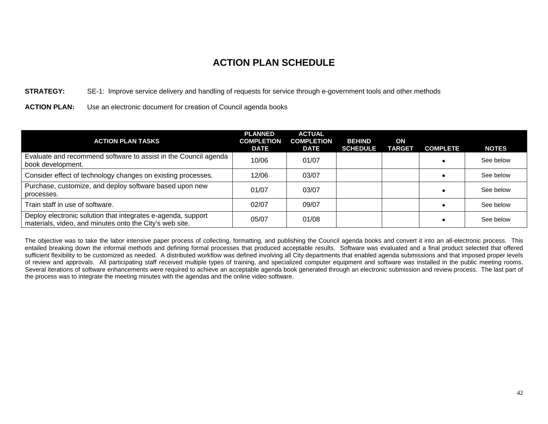#### **STRATEGY:** SE-1: Improve service delivery and handling of requests for service through e-government tools and other methods

#### **ACTION PLAN:** Use an electronic document for creation of Council agenda books

| <b>ACTION PLAN TASKS</b>                                                                                                | <b>PLANNED</b><br><b>COMPLETION</b><br><b>DATE</b> | <b>ACTUAL</b><br><b>COMPLETION</b><br><b>DATE</b> | <b>BEHIND</b><br><b>SCHEDULE</b> | ON<br><b>TARGET</b> | <b>COMPLETE</b> | <b>NOTES</b> |
|-------------------------------------------------------------------------------------------------------------------------|----------------------------------------------------|---------------------------------------------------|----------------------------------|---------------------|-----------------|--------------|
| Evaluate and recommend software to assist in the Council agenda<br>book development.                                    | 10/06                                              | 01/07                                             |                                  |                     |                 | See below    |
| Consider effect of technology changes on existing processes.                                                            | 12/06                                              | 03/07                                             |                                  |                     |                 | See below    |
| Purchase, customize, and deploy software based upon new<br>processes.                                                   | 01/07                                              | 03/07                                             |                                  |                     |                 | See below    |
| Train staff in use of software.                                                                                         | 02/07                                              | 09/07                                             |                                  |                     |                 | See below    |
| Deploy electronic solution that integrates e-agenda, support<br>materials, video, and minutes onto the City's web site. | 05/07                                              | 01/08                                             |                                  |                     |                 | See below    |

The objective was to take the labor intensive paper process of collecting, formatting, and publishing the Council agenda books and convert it into an all-electronic process. This entailed breaking down the informal methods and defining formal processes that produced acceptable results. Software was evaluated and a final product selected that offered sufficient flexibility to be customized as needed. A distributed workflow was defined involving all City departments that enabled agenda submissions and that imposed proper levels of review and approvals. All participating staff received multiple types of training, and specialized computer equipment and software was installed in the public meeting rooms. Several iterations of software enhancements were required to achieve an acceptable agenda book generated through an electronic submission and review process. The last part of the process was to integrate the meeting minutes with the agendas and the online video software.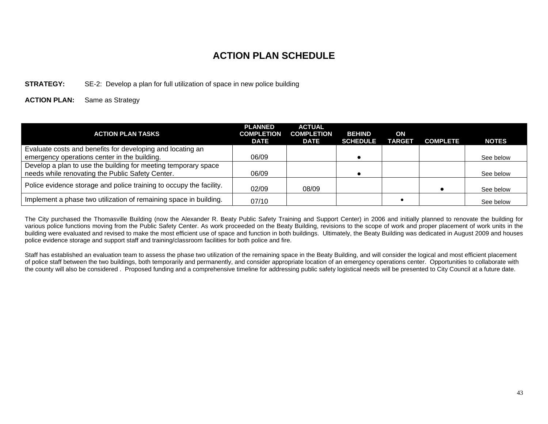#### **STRATEGY:** SE-2: Develop a plan for full utilization of space in new police building

#### **ACTION PLAN:** Same as Strategy

| <b>ACTION PLAN TASKS</b>                                            | <b>PLANNED</b><br><b>COMPLETION</b><br><b>DATE</b> | <b>ACTUAL</b><br><b>COMPLETION</b><br><b>DATE</b> | <b>BEHIND</b><br><b>SCHEDULE</b> | ON<br><b>TARGET</b> | <b>COMPLETE</b> | <b>NOTES</b> |
|---------------------------------------------------------------------|----------------------------------------------------|---------------------------------------------------|----------------------------------|---------------------|-----------------|--------------|
| Evaluate costs and benefits for developing and locating an          |                                                    |                                                   |                                  |                     |                 |              |
| emergency operations center in the building.                        | 06/09                                              |                                                   |                                  |                     |                 | See below    |
| Develop a plan to use the building for meeting temporary space      |                                                    |                                                   |                                  |                     |                 |              |
| needs while renovating the Public Safety Center.                    | 06/09                                              |                                                   |                                  |                     |                 | See below    |
| Police evidence storage and police training to occupy the facility. | 02/09                                              | 08/09                                             |                                  |                     |                 | See below    |
| Implement a phase two utilization of remaining space in building.   | 07/10                                              |                                                   |                                  |                     |                 | See below    |

The City purchased the Thomasville Building (now the Alexander R. Beaty Public Safety Training and Support Center) in 2006 and initially planned to renovate the building for various police functions moving from the Public Safety Center. As work proceeded on the Beaty Building, revisions to the scope of work and proper placement of work units in the building were evaluated and revised to make the most efficient use of space and function in both buildings. Ultimately, the Beaty Building was dedicated in August 2009 and houses police evidence storage and support staff and training/classroom facilities for both police and fire.

Staff has established an evaluation team to assess the phase two utilization of the remaining space in the Beaty Building, and will consider the logical and most efficient placement of police staff between the two buildings, both temporarily and permanently, and consider appropriate location of an emergency operations center. Opportunities to collaborate with the county will also be considered . Proposed funding and a comprehensive timeline for addressing public safety logistical needs will be presented to City Council at a future date.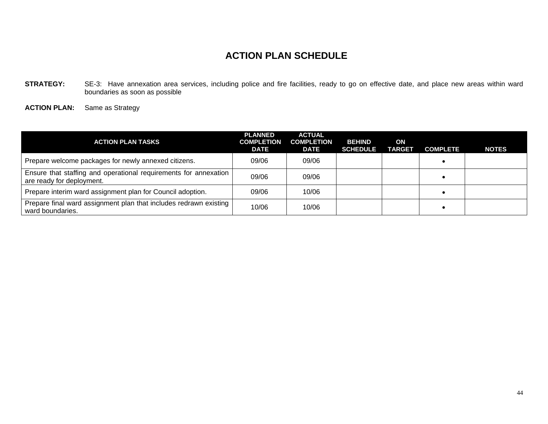STRATEGY: SE-3: Have annexation area services, including police and fire facilities, ready to go on effective date, and place new areas within ward boundaries as soon as possible

**ACTION PLAN:** Same as Strategy

| <b>ACTION PLAN TASKS</b>                                                                      | <b>PLANNED</b><br><b>COMPLETION</b><br>DATE | <b>ACTUAL</b><br><b>COMPLETION</b><br>DATE | <b>BEHIND</b><br><b>SCHEDULE</b> | ON<br><b>TARGET</b> | <b>COMPLETE</b> | <b>NOTES</b> |
|-----------------------------------------------------------------------------------------------|---------------------------------------------|--------------------------------------------|----------------------------------|---------------------|-----------------|--------------|
| Prepare welcome packages for newly annexed citizens.                                          | 09/06                                       | 09/06                                      |                                  |                     |                 |              |
| Ensure that staffing and operational requirements for annexation<br>are ready for deployment. | 09/06                                       | 09/06                                      |                                  |                     |                 |              |
| Prepare interim ward assignment plan for Council adoption.                                    | 09/06                                       | 10/06                                      |                                  |                     |                 |              |
| Prepare final ward assignment plan that includes redrawn existing<br>ward boundaries.         | 10/06                                       | 10/06                                      |                                  |                     |                 |              |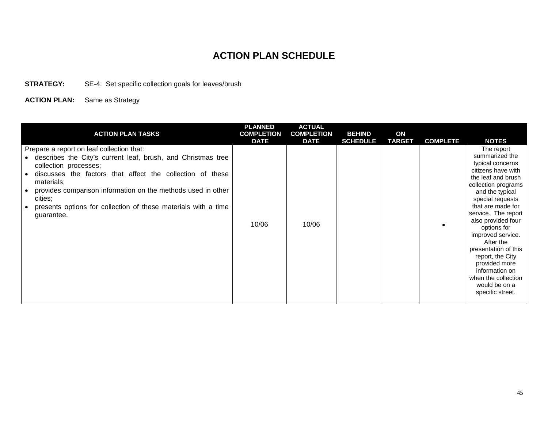**STRATEGY:** SE-4: Set specific collection goals for leaves/brush

**ACTION PLAN:** Same as Strategy

| <b>ACTION PLAN TASKS</b>                                                                                                                                                                                                                                                                                                                                                 | <b>PLANNED</b><br><b>COMPLETION</b><br><b>DATE</b> | <b>ACTUAL</b><br><b>COMPLETION</b><br><b>DATE</b> | <b>BEHIND</b><br><b>SCHEDULE</b> | ON<br><b>TARGET</b> | <b>COMPLETE</b> | <b>NOTES</b>                                                                                                                                                                                                                                                                                                                                                                                                             |
|--------------------------------------------------------------------------------------------------------------------------------------------------------------------------------------------------------------------------------------------------------------------------------------------------------------------------------------------------------------------------|----------------------------------------------------|---------------------------------------------------|----------------------------------|---------------------|-----------------|--------------------------------------------------------------------------------------------------------------------------------------------------------------------------------------------------------------------------------------------------------------------------------------------------------------------------------------------------------------------------------------------------------------------------|
| Prepare a report on leaf collection that:<br>describes the City's current leaf, brush, and Christmas tree<br>collection processes;<br>discusses the factors that affect the collection of these<br>materials;<br>provides comparison information on the methods used in other<br>cities;<br>presents options for collection of these materials with a time<br>guarantee. | 10/06                                              | 10/06                                             |                                  |                     |                 | The report<br>summarized the<br>typical concerns<br>citizens have with<br>the leaf and brush<br>collection programs<br>and the typical<br>special requests<br>that are made for<br>service. The report<br>also provided four<br>options for<br>improved service.<br>After the<br>presentation of this<br>report, the City<br>provided more<br>information on<br>when the collection<br>would be on a<br>specific street. |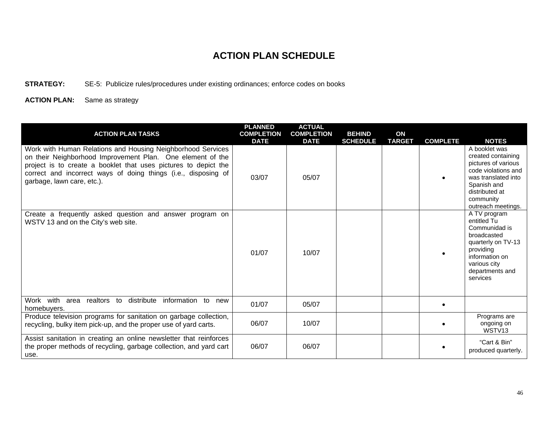#### **STRATEGY:** SE-5: Publicize rules/procedures under existing ordinances; enforce codes on books

**ACTION PLAN:** Same as strategy

| <b>ACTION PLAN TASKS</b>                                                                                                                                                                                                                                                                     | <b>PLANNED</b><br><b>COMPLETION</b><br><b>DATE</b> | <b>ACTUAL</b><br><b>COMPLETION</b><br><b>DATE</b> | <b>BEHIND</b><br><b>SCHEDULE</b> | ON<br><b>TARGET</b> | <b>COMPLETE</b> | <b>NOTES</b>                                                                                                                                                                 |
|----------------------------------------------------------------------------------------------------------------------------------------------------------------------------------------------------------------------------------------------------------------------------------------------|----------------------------------------------------|---------------------------------------------------|----------------------------------|---------------------|-----------------|------------------------------------------------------------------------------------------------------------------------------------------------------------------------------|
| Work with Human Relations and Housing Neighborhood Services<br>on their Neighborhood Improvement Plan. One element of the<br>project is to create a booklet that uses pictures to depict the<br>correct and incorrect ways of doing things (i.e., disposing of<br>garbage, lawn care, etc.). | 03/07                                              | 05/07                                             |                                  |                     |                 | A booklet was<br>created containing<br>pictures of various<br>code violations and<br>was translated into<br>Spanish and<br>distributed at<br>community<br>outreach meetings. |
| Create a frequently asked question and answer program on<br>WSTV 13 and on the City's web site.                                                                                                                                                                                              | 01/07                                              | 10/07                                             |                                  |                     | ٠               | A TV program<br>entitled Tu<br>Communidad is<br>broadcasted<br>quarterly on TV-13<br>providing<br>information on<br>various city<br>departments and<br>services              |
| Work with<br>distribute<br>information<br>area realtors to<br>to<br>new<br>homebuyers.                                                                                                                                                                                                       | 01/07                                              | 05/07                                             |                                  |                     | $\bullet$       |                                                                                                                                                                              |
| Produce television programs for sanitation on garbage collection,<br>recycling, bulky item pick-up, and the proper use of yard carts.                                                                                                                                                        | 06/07                                              | 10/07                                             |                                  |                     |                 | Programs are<br>ongoing on<br>WSTV13                                                                                                                                         |
| Assist sanitation in creating an online newsletter that reinforces<br>the proper methods of recycling, garbage collection, and yard cart<br>use.                                                                                                                                             | 06/07                                              | 06/07                                             |                                  |                     |                 | "Cart & Bin"<br>produced quarterly.                                                                                                                                          |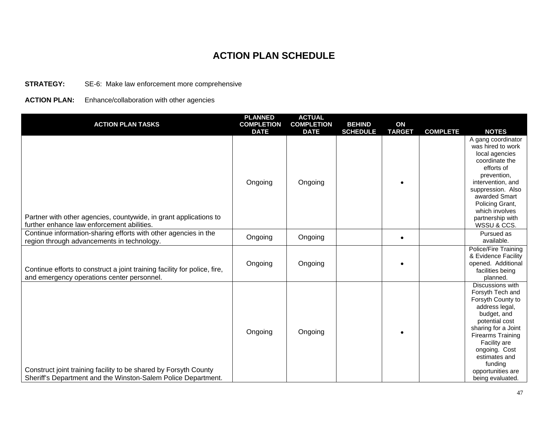#### **STRATEGY:** SE-6: Make law enforcement more comprehensive

#### **ACTION PLAN:** Enhance/collaboration with other agencies

| <b>ACTION PLAN TASKS</b>                                                                                                          | <b>PLANNED</b><br><b>COMPLETION</b><br><b>DATE</b> | <b>ACTUAL</b><br><b>COMPLETION</b><br><b>DATE</b> | <b>BEHIND</b><br><b>SCHEDULE</b> | ON<br><b>TARGET</b> | <b>COMPLETE</b> | <b>NOTES</b>                                                                                                                                                                                                                                                          |
|-----------------------------------------------------------------------------------------------------------------------------------|----------------------------------------------------|---------------------------------------------------|----------------------------------|---------------------|-----------------|-----------------------------------------------------------------------------------------------------------------------------------------------------------------------------------------------------------------------------------------------------------------------|
| Partner with other agencies, countywide, in grant applications to<br>further enhance law enforcement abilities.                   | Ongoing                                            | Ongoing                                           |                                  |                     |                 | A gang coordinator<br>was hired to work<br>local agencies<br>coordinate the<br>efforts of<br>prevention,<br>intervention, and<br>suppression. Also<br>awarded Smart<br>Policing Grant,<br>which involves<br>partnership with<br>WSSU & CCS.                           |
| Continue information-sharing efforts with other agencies in the<br>region through advancements in technology.                     | Ongoing                                            | Ongoing                                           |                                  | ٠                   |                 | Pursued as<br>available.                                                                                                                                                                                                                                              |
| Continue efforts to construct a joint training facility for police, fire,<br>and emergency operations center personnel.           | Ongoing                                            | Ongoing                                           |                                  |                     |                 | Police/Fire Training<br>& Evidence Facility<br>opened. Additional<br>facilities being<br>planned.                                                                                                                                                                     |
| Construct joint training facility to be shared by Forsyth County<br>Sheriff's Department and the Winston-Salem Police Department. | Ongoing                                            | Ongoing                                           |                                  |                     |                 | Discussions with<br>Forsyth Tech and<br>Forsyth County to<br>address legal,<br>budget, and<br>potential cost<br>sharing for a Joint<br><b>Firearms Training</b><br>Facility are<br>ongoing. Cost<br>estimates and<br>funding<br>opportunities are<br>being evaluated. |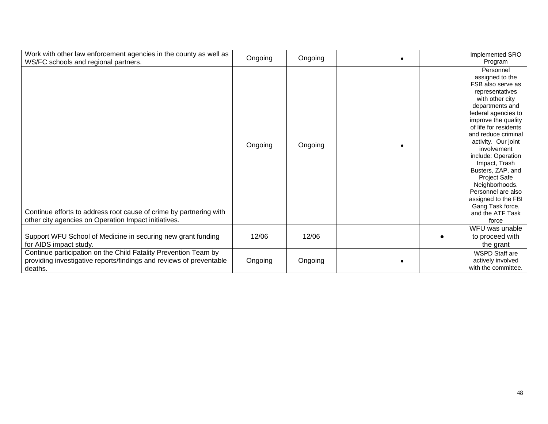| Work with other law enforcement agencies in the county as well as<br>WS/FC schools and regional partners.                                         | Ongoing | Ongoing |  | Implemented SRO<br>Program                                                                                                                                                                                                                                                                                                                                                                                                                        |
|---------------------------------------------------------------------------------------------------------------------------------------------------|---------|---------|--|---------------------------------------------------------------------------------------------------------------------------------------------------------------------------------------------------------------------------------------------------------------------------------------------------------------------------------------------------------------------------------------------------------------------------------------------------|
| Continue efforts to address root cause of crime by partnering with<br>other city agencies on Operation Impact initiatives.                        | Ongoing | Ongoing |  | Personnel<br>assigned to the<br>FSB also serve as<br>representatives<br>with other city<br>departments and<br>federal agencies to<br>improve the quality<br>of life for residents<br>and reduce criminal<br>activity. Our joint<br>involvement<br>include: Operation<br>Impact, Trash<br>Busters, ZAP, and<br><b>Project Safe</b><br>Neighborhoods.<br>Personnel are also<br>assigned to the FBI<br>Gang Task force,<br>and the ATF Task<br>force |
| Support WFU School of Medicine in securing new grant funding<br>for AIDS impact study.                                                            | 12/06   | 12/06   |  | WFU was unable<br>to proceed with<br>the grant                                                                                                                                                                                                                                                                                                                                                                                                    |
| Continue participation on the Child Fatality Prevention Team by<br>providing investigative reports/findings and reviews of preventable<br>deaths. | Ongoing | Ongoing |  | <b>WSPD Staff are</b><br>actively involved<br>with the committee.                                                                                                                                                                                                                                                                                                                                                                                 |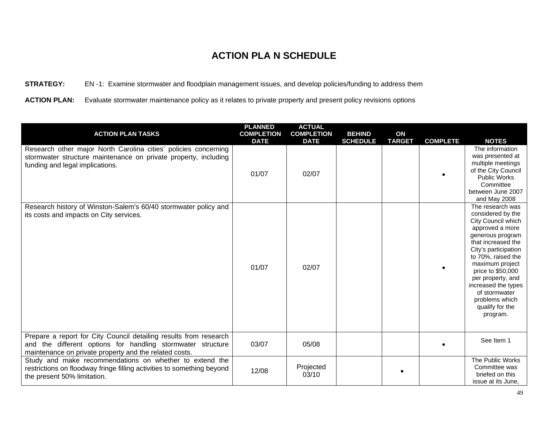#### **STRATEGY:** EN -1: Examine stormwater and floodplain management issues, and develop policies/funding to address them

**ACTION PLAN:** Evaluate stormwater maintenance policy as it relates to private property and present policy revisions options

| <b>ACTION PLAN TASKS</b>                                                                                                                                                                   | <b>PLANNED</b><br><b>COMPLETION</b><br><b>DATE</b> | <b>ACTUAL</b><br><b>COMPLETION</b><br><b>DATE</b> | <b>BEHIND</b><br><b>SCHEDULE</b> | ON<br><b>TARGET</b> | <b>COMPLETE</b> | <b>NOTES</b>                                                                                                                                                                                                                                                                                                                 |
|--------------------------------------------------------------------------------------------------------------------------------------------------------------------------------------------|----------------------------------------------------|---------------------------------------------------|----------------------------------|---------------------|-----------------|------------------------------------------------------------------------------------------------------------------------------------------------------------------------------------------------------------------------------------------------------------------------------------------------------------------------------|
| Research other major North Carolina cities' policies concerning<br>stormwater structure maintenance on private property, including<br>funding and legal implications.                      | 01/07                                              | 02/07                                             |                                  |                     |                 | The information<br>was presented at<br>multiple meetings<br>of the City Council<br><b>Public Works</b><br>Committee<br>between June 2007<br>and May 2008                                                                                                                                                                     |
| Research history of Winston-Salem's 60/40 stormwater policy and<br>its costs and impacts on City services.                                                                                 | 01/07                                              | 02/07                                             |                                  |                     |                 | The research was<br>considered by the<br>City Council which<br>approved a more<br>generous program<br>that increased the<br>City's participation<br>to 70%, raised the<br>maximum project<br>price to \$50,000<br>per property, and<br>increased the types<br>of stormwater<br>problems which<br>qualify for the<br>program. |
| Prepare a report for City Council detailing results from research<br>and the different options for handling stormwater structure<br>maintenance on private property and the related costs. | 03/07                                              | 05/08                                             |                                  |                     |                 | See Item 1                                                                                                                                                                                                                                                                                                                   |
| Study and make recommendations on whether to extend the<br>restrictions on floodway fringe filling activities to something beyond<br>the present 50% limitation.                           | 12/08                                              | Projected<br>03/10                                |                                  |                     |                 | The Public Works<br>Committee was<br>briefed on this<br>issue at its June,                                                                                                                                                                                                                                                   |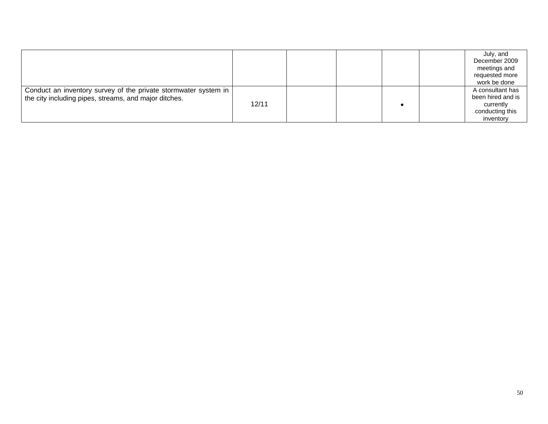|                                                                                                                            |       |  |  | July, and<br>December 2009<br>meetings and<br>requested more<br>work be done       |
|----------------------------------------------------------------------------------------------------------------------------|-------|--|--|------------------------------------------------------------------------------------|
| Conduct an inventory survey of the private stormwater system in  <br>the city including pipes, streams, and major ditches. | 12/11 |  |  | A consultant has<br>been hired and is<br>currently<br>conducting this<br>inventory |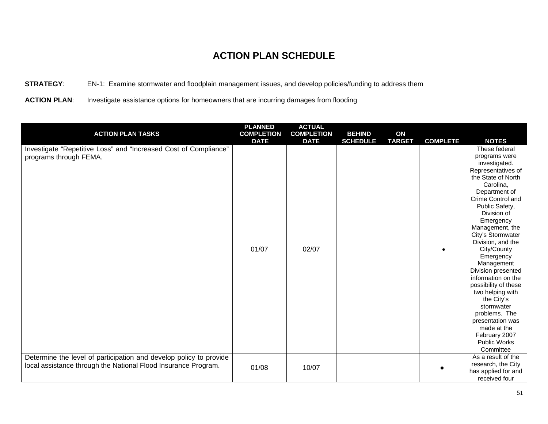#### **STRATEGY**: EN-1: Examine stormwater and floodplain management issues, and develop policies/funding to address them

ACTION PLAN: Investigate assistance options for homeowners that are incurring damages from flooding

| <b>ACTION PLAN TASKS</b>                                                                                                             | <b>PLANNED</b><br><b>COMPLETION</b> | <b>ACTUAL</b><br><b>COMPLETION</b> | <b>BEHIND</b>   | ON            |                 |                                                                                                                                                                                                                                                                                                                                                                                                                                                                                                                                  |
|--------------------------------------------------------------------------------------------------------------------------------------|-------------------------------------|------------------------------------|-----------------|---------------|-----------------|----------------------------------------------------------------------------------------------------------------------------------------------------------------------------------------------------------------------------------------------------------------------------------------------------------------------------------------------------------------------------------------------------------------------------------------------------------------------------------------------------------------------------------|
|                                                                                                                                      | <b>DATE</b>                         | <b>DATE</b>                        | <b>SCHEDULE</b> | <b>TARGET</b> | <b>COMPLETE</b> | <b>NOTES</b>                                                                                                                                                                                                                                                                                                                                                                                                                                                                                                                     |
| Investigate "Repetitive Loss" and "Increased Cost of Compliance"<br>programs through FEMA.                                           | 01/07                               | 02/07                              |                 |               |                 | These federal<br>programs were<br>investigated.<br>Representatives of<br>the State of North<br>Carolina,<br>Department of<br>Crime Control and<br>Public Safety,<br>Division of<br>Emergency<br>Management, the<br>City's Stormwater<br>Division, and the<br>City/County<br>Emergency<br>Management<br>Division presented<br>information on the<br>possibility of these<br>two helping with<br>the City's<br>stormwater<br>problems. The<br>presentation was<br>made at the<br>February 2007<br><b>Public Works</b><br>Committee |
| Determine the level of participation and develop policy to provide<br>local assistance through the National Flood Insurance Program. | 01/08                               | 10/07                              |                 |               |                 | As a result of the<br>research, the City<br>has applied for and<br>received four                                                                                                                                                                                                                                                                                                                                                                                                                                                 |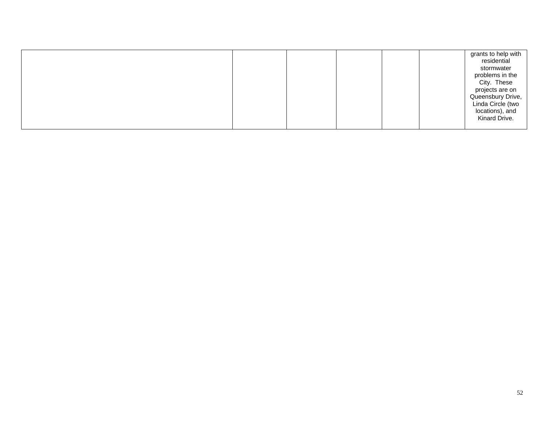|  | grants to help with<br>residential<br>stormwater<br>problems in the<br>City. These<br>projects are on<br>Queensbury Drive,<br>Linda Circle (two<br>locations), and<br>Kinard Drive. |
|--|-------------------------------------------------------------------------------------------------------------------------------------------------------------------------------------|
|--|-------------------------------------------------------------------------------------------------------------------------------------------------------------------------------------|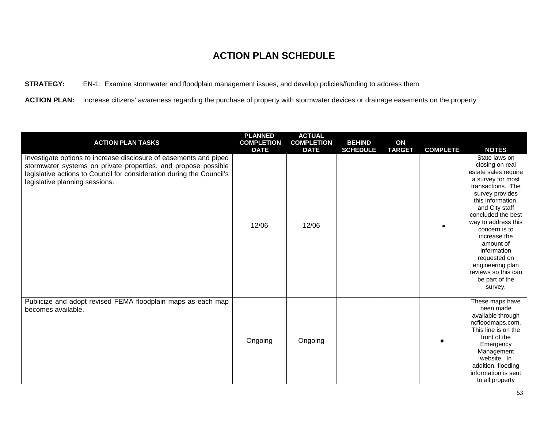#### **STRATEGY:** EN-1:Examine stormwater and floodplain management issues, and develop policies/funding to address them

**ACTION PLAN:** Increase citizens' awareness regarding the purchase of property with stormwater devices or drainage easements on the property

| <b>ACTION PLAN TASKS</b>                                                                                                                                                                                                                       | <b>PLANNED</b><br><b>COMPLETION</b><br><b>DATE</b> | <b>ACTUAL</b><br><b>COMPLETION</b><br><b>DATE</b> | <b>BEHIND</b><br><b>SCHEDULE</b> | ON<br><b>TARGET</b> | <b>COMPLETE</b> | <b>NOTES</b>                                                                                                                                                                                                                                                                                                                                                   |
|------------------------------------------------------------------------------------------------------------------------------------------------------------------------------------------------------------------------------------------------|----------------------------------------------------|---------------------------------------------------|----------------------------------|---------------------|-----------------|----------------------------------------------------------------------------------------------------------------------------------------------------------------------------------------------------------------------------------------------------------------------------------------------------------------------------------------------------------------|
| Investigate options to increase disclosure of easements and piped<br>stormwater systems on private properties, and propose possible<br>legislative actions to Council for consideration during the Council's<br>legislative planning sessions. | 12/06                                              | 12/06                                             |                                  |                     |                 | State laws on<br>closing on real<br>estate sales require<br>a survey for most<br>transactions. The<br>survey provides<br>this information,<br>and City staff<br>concluded the best<br>way to address this<br>concern is to<br>increase the<br>amount of<br>information<br>requested on<br>engineering plan<br>reviews so this can<br>be part of the<br>survey. |
| Publicize and adopt revised FEMA floodplain maps as each map<br>becomes available.                                                                                                                                                             | Ongoing                                            | Ongoing                                           |                                  |                     |                 | These maps have<br>been made<br>available through<br>ncfloodmaps.com.<br>This line is on the<br>front of the<br>Emergency<br>Management<br>website. In<br>addition, flooding<br>information is sent<br>to all property                                                                                                                                         |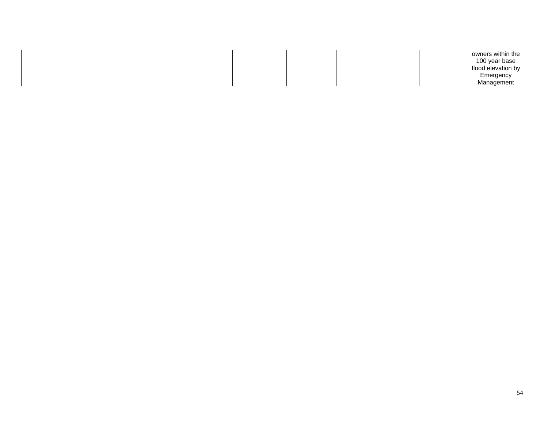| Management |
|------------|
|------------|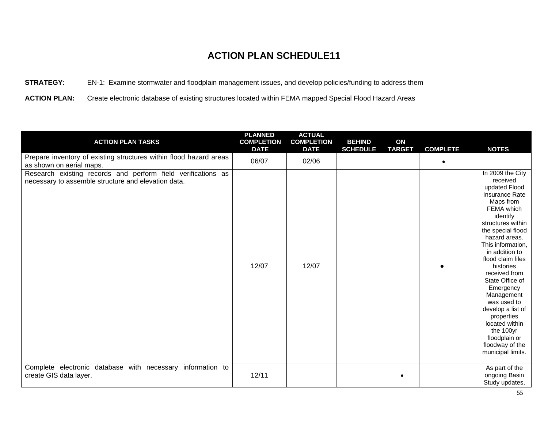**STRATEGY:** EN-1: Examine stormwater and floodplain management issues, and develop policies/funding to address them

**ACTION PLAN:** Create electronic database of existing structures located within FEMA mapped Special Flood Hazard Areas

| <b>ACTION PLAN TASKS</b>                                                                                            | <b>PLANNED</b><br><b>COMPLETION</b><br><b>DATE</b> | <b>ACTUAL</b><br><b>COMPLETION</b><br><b>DATE</b> | <b>BEHIND</b><br><b>SCHEDULE</b> | ON<br><b>TARGET</b> | <b>COMPLETE</b> | <b>NOTES</b>                                                                                                                                                                                                                                                                                                                                                                                                                                               |
|---------------------------------------------------------------------------------------------------------------------|----------------------------------------------------|---------------------------------------------------|----------------------------------|---------------------|-----------------|------------------------------------------------------------------------------------------------------------------------------------------------------------------------------------------------------------------------------------------------------------------------------------------------------------------------------------------------------------------------------------------------------------------------------------------------------------|
| Prepare inventory of existing structures within flood hazard areas<br>as shown on aerial maps.                      | 06/07                                              | 02/06                                             |                                  |                     | $\bullet$       |                                                                                                                                                                                                                                                                                                                                                                                                                                                            |
| Research existing records and perform field verifications as<br>necessary to assemble structure and elevation data. | 12/07                                              | 12/07                                             |                                  |                     |                 | In 2009 the City<br>received<br>updated Flood<br><b>Insurance Rate</b><br>Maps from<br>FEMA which<br>identify<br>structures within<br>the special flood<br>hazard areas.<br>This information,<br>in addition to<br>flood claim files<br>histories<br>received from<br>State Office of<br>Emergency<br>Management<br>was used to<br>develop a list of<br>properties<br>located within<br>the 100yr<br>floodplain or<br>floodway of the<br>municipal limits. |
| Complete electronic database with necessary information to<br>create GIS data layer.                                | 12/11                                              |                                                   |                                  | $\bullet$           |                 | As part of the<br>ongoing Basin<br>Study updates,                                                                                                                                                                                                                                                                                                                                                                                                          |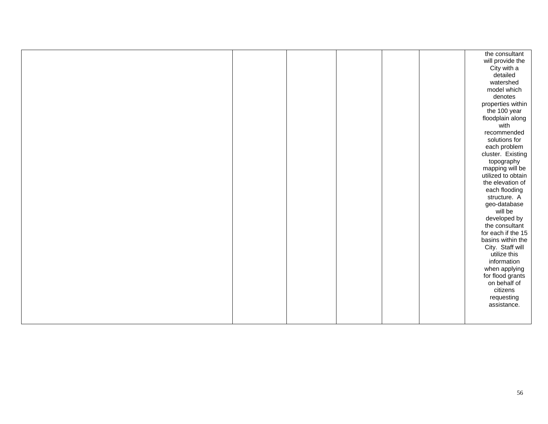|  |  |  | the consultant     |
|--|--|--|--------------------|
|  |  |  | will provide the   |
|  |  |  | City with a        |
|  |  |  | detailed           |
|  |  |  | watershed          |
|  |  |  | model which        |
|  |  |  | denotes            |
|  |  |  | properties within  |
|  |  |  | the 100 year       |
|  |  |  | floodplain along   |
|  |  |  | with               |
|  |  |  | recommended        |
|  |  |  | solutions for      |
|  |  |  | each problem       |
|  |  |  | cluster. Existing  |
|  |  |  | topography         |
|  |  |  | mapping will be    |
|  |  |  | utilized to obtain |
|  |  |  | the elevation of   |
|  |  |  | each flooding      |
|  |  |  | structure. A       |
|  |  |  | geo-database       |
|  |  |  | will be            |
|  |  |  | developed by       |
|  |  |  | the consultant     |
|  |  |  | for each if the 15 |
|  |  |  | basins within the  |
|  |  |  | City. Staff will   |
|  |  |  | utilize this       |
|  |  |  | information        |
|  |  |  | when applying      |
|  |  |  | for flood grants   |
|  |  |  | on behalf of       |
|  |  |  | citizens           |
|  |  |  | requesting         |
|  |  |  | assistance.        |
|  |  |  |                    |
|  |  |  |                    |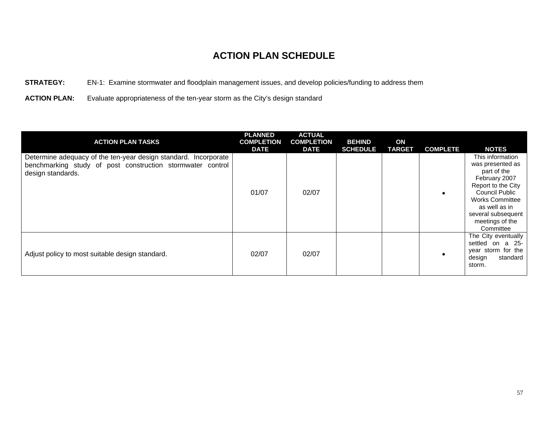**STRATEGY:** EN-1: Examine stormwater and floodplain management issues, and develop policies/funding to address them

**ACTION PLAN:** Evaluate appropriateness of the ten-year storm as the City's design standard

| <b>ACTION PLAN TASKS</b>                                                                                                                           | <b>PLANNED</b><br><b>COMPLETION</b><br><b>DATE</b> | <b>ACTUAL</b><br><b>COMPLETION</b><br><b>DATE</b> | <b>BEHIND</b><br><b>SCHEDULE</b> | ON<br><b>TARGET</b> | <b>COMPLETE</b> | <b>NOTES</b>                                                                                                                                                                                                  |
|----------------------------------------------------------------------------------------------------------------------------------------------------|----------------------------------------------------|---------------------------------------------------|----------------------------------|---------------------|-----------------|---------------------------------------------------------------------------------------------------------------------------------------------------------------------------------------------------------------|
| Determine adequacy of the ten-year design standard. Incorporate<br>benchmarking study of post construction stormwater control<br>design standards. | 01/07                                              | 02/07                                             |                                  |                     |                 | This information<br>was presented as<br>part of the<br>February 2007<br>Report to the City<br>Council Public<br><b>Works Committee</b><br>as well as in<br>several subsequent<br>meetings of the<br>Committee |
| Adjust policy to most suitable design standard.                                                                                                    | 02/07                                              | 02/07                                             |                                  |                     |                 | The City eventually<br>settled on a 25-<br>year storm for the<br>design<br>standard<br>storm.                                                                                                                 |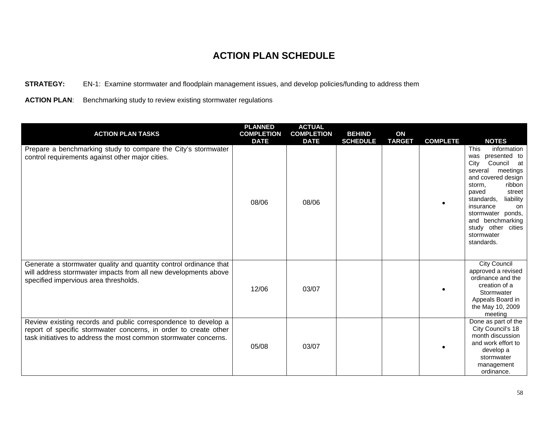**STRATEGY:** EN-1: Examine stormwater and floodplain management issues, and develop policies/funding to address them

ACTION PLAN: Benchmarking study to review existing stormwater regulations

| <b>ACTION PLAN TASKS</b>                                                                                                                                                                               | <b>PLANNED</b><br><b>COMPLETION</b><br><b>DATE</b> | <b>ACTUAL</b><br><b>COMPLETION</b><br><b>DATE</b> | <b>BEHIND</b><br><b>SCHEDULE</b> | ON<br><b>TARGET</b> | <b>COMPLETE</b> | <b>NOTES</b>                                                                                                                                                                                                                                                                                  |
|--------------------------------------------------------------------------------------------------------------------------------------------------------------------------------------------------------|----------------------------------------------------|---------------------------------------------------|----------------------------------|---------------------|-----------------|-----------------------------------------------------------------------------------------------------------------------------------------------------------------------------------------------------------------------------------------------------------------------------------------------|
| Prepare a benchmarking study to compare the City's stormwater<br>control requirements against other major cities.                                                                                      | 08/06                                              | 08/06                                             |                                  |                     |                 | This<br>information<br>was presented to<br>City<br>Council<br>at<br>meetings<br>several<br>and covered design<br>ribbon<br>storm,<br>paved<br>street<br>standards,<br>liability<br>insurance<br>on<br>stormwater ponds,<br>and benchmarking<br>study other cities<br>stormwater<br>standards. |
| Generate a stormwater quality and quantity control ordinance that<br>will address stormwater impacts from all new developments above<br>specified impervious area thresholds.                          | 12/06                                              | 03/07                                             |                                  |                     |                 | <b>City Council</b><br>approved a revised<br>ordinance and the<br>creation of a<br>Stormwater<br>Appeals Board in<br>the May 10, 2009<br>meeting                                                                                                                                              |
| Review existing records and public correspondence to develop a<br>report of specific stormwater concerns, in order to create other<br>task initiatives to address the most common stormwater concerns. | 05/08                                              | 03/07                                             |                                  |                     |                 | Done as part of the<br>City Council's 18<br>month discussion<br>and work effort to<br>develop a<br>stormwater<br>management<br>ordinance.                                                                                                                                                     |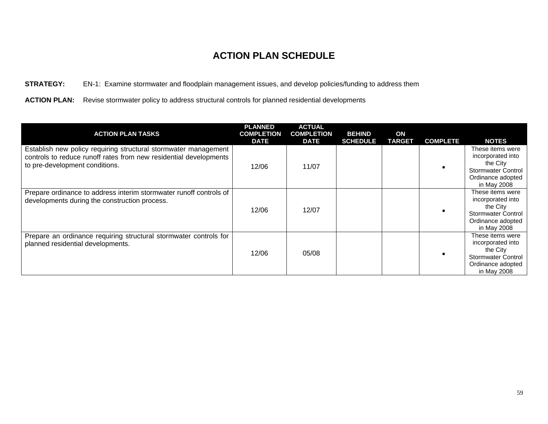#### **STRATEGY:** EN-1: Examine stormwater and floodplain management issues, and develop policies/funding to address them

**ACTION PLAN:** Revise stormwater policy to address structural controls for planned residential developments

| <b>ACTION PLAN TASKS</b>                                                                                                                                               | <b>PLANNED</b><br><b>COMPLETION</b><br><b>DATE</b> | <b>ACTUAL</b><br><b>COMPLETION</b><br><b>DATE</b> | <b>BEHIND</b><br><b>SCHEDULE</b> | ON<br><b>TARGET</b> | <b>COMPLETE</b> | <b>NOTES</b>                                                                                                       |
|------------------------------------------------------------------------------------------------------------------------------------------------------------------------|----------------------------------------------------|---------------------------------------------------|----------------------------------|---------------------|-----------------|--------------------------------------------------------------------------------------------------------------------|
| Establish new policy requiring structural stormwater management<br>controls to reduce runoff rates from new residential developments<br>to pre-development conditions. | 12/06                                              | 11/07                                             |                                  |                     |                 | These items were<br>incorporated into<br>the City<br><b>Stormwater Control</b><br>Ordinance adopted<br>in May 2008 |
| Prepare ordinance to address interim stormwater runoff controls of<br>developments during the construction process.                                                    | 12/06                                              | 12/07                                             |                                  |                     |                 | These items were<br>incorporated into<br>the City<br>Stormwater Control<br>Ordinance adopted<br>in May 2008        |
| Prepare an ordinance requiring structural stormwater controls for<br>planned residential developments.                                                                 | 12/06                                              | 05/08                                             |                                  |                     |                 | These items were<br>incorporated into<br>the City<br><b>Stormwater Control</b><br>Ordinance adopted<br>in May 2008 |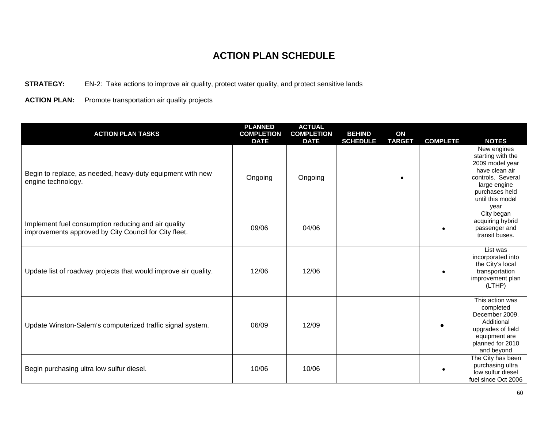#### **STRATEGY:** EN-2: Take actions to improve air quality, protect water quality, and protect sensitive lands

**ACTION PLAN:** Promote transportation air quality projects

| <b>ACTION PLAN TASKS</b>                                                                                     | <b>PLANNED</b><br><b>COMPLETION</b><br><b>DATE</b> | <b>ACTUAL</b><br><b>COMPLETION</b><br><b>DATE</b> | <b>BEHIND</b><br><b>SCHEDULE</b> | ON<br><b>TARGET</b> | <b>COMPLETE</b> | <b>NOTES</b>                                                                                                                                             |
|--------------------------------------------------------------------------------------------------------------|----------------------------------------------------|---------------------------------------------------|----------------------------------|---------------------|-----------------|----------------------------------------------------------------------------------------------------------------------------------------------------------|
| Begin to replace, as needed, heavy-duty equipment with new<br>engine technology.                             | Ongoing                                            | Ongoing                                           |                                  |                     |                 | New engines<br>starting with the<br>2009 model year<br>have clean air<br>controls. Several<br>large engine<br>purchases held<br>until this model<br>vear |
| Implement fuel consumption reducing and air quality<br>improvements approved by City Council for City fleet. | 09/06                                              | 04/06                                             |                                  |                     |                 | City began<br>acquiring hybrid<br>passenger and<br>transit buses.                                                                                        |
| Update list of roadway projects that would improve air quality.                                              | 12/06                                              | 12/06                                             |                                  |                     |                 | List was<br>incorporated into<br>the City's local<br>transportation<br>improvement plan<br>(LTHP)                                                        |
| Update Winston-Salem's computerized traffic signal system.                                                   | 06/09                                              | 12/09                                             |                                  |                     |                 | This action was<br>completed<br>December 2009.<br>Additional<br>upgrades of field<br>equipment are<br>planned for 2010<br>and beyond                     |
| Begin purchasing ultra low sulfur diesel.                                                                    | 10/06                                              | 10/06                                             |                                  |                     | $\bullet$       | The City has been<br>purchasing ultra<br>low sulfur diesel<br>fuel since Oct 2006                                                                        |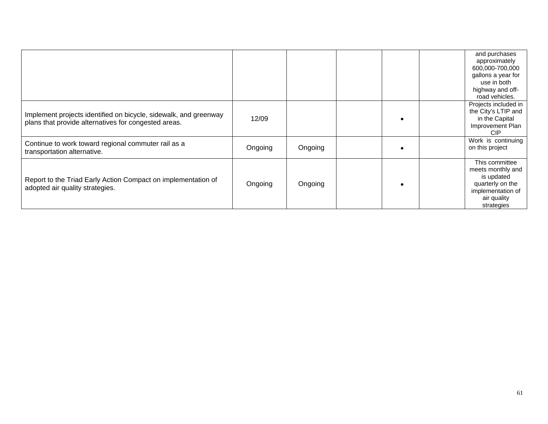|                                                                                                                          |         |         | and purchases<br>approximately<br>600,000-700,000<br>gallons a year for<br>use in both<br>highway and off-<br>road vehicles. |
|--------------------------------------------------------------------------------------------------------------------------|---------|---------|------------------------------------------------------------------------------------------------------------------------------|
| Implement projects identified on bicycle, sidewalk, and greenway<br>plans that provide alternatives for congested areas. | 12/09   |         | Projects included in<br>the City's LTIP and<br>in the Capital<br>Improvement Plan<br><b>CIP</b>                              |
| Continue to work toward regional commuter rail as a<br>transportation alternative.                                       | Ongoing | Ongoing | Work is continuing<br>on this project                                                                                        |
| Report to the Triad Early Action Compact on implementation of<br>adopted air quality strategies.                         | Ongoing | Ongoing | This committee<br>meets monthly and<br>is updated<br>quarterly on the<br>implementation of<br>air quality<br>strategies      |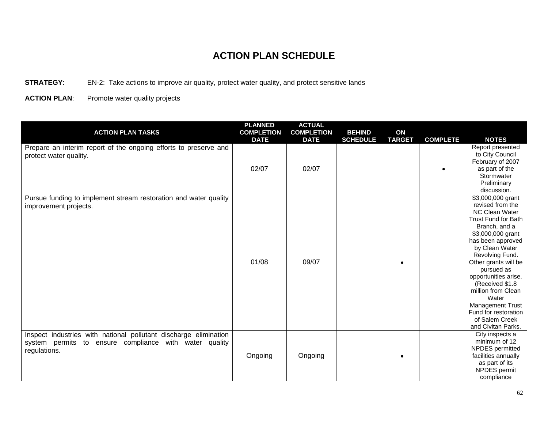**STRATEGY:** EN-2: Take actions to improve air quality, protect water quality, and protect sensitive lands

**ACTION PLAN**: Promote water quality projects

| <b>ACTION PLAN TASKS</b>                                                                                                                   | <b>PLANNED</b><br><b>COMPLETION</b><br><b>DATE</b> | <b>ACTUAL</b><br><b>COMPLETION</b><br><b>DATE</b> | <b>BEHIND</b><br><b>SCHEDULE</b> | ON<br><b>TARGET</b> | <b>COMPLETE</b> | <b>NOTES</b>                                                                                                                                                                                                                                                                                                                                                                               |
|--------------------------------------------------------------------------------------------------------------------------------------------|----------------------------------------------------|---------------------------------------------------|----------------------------------|---------------------|-----------------|--------------------------------------------------------------------------------------------------------------------------------------------------------------------------------------------------------------------------------------------------------------------------------------------------------------------------------------------------------------------------------------------|
| Prepare an interim report of the ongoing efforts to preserve and<br>protect water quality.                                                 | 02/07                                              | 02/07                                             |                                  |                     |                 | Report presented<br>to City Council<br>February of 2007<br>as part of the<br>Stormwater<br>Preliminary<br>discussion.                                                                                                                                                                                                                                                                      |
| Pursue funding to implement stream restoration and water quality<br>improvement projects.                                                  | 01/08                                              | 09/07                                             |                                  |                     |                 | \$3,000,000 grant<br>revised from the<br><b>NC Clean Water</b><br>Trust Fund for Bath<br>Branch, and a<br>\$3,000,000 grant<br>has been approved<br>by Clean Water<br>Revolving Fund.<br>Other grants will be<br>pursued as<br>opportunities arise.<br>(Received \$1.8)<br>million from Clean<br>Water<br>Management Trust<br>Fund for restoration<br>of Salem Creek<br>and Civitan Parks. |
| Inspect industries with national pollutant discharge elimination<br>system permits to ensure compliance with water quality<br>regulations. | Ongoing                                            | Ongoing                                           |                                  |                     |                 | City inspects a<br>minimum of 12<br>NPDES permitted<br>facilities annually<br>as part of its<br>NPDES permit<br>compliance                                                                                                                                                                                                                                                                 |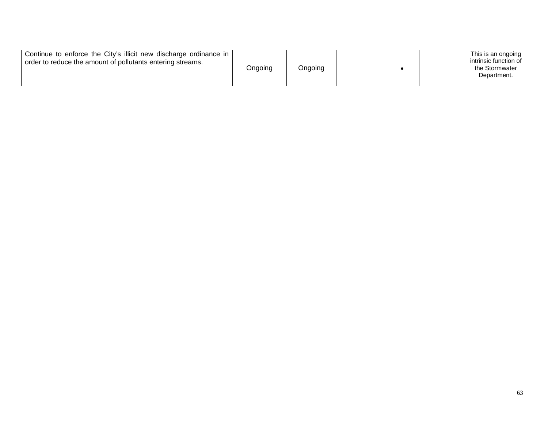| Continue to enforce the City's illicit new discharge ordinance in<br>order to reduce the amount of pollutants entering streams. | Ongoing | Ongoing |  |  |  | This is an ongoing<br>intrinsic function of<br>the Stormwater<br>Department. |
|---------------------------------------------------------------------------------------------------------------------------------|---------|---------|--|--|--|------------------------------------------------------------------------------|
|---------------------------------------------------------------------------------------------------------------------------------|---------|---------|--|--|--|------------------------------------------------------------------------------|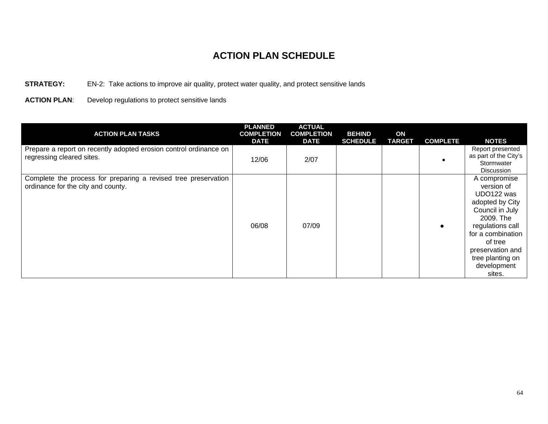#### **STRATEGY:** EN-2: Take actions to improve air quality, protect water quality, and protect sensitive lands

**ACTION PLAN**: Develop regulations to protect sensitive lands

| <b>ACTION PLAN TASKS</b>                                                                             | <b>PLANNED</b><br><b>COMPLETION</b><br><b>DATE</b> | <b>ACTUAL</b><br><b>COMPLETION</b><br><b>DATE</b> | <b>BEHIND</b><br><b>SCHEDULE</b> | ON<br><b>TARGET</b> | <b>COMPLETE</b> | <b>NOTES</b>                                                                                                                                                                                                     |
|------------------------------------------------------------------------------------------------------|----------------------------------------------------|---------------------------------------------------|----------------------------------|---------------------|-----------------|------------------------------------------------------------------------------------------------------------------------------------------------------------------------------------------------------------------|
| Prepare a report on recently adopted erosion control ordinance on<br>regressing cleared sites.       | 12/06                                              | 2/07                                              |                                  |                     |                 | Report presented<br>as part of the City's<br>Stormwater<br>Discussion                                                                                                                                            |
| Complete the process for preparing a revised tree preservation<br>ordinance for the city and county. | 06/08                                              | 07/09                                             |                                  |                     |                 | A compromise<br>version of<br>UDO122 was<br>adopted by City<br>Council in July<br>2009. The<br>regulations call<br>for a combination<br>of tree<br>preservation and<br>tree planting on<br>development<br>sites. |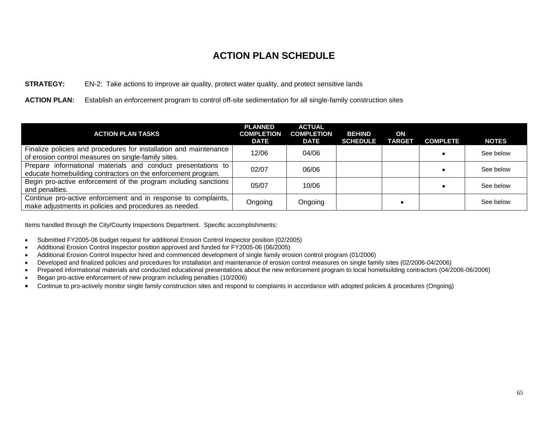#### **STRATEGY:** EN-2: Take actions to improve air quality, protect water quality, and protect sensitive lands

**ACTION PLAN:** Establish an enforcement program to control off-site sedimentation for all single-family construction sites

| <b>ACTION PLAN TASKS</b>                                                                                                     | <b>PLANNED</b><br><b>COMPLETION</b><br><b>DATE</b> | <b>ACTUAL</b><br><b>COMPLETION</b><br><b>DATE</b> | <b>BEHIND</b><br><b>SCHEDULE</b> | ON<br><b>TARGET</b> | <b>COMPLETE</b> | <b>NOTES</b> |
|------------------------------------------------------------------------------------------------------------------------------|----------------------------------------------------|---------------------------------------------------|----------------------------------|---------------------|-----------------|--------------|
| Finalize policies and procedures for installation and maintenance<br>of erosion control measures on single-family sites.     | 12/06                                              | 04/06                                             |                                  |                     |                 | See below    |
| Prepare informational materials and conduct presentations to<br>educate homebuilding contractors on the enforcement program. | 02/07                                              | 06/06                                             |                                  |                     |                 | See below    |
| Begin pro-active enforcement of the program including sanctions<br>and penalties.                                            | 05/07                                              | 10/06                                             |                                  |                     |                 | See below    |
| Continue pro-active enforcement and in response to complaints,<br>make adjustments in policies and procedures as needed.     | Ongoing                                            | Ongoing                                           |                                  |                     |                 | See below    |

Items handled through the City/County Inspections Department. Specific accomplishments:

- Submitted FY2005-06 budget request for additional Erosion Control Inspector position (02/2005)
- Additional Erosion Control Inspector position approved and funded for FY2005-06 (06/2005)
- Additional Erosion Control Inspector hired and commenced development of single family erosion control program (01/2006)
- Developed and finalized policies and procedures for installation and maintenance of erosion control measures on single family sites (02/2006-04/2006)
- Prepared informational materials and conducted educational presentations about the new enforcement program to local homebuilding contractors (04/2006-06/2006)
- Began pro-active enforcement of new program including penalties (10/2006)
- Continue to pro-actively monitor single family construction sites and respond to complaints in accordance with adopted policies & procedures (Ongoing)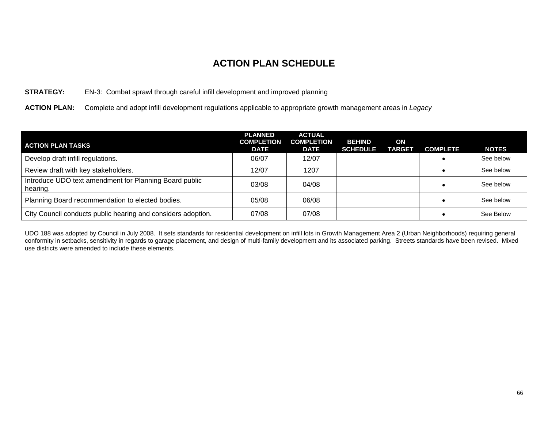#### **STRATEGY:** EN-3: Combat sprawl through careful infill development and improved planning

**ACTION PLAN:** Complete and adopt infill development regulations applicable to appropriate growth management areas in *Legacy*

| <b>ACTION PLAN TASKS</b>                                           | <b>PLANNED</b><br><b>COMPLETION</b><br><b>DATE</b> | <b>ACTUAL</b><br><b>COMPLETION</b><br><b>DATE</b> | <b>BEHIND</b><br><b>SCHEDULE</b> | ON<br><b>TARGET</b> | <b>COMPLETE</b> | <b>NOTES</b> |
|--------------------------------------------------------------------|----------------------------------------------------|---------------------------------------------------|----------------------------------|---------------------|-----------------|--------------|
| Develop draft infill regulations.                                  | 06/07                                              | 12/07                                             |                                  |                     |                 | See below    |
| Review draft with key stakeholders.                                | 12/07                                              | 1207                                              |                                  |                     |                 | See below    |
| Introduce UDO text amendment for Planning Board public<br>hearing. | 03/08                                              | 04/08                                             |                                  |                     |                 | See below    |
| Planning Board recommendation to elected bodies.                   | 05/08                                              | 06/08                                             |                                  |                     |                 | See below    |
| City Council conducts public hearing and considers adoption.       | 07/08                                              | 07/08                                             |                                  |                     |                 | See Below    |

UDO 188 was adopted by Council in July 2008. It sets standards for residential development on infill lots in Growth Management Area 2 (Urban Neighborhoods) requiring general conformity in setbacks, sensitivity in regards to garage placement, and design of multi-family development and its associated parking. Streets standards have been revised. Mixed use districts were amended to include these elements.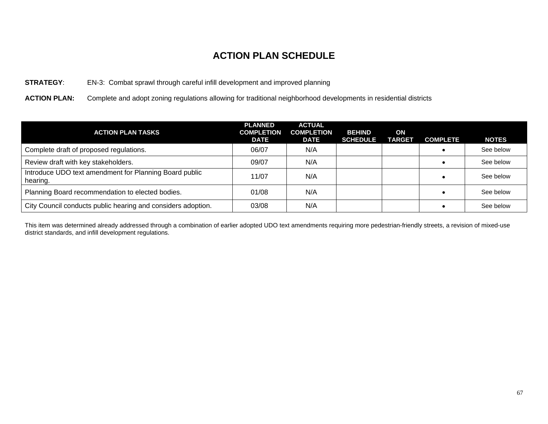#### **STRATEGY**: EN-3: Combat sprawl through careful infill development and improved planning

**ACTION PLAN:** Complete and adopt zoning regulations allowing for traditional neighborhood developments in residential districts

| <b>ACTION PLAN TASKS</b>                                           | <b>PLANNED</b><br><b>COMPLETION</b><br><b>DATE</b> | <b>ACTUAL</b><br><b>COMPLETION</b><br><b>DATE</b> | <b>BEHIND</b><br><b>SCHEDULE</b> | ON<br><b>TARGET</b> | <b>COMPLETE</b> | <b>NOTES</b> |
|--------------------------------------------------------------------|----------------------------------------------------|---------------------------------------------------|----------------------------------|---------------------|-----------------|--------------|
| Complete draft of proposed regulations.                            | 06/07                                              | N/A                                               |                                  |                     |                 | See below    |
| Review draft with key stakeholders.                                | 09/07                                              | N/A                                               |                                  |                     |                 | See below    |
| Introduce UDO text amendment for Planning Board public<br>hearing. | 11/07                                              | N/A                                               |                                  |                     |                 | See below    |
| Planning Board recommendation to elected bodies.                   | 01/08                                              | N/A                                               |                                  |                     |                 | See below    |
| City Council conducts public hearing and considers adoption.       | 03/08                                              | N/A                                               |                                  |                     |                 | See below    |

This item was determined already addressed through a combination of earlier adopted UDO text amendments requiring more pedestrian-friendly streets, a revision of mixed-use district standards, and infill development regulations.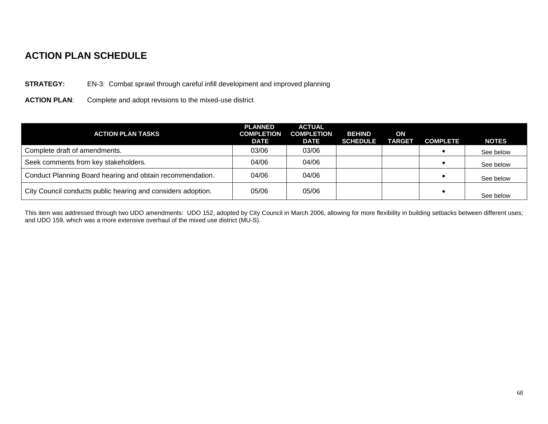#### **STRATEGY:** EN-3: Combat sprawl through careful infill development and improved planning

**ACTION PLAN**: Complete and adopt revisions to the mixed-use district

| <b>ACTION PLAN TASKS</b>                                     | <b>PLANNED</b><br><b>COMPLETION</b><br><b>DATE</b> | <b>ACTUAL</b><br><b>COMPLETION</b><br><b>DATE</b> | <b>BEHIND</b><br><b>SCHEDULE</b> | ON<br><b>TARGET</b> | <b>COMPLETE</b> | <b>NOTES</b> |
|--------------------------------------------------------------|----------------------------------------------------|---------------------------------------------------|----------------------------------|---------------------|-----------------|--------------|
| Complete draft of amendments.                                | 03/06                                              | 03/06                                             |                                  |                     |                 | See below    |
| Seek comments from key stakeholders.                         | 04/06                                              | 04/06                                             |                                  |                     |                 | See below    |
| Conduct Planning Board hearing and obtain recommendation.    | 04/06                                              | 04/06                                             |                                  |                     |                 | See below    |
| City Council conducts public hearing and considers adoption. | 05/06                                              | 05/06                                             |                                  |                     |                 | See below    |

This item was addressed through two UDO amendments: UDO 152, adopted by City Council in March 2006, allowing for more flexibility in building setbacks between different uses; and UDO 159, which was a more extensive overhaul of the mixed use district (MU-S).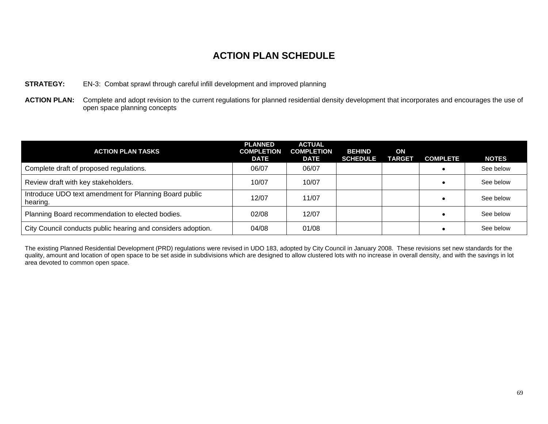#### **STRATEGY:** EN-3: Combat sprawl through careful infill development and improved planning

ACTION PLAN: Complete and adopt revision to the current regulations for planned residential density development that incorporates and encourages the use of open space planning concepts

| <b>ACTION PLAN TASKS</b>                                           | <b>PLANNED</b><br><b>COMPLETION</b><br><b>DATE</b> | <b>ACTUAL</b><br><b>COMPLETION</b><br><b>DATE</b> | <b>BEHIND</b><br><b>SCHEDULE</b> | ON<br><b>TARGET</b> | <b>COMPLETE</b> | <b>NOTES</b> |
|--------------------------------------------------------------------|----------------------------------------------------|---------------------------------------------------|----------------------------------|---------------------|-----------------|--------------|
| Complete draft of proposed regulations.                            | 06/07                                              | 06/07                                             |                                  |                     |                 | See below    |
| Review draft with key stakeholders.                                | 10/07                                              | 10/07                                             |                                  |                     |                 | See below    |
| Introduce UDO text amendment for Planning Board public<br>hearing. | 12/07                                              | 11/07                                             |                                  |                     |                 | See below    |
| Planning Board recommendation to elected bodies.                   | 02/08                                              | 12/07                                             |                                  |                     |                 | See below    |
| City Council conducts public hearing and considers adoption.       | 04/08                                              | 01/08                                             |                                  |                     |                 | See below    |

The existing Planned Residential Development (PRD) regulations were revised in UDO 183, adopted by City Council in January 2008. These revisions set new standards for the quality, amount and location of open space to be set aside in subdivisions which are designed to allow clustered lots with no increase in overall density, and with the savings in lot area devoted to common open space.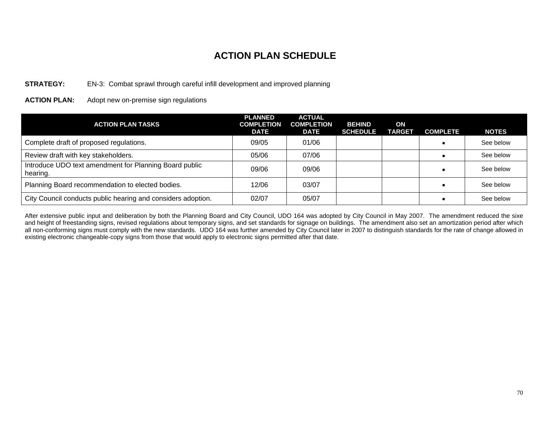#### **STRATEGY:** EN-3: Combat sprawl through careful infill development and improved planning

**ACTION PLAN:** Adopt new on-premise sign regulations

| <b>ACTION PLAN TASKS</b>                                           | <b>PLANNED</b><br><b>COMPLETION</b><br><b>DATE</b> | <b>ACTUAL</b><br><b>COMPLETION</b><br><b>DATE</b> | <b>BEHIND</b><br><b>SCHEDULE</b> | ON<br><b>TARGET</b> | <b>COMPLETE</b> | <b>NOTES</b> |
|--------------------------------------------------------------------|----------------------------------------------------|---------------------------------------------------|----------------------------------|---------------------|-----------------|--------------|
| Complete draft of proposed regulations.                            | 09/05                                              | 01/06                                             |                                  |                     |                 | See below    |
| Review draft with key stakeholders.                                | 05/06                                              | 07/06                                             |                                  |                     |                 | See below    |
| Introduce UDO text amendment for Planning Board public<br>hearing. | 09/06                                              | 09/06                                             |                                  |                     |                 | See below    |
| Planning Board recommendation to elected bodies.                   | 12/06                                              | 03/07                                             |                                  |                     |                 | See below    |
| City Council conducts public hearing and considers adoption.       | 02/07                                              | 05/07                                             |                                  |                     |                 | See below    |

After extensive public input and deliberation by both the Planning Board and City Council, UDO 164 was adopted by City Council in May 2007. The amendment reduced the sixe and height of freestanding signs, revised regulations about temporary signs, and set standards for signage on buildings. The amendment also set an amortization period after which all non-conforming signs must comply with the new standards. UDO 164 was further amended by City Council later in 2007 to distinguish standards for the rate of change allowed in existing electronic changeable-copy signs from those that would apply to electronic signs permitted after that date.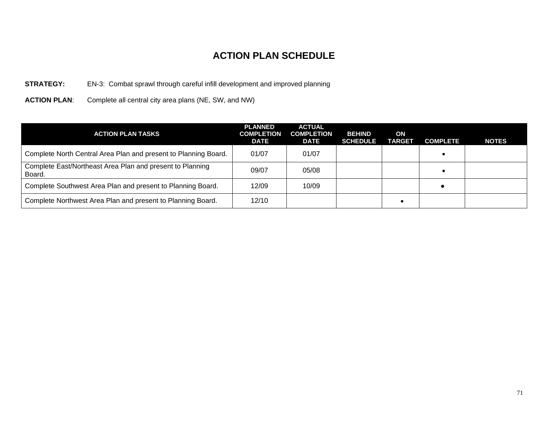#### **STRATEGY:** EN-3: Combat sprawl through careful infill development and improved planning

**ACTION PLAN**: Complete all central city area plans (NE, SW, and NW)

| <b>ACTION PLAN TASKS</b>                                            | <b>PLANNED</b><br><b>COMPLETION</b><br><b>DATE</b> | <b>ACTUAL</b><br><b>COMPLETION</b><br><b>DATE</b> | <b>BEHIND</b><br><b>SCHEDULE</b> | ON<br><b>TARGET</b> | <b>COMPLETE</b> | <b>NOTES</b> |
|---------------------------------------------------------------------|----------------------------------------------------|---------------------------------------------------|----------------------------------|---------------------|-----------------|--------------|
| Complete North Central Area Plan and present to Planning Board.     | 01/07                                              | 01/07                                             |                                  |                     |                 |              |
| Complete East/Northeast Area Plan and present to Planning<br>Board. | 09/07                                              | 05/08                                             |                                  |                     |                 |              |
| Complete Southwest Area Plan and present to Planning Board.         | 12/09                                              | 10/09                                             |                                  |                     |                 |              |
| Complete Northwest Area Plan and present to Planning Board.         | 12/10                                              |                                                   |                                  |                     |                 |              |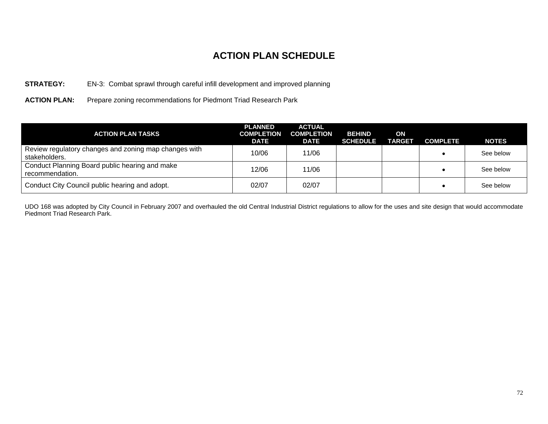#### **STRATEGY:** EN-3: Combat sprawl through careful infill development and improved planning

**ACTION PLAN:** Prepare zoning recommendations for Piedmont Triad Research Park

| <b>ACTION PLAN TASKS</b>                                               | <b>PLANNED</b><br><b>COMPLETION</b><br><b>DATE</b> | <b>ACTUAL</b><br><b>COMPLETION</b><br><b>DATE</b> | <b>BEHIND</b><br><b>SCHEDULE</b> | ON<br><b>TARGET</b> | <b>COMPLETE</b> | <b>NOTES</b> |
|------------------------------------------------------------------------|----------------------------------------------------|---------------------------------------------------|----------------------------------|---------------------|-----------------|--------------|
| Review regulatory changes and zoning map changes with<br>stakeholders. | 10/06                                              | 11/06                                             |                                  |                     |                 | See below    |
| Conduct Planning Board public hearing and make<br>recommendation.      | 12/06                                              | 11/06                                             |                                  |                     |                 | See below    |
| Conduct City Council public hearing and adopt.                         | 02/07                                              | 02/07                                             |                                  |                     |                 | See below    |

UDO 168 was adopted by City Council in February 2007 and overhauled the old Central Industrial District regulations to allow for the uses and site design that would accommodate Piedmont Triad Research Park.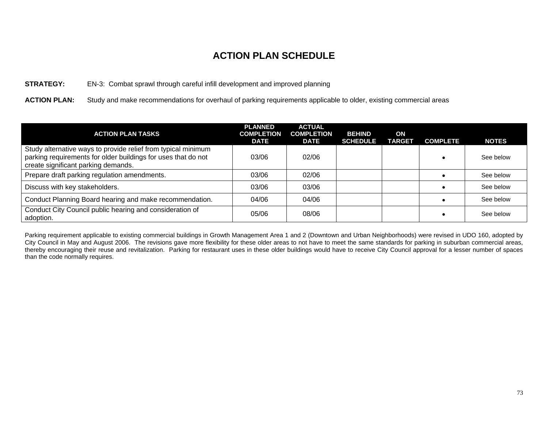#### **STRATEGY:** EN-3: Combat sprawl through careful infill development and improved planning

**ACTION PLAN:** Study and make recommendations for overhaul of parking requirements applicable to older, existing commercial areas

| <b>ACTION PLAN TASKS</b>                                                                                                                                              | <b>PLANNED</b><br><b>COMPLETION</b><br><b>DATE</b> | <b>ACTUAL</b><br><b>COMPLETION</b><br><b>DATE</b> | <b>BEHIND</b><br><b>SCHEDULE</b> | ON<br><b>TARGET</b> | <b>COMPLETE</b> | <b>NOTES</b> |
|-----------------------------------------------------------------------------------------------------------------------------------------------------------------------|----------------------------------------------------|---------------------------------------------------|----------------------------------|---------------------|-----------------|--------------|
| Study alternative ways to provide relief from typical minimum<br>parking requirements for older buildings for uses that do not<br>create significant parking demands. | 03/06                                              | 02/06                                             |                                  |                     |                 | See below    |
| Prepare draft parking regulation amendments.                                                                                                                          | 03/06                                              | 02/06                                             |                                  |                     |                 | See below    |
| Discuss with key stakeholders.                                                                                                                                        | 03/06                                              | 03/06                                             |                                  |                     |                 | See below    |
| Conduct Planning Board hearing and make recommendation.                                                                                                               | 04/06                                              | 04/06                                             |                                  |                     |                 | See below    |
| Conduct City Council public hearing and consideration of<br>adoption.                                                                                                 | 05/06                                              | 08/06                                             |                                  |                     |                 | See below    |

Parking requirement applicable to existing commercial buildings in Growth Management Area 1 and 2 (Downtown and Urban Neighborhoods) were revised in UDO 160, adopted by City Council in May and August 2006. The revisions gave more flexibility for these older areas to not have to meet the same standards for parking in suburban commercial areas, thereby encouraging their reuse and revitalization. Parking for restaurant uses in these older buildings would have to receive City Council approval for a lesser number of spaces than the code normally requires.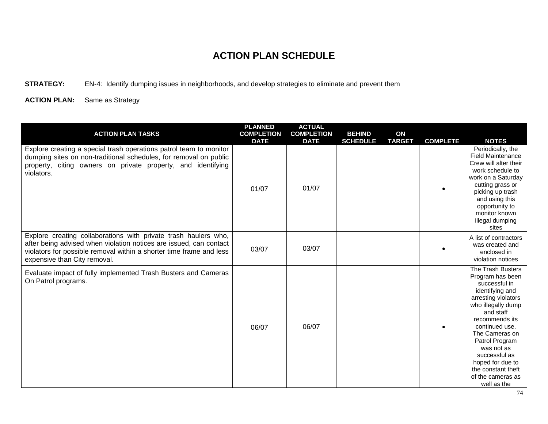**STRATEGY:** EN-4: Identify dumping issues in neighborhoods, and develop strategies to eliminate and prevent them

| <b>ACTION PLAN TASKS</b>                                                                                                                                                                                                                     | <b>PLANNED</b><br><b>COMPLETION</b><br><b>DATE</b> | <b>ACTUAL</b><br><b>COMPLETION</b><br><b>DATE</b> | <b>BEHIND</b><br><b>SCHEDULE</b> | ON<br><b>TARGET</b> | <b>COMPLETE</b> | <b>NOTES</b>                                                                                                                                                                                                                                                                                                             |
|----------------------------------------------------------------------------------------------------------------------------------------------------------------------------------------------------------------------------------------------|----------------------------------------------------|---------------------------------------------------|----------------------------------|---------------------|-----------------|--------------------------------------------------------------------------------------------------------------------------------------------------------------------------------------------------------------------------------------------------------------------------------------------------------------------------|
| Explore creating a special trash operations patrol team to monitor<br>dumping sites on non-traditional schedules, for removal on public<br>property, citing owners on private property, and identifying<br>violators.                        | 01/07                                              | 01/07                                             |                                  |                     |                 | Periodically, the<br><b>Field Maintenance</b><br>Crew will alter their<br>work schedule to<br>work on a Saturday<br>cutting grass or<br>picking up trash<br>and using this<br>opportunity to<br>monitor known<br>illegal dumping<br>sites                                                                                |
| Explore creating collaborations with private trash haulers who,<br>after being advised when violation notices are issued, can contact<br>violators for possible removal within a shorter time frame and less<br>expensive than City removal. | 03/07                                              | 03/07                                             |                                  |                     |                 | A list of contractors<br>was created and<br>enclosed in<br>violation notices                                                                                                                                                                                                                                             |
| Evaluate impact of fully implemented Trash Busters and Cameras<br>On Patrol programs.                                                                                                                                                        | 06/07                                              | 06/07                                             |                                  |                     |                 | The Trash Busters<br>Program has been<br>successful in<br>identifying and<br>arresting violators<br>who illegally dump<br>and staff<br>recommends its<br>continued use.<br>The Cameras on<br>Patrol Program<br>was not as<br>successful as<br>hoped for due to<br>the constant theft<br>of the cameras as<br>well as the |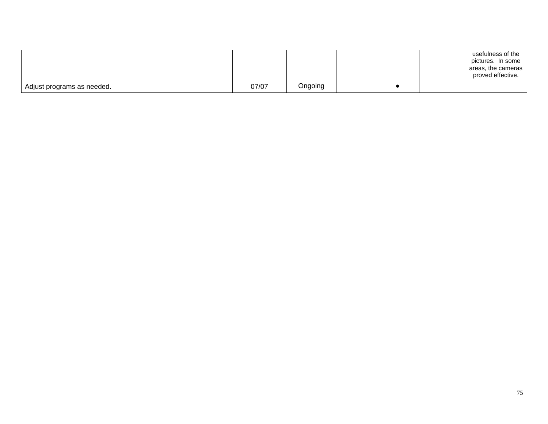|                            |       |         |  | usefulness of the<br>pictures. In some<br>areas, the cameras<br>proved effective. |
|----------------------------|-------|---------|--|-----------------------------------------------------------------------------------|
| Adjust programs as needed. | 07/07 | Ongoing |  |                                                                                   |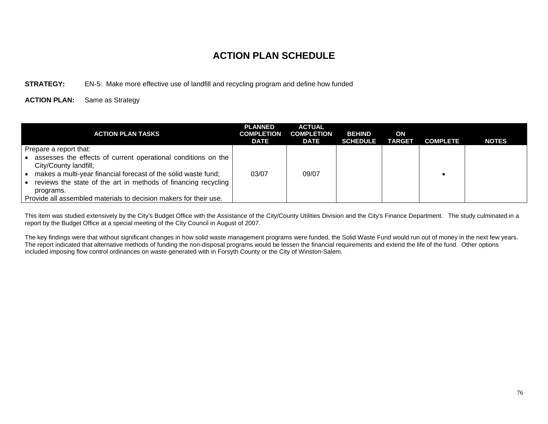#### **STRATEGY:** EN-5: Make more effective use of landfill and recycling program and define how funded

**ACTION PLAN:** Same as Strategy

| ACTION PLAN TASKS                                                                      | <b>PLANNED</b><br><b>COMPLETION</b><br><b>DATE</b> | <b>ACTUAL</b><br><b>COMPLETION</b><br><b>DATE</b> | <b>BEHIND</b><br><b>SCHEDULE</b> | ON<br><b>TARGET</b> | <b>COMPLETE</b> | <b>NOTES</b> |
|----------------------------------------------------------------------------------------|----------------------------------------------------|---------------------------------------------------|----------------------------------|---------------------|-----------------|--------------|
| Prepare a report that:                                                                 |                                                    |                                                   |                                  |                     |                 |              |
| assesses the effects of current operational conditions on the<br>City/County landfill; |                                                    |                                                   |                                  |                     |                 |              |
| makes a multi-year financial forecast of the solid waste fund;                         | 03/07                                              | 09/07                                             |                                  |                     |                 |              |
| reviews the state of the art in methods of financing recycling                         |                                                    |                                                   |                                  |                     |                 |              |
| programs.                                                                              |                                                    |                                                   |                                  |                     |                 |              |
| Provide all assembled materials to decision makers for their use.                      |                                                    |                                                   |                                  |                     |                 |              |

This item was studied extensively by the City's Budget Office with the Assistance of the City/County Utilities Division and the City's Finance Department. The study culminated in a report by the Budget Office at a special meeting of the City Council in August of 2007.

The key findings were that without significant changes in how solid waste management programs were funded, the Solid Waste Fund would run out of money in the next few years. The report indicated that alternative methods of funding the non-disposal programs would be lessen the financial requirements and extend the life of the fund. Other options included imposing flow control ordinances on waste generated with in Forsyth County or the City of Winston-Salem.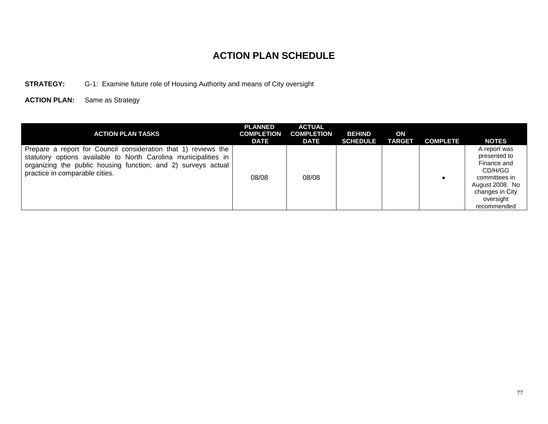#### **STRATEGY:** G-1: Examine future role of Housing Authority and means of City oversight

| <b>ACTION PLAN TASKS</b>                                                                                                                                                                                                             | <b>PLANNED</b><br><b>COMPLETION</b><br><b>DATE</b> | <b>ACTUAL</b><br><b>COMPLETION</b><br><b>DATE</b> | <b>BEHIND</b><br><b>SCHEDULE</b> | ON<br><b>TARGET</b> | <b>COMPLETE</b> | <b>NOTES</b>                                                                                                                              |
|--------------------------------------------------------------------------------------------------------------------------------------------------------------------------------------------------------------------------------------|----------------------------------------------------|---------------------------------------------------|----------------------------------|---------------------|-----------------|-------------------------------------------------------------------------------------------------------------------------------------------|
| Prepare a report for Council consideration that 1) reviews the<br>statutory options available to North Carolina municipalities in<br>organizing the public housing function; and 2) surveys actual<br>practice in comparable cities. | 08/08                                              | 08/08                                             |                                  |                     |                 | A report was<br>presented to<br>Finance and<br>CD/H/GG<br>committees in<br>August 2008. No<br>changes in City<br>oversight<br>recommended |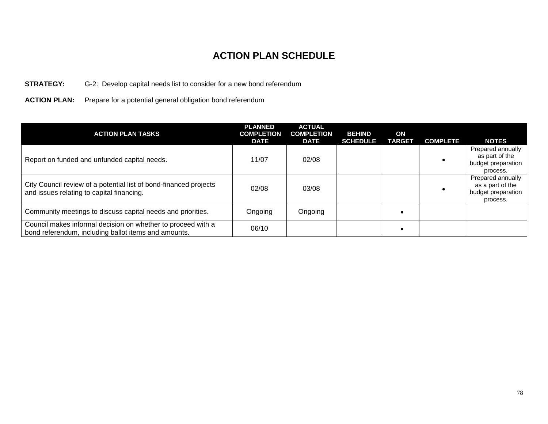#### **STRATEGY:** G-2: Develop capital needs list to consider for a new bond referendum

**ACTION PLAN:** Prepare for a potential general obligation bond referendum

| <b>ACTION PLAN TASKS</b>                                                                                             | <b>PLANNED</b><br><b>COMPLETION</b><br><b>DATE</b> | <b>ACTUAL</b><br><b>COMPLETION</b><br><b>DATE</b> | <b>BEHIND</b><br><b>SCHEDULE</b> | ON<br><b>TARGET</b> | <b>COMPLETE</b> | <b>NOTES</b>                                                            |
|----------------------------------------------------------------------------------------------------------------------|----------------------------------------------------|---------------------------------------------------|----------------------------------|---------------------|-----------------|-------------------------------------------------------------------------|
| Report on funded and unfunded capital needs.                                                                         | 11/07                                              | 02/08                                             |                                  |                     |                 | Prepared annually<br>as part of the<br>budget preparation<br>process.   |
| City Council review of a potential list of bond-financed projects<br>and issues relating to capital financing.       | 02/08                                              | 03/08                                             |                                  |                     |                 | Prepared annually<br>as a part of the<br>budget preparation<br>process. |
| Community meetings to discuss capital needs and priorities.                                                          | Ongoing                                            | Ongoing                                           |                                  |                     |                 |                                                                         |
| Council makes informal decision on whether to proceed with a<br>bond referendum, including ballot items and amounts. | 06/10                                              |                                                   |                                  |                     |                 |                                                                         |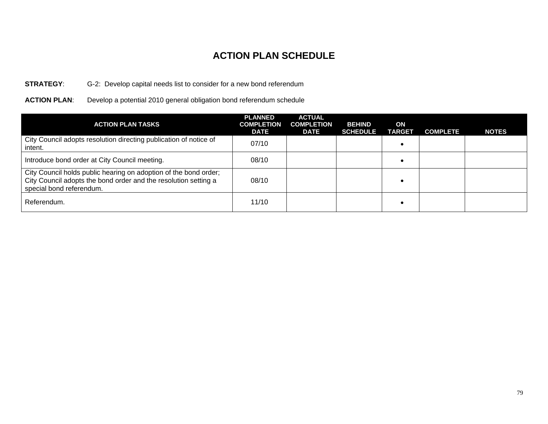#### **STRATEGY**: G-2: Develop capital needs list to consider for a new bond referendum

**ACTION PLAN**: Develop a potential 2010 general obligation bond referendum schedule

| <b>ACTION PLAN TASKS</b>                                                                                                                                        | <b>PLANNED</b><br><b>COMPLETION</b><br><b>DATE</b> | <b>ACTUAL</b><br><b>COMPLETION</b><br><b>DATE</b> | <b>BEHIND</b><br><b>SCHEDULE</b> | ON<br><b>TARGET</b> | <b>COMPLETE</b> | <b>NOTES</b> |
|-----------------------------------------------------------------------------------------------------------------------------------------------------------------|----------------------------------------------------|---------------------------------------------------|----------------------------------|---------------------|-----------------|--------------|
| City Council adopts resolution directing publication of notice of<br>intent.                                                                                    | 07/10                                              |                                                   |                                  |                     |                 |              |
| Introduce bond order at City Council meeting.                                                                                                                   | 08/10                                              |                                                   |                                  |                     |                 |              |
| City Council holds public hearing on adoption of the bond order;<br>City Council adopts the bond order and the resolution setting a<br>special bond referendum. | 08/10                                              |                                                   |                                  |                     |                 |              |
| Referendum.                                                                                                                                                     | 11/10                                              |                                                   |                                  |                     |                 |              |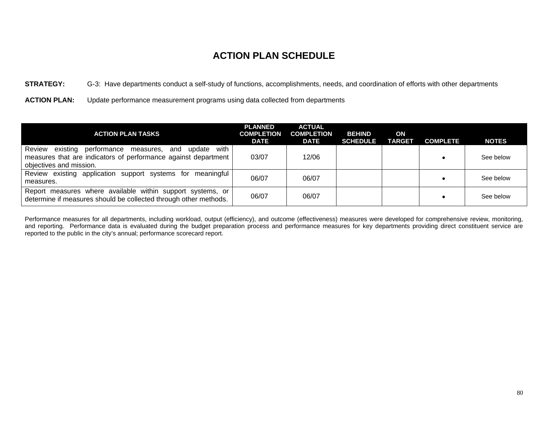**STRATEGY:** G-3: Have departments conduct a self-study of functions, accomplishments, needs, and coordination of efforts with other departments

**ACTION PLAN:** Update performance measurement programs using data collected from departments

| <b>ACTION PLAN TASKS</b>                                                                                                                                            | <b>PLANNED</b><br><b>COMPLETION</b><br><b>DATE</b> | <b>ACTUAL</b><br><b>COMPLETION</b><br>DATE | <b>BEHIND</b><br><b>SCHEDULE</b> | ON<br><b>TARGET</b> | <b>COMPLETE</b> | <b>NOTES</b> |
|---------------------------------------------------------------------------------------------------------------------------------------------------------------------|----------------------------------------------------|--------------------------------------------|----------------------------------|---------------------|-----------------|--------------|
| Review<br>with I<br>existing<br>performance measures,<br>update<br>and<br>measures that are indicators of performance against department<br>objectives and mission. | 03/07                                              | 12/06                                      |                                  |                     |                 | See below    |
| Review existing application support systems for meaningful<br>measures.                                                                                             | 06/07                                              | 06/07                                      |                                  |                     |                 | See below    |
| Report measures where available within support systems, or<br>determine if measures should be collected through other methods.                                      | 06/07                                              | 06/07                                      |                                  |                     |                 | See below    |

Performance measures for all departments, including workload, output (efficiency), and outcome (effectiveness) measures were developed for comprehensive review, monitoring, and reporting. Performance data is evaluated during the budget preparation process and performance measures for key departments providing direct constituent service are reported to the public in the city's annual; performance scorecard report.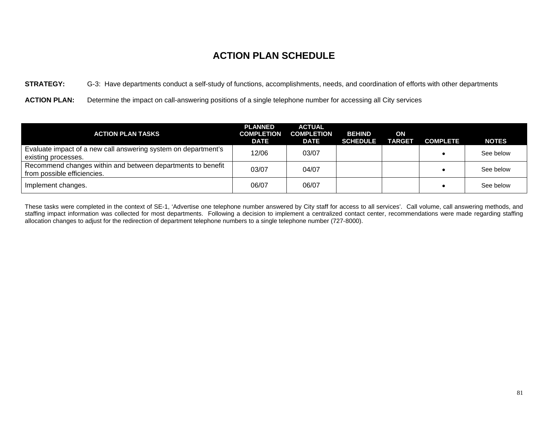**STRATEGY:** G-3: Have departments conduct a self-study of functions, accomplishments, needs, and coordination of efforts with other departments

**ACTION PLAN:** Determine the impact on call-answering positions of a single telephone number for accessing all City services

| <b>ACTION PLAN TASKS</b>                                                                   | <b>PLANNED</b><br><b>COMPLETION</b><br><b>DATE</b> | <b>ACTUAL</b><br><b>COMPLETION</b><br><b>DATE</b> | <b>BEHIND</b><br><b>SCHEDULE</b> | ON<br><b>TARGET</b> | <b>COMPLETE</b> | <b>NOTES</b> |
|--------------------------------------------------------------------------------------------|----------------------------------------------------|---------------------------------------------------|----------------------------------|---------------------|-----------------|--------------|
| Evaluate impact of a new call answering system on department's<br>existing processes.      | 12/06                                              | 03/07                                             |                                  |                     |                 | See below    |
| Recommend changes within and between departments to benefit<br>from possible efficiencies. | 03/07                                              | 04/07                                             |                                  |                     |                 | See below    |
| Implement changes.                                                                         | 06/07                                              | 06/07                                             |                                  |                     |                 | See below    |

These tasks were completed in the context of SE-1, 'Advertise one telephone number answered by City staff for access to all services'. Call volume, call answering methods, and staffing impact information was collected for most departments. Following a decision to implement a centralized contact center, recommendations were made regarding staffing allocation changes to adjust for the redirection of department telephone numbers to a single telephone number (727-8000).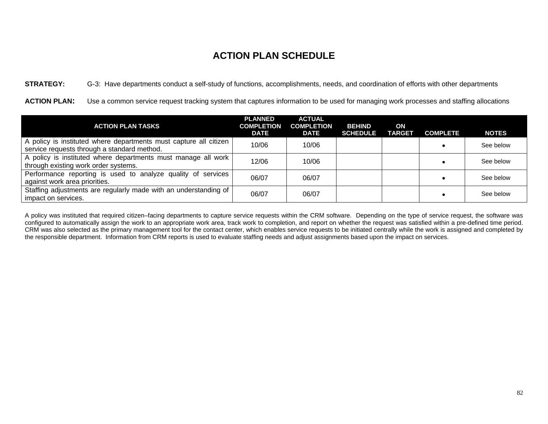**STRATEGY:** G-3: Have departments conduct a self-study of functions, accomplishments, needs, and coordination of efforts with other departments

**ACTION PLAN:** Use a common service request tracking system that captures information to be used for managing work processes and staffing allocations

| <b>ACTION PLAN TASKS</b>                                                                                         | <b>PLANNED</b><br><b>COMPLETION</b><br><b>DATE</b> | <b>ACTUAL</b><br><b>COMPLETION</b><br><b>DATE</b> | <b>BEHIND</b><br><b>SCHEDULE</b> | ON<br><b>TARGET</b> | <b>COMPLETE</b> | <b>NOTES</b> |
|------------------------------------------------------------------------------------------------------------------|----------------------------------------------------|---------------------------------------------------|----------------------------------|---------------------|-----------------|--------------|
| A policy is instituted where departments must capture all citizen<br>service requests through a standard method. | 10/06                                              | 10/06                                             |                                  |                     |                 | See below    |
| A policy is instituted where departments must manage all work<br>through existing work order systems.            | 12/06                                              | 10/06                                             |                                  |                     |                 | See below    |
| Performance reporting is used to analyze quality of services<br>against work area priorities.                    | 06/07                                              | 06/07                                             |                                  |                     |                 | See below    |
| Staffing adjustments are regularly made with an understanding of<br>impact on services.                          | 06/07                                              | 06/07                                             |                                  |                     |                 | See below    |

A policy was instituted that required citizen–facing departments to capture service requests within the CRM software. Depending on the type of service request, the software was configured to automatically assign the work to an appropriate work area, track work to completion, and report on whether the request was satisfied within a pre-defined time period. CRM was also selected as the primary management tool for the contact center, which enables service requests to be initiated centrally while the work is assigned and completed by the responsible department. Information from CRM reports is used to evaluate staffing needs and adjust assignments based upon the impact on services.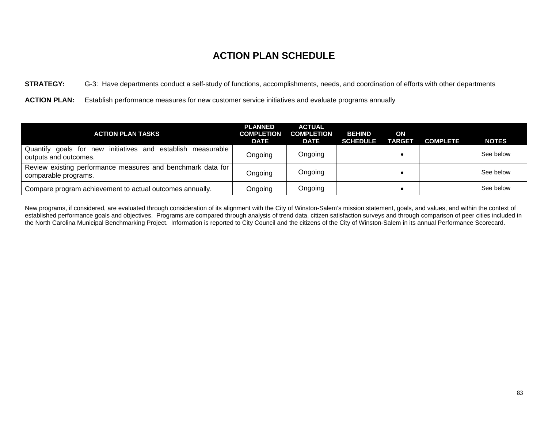**STRATEGY:** G-3: Have departments conduct a self-study of functions, accomplishments, needs, and coordination of efforts with other departments

**ACTION PLAN:** Establish performance measures for new customer service initiatives and evaluate programs annually

| <b>ACTION PLAN TASKS</b>                                                                | <b>PLANNED</b><br><b>COMPLETION</b><br><b>DATE</b> | <b>ACTUAL</b><br><b>COMPLETION</b><br><b>DATE</b> | <b>BEHIND</b><br><b>SCHEDULE</b> | ON<br><b>TARGET</b> | <b>COMPLETE</b> | <b>NOTES</b> |
|-----------------------------------------------------------------------------------------|----------------------------------------------------|---------------------------------------------------|----------------------------------|---------------------|-----------------|--------------|
| goals for new initiatives and establish measurable<br>Quantify<br>outputs and outcomes. | Ongoing                                            | Ongoing                                           |                                  |                     |                 | See below    |
| Review existing performance measures and benchmark data for<br>comparable programs.     | Ongoing                                            | Ongoing                                           |                                  |                     |                 | See below    |
| Compare program achievement to actual outcomes annually.                                | Ongoing                                            | Ongoing                                           |                                  |                     |                 | See below    |

New programs, if considered, are evaluated through consideration of its alignment with the City of Winston-Salem's mission statement, goals, and values, and within the context of established performance goals and objectives. Programs are compared through analysis of trend data, citizen satisfaction surveys and through comparison of peer cities included in the North Carolina Municipal Benchmarking Project. Information is reported to City Council and the citizens of the City of Winston-Salem in its annual Performance Scorecard.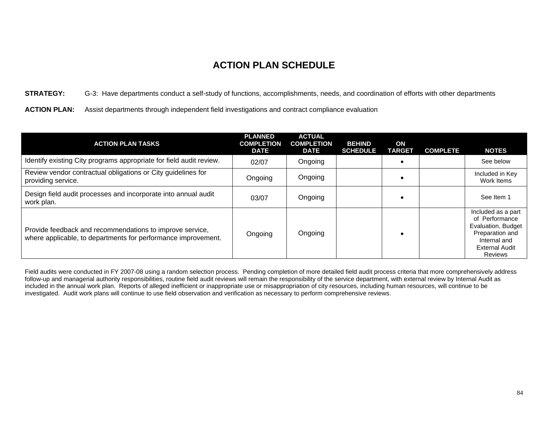**STRATEGY:** G-3: Have departments conduct a self-study of functions, accomplishments, needs, and coordination of efforts with other departments

**ACTION PLAN:** Assist departments through independent field investigations and contract compliance evaluation

| <b>ACTION PLAN TASKS</b>                                                                                                  | <b>PLANNED</b><br><b>COMPLETION</b><br><b>DATE</b> | <b>ACTUAL</b><br><b>COMPLETION</b><br><b>DATE</b> | <b>BEHIND</b><br><b>SCHEDULE</b> | ON<br><b>TARGET</b> | <b>COMPLETE</b> | <b>NOTES</b>                                                                                                                      |
|---------------------------------------------------------------------------------------------------------------------------|----------------------------------------------------|---------------------------------------------------|----------------------------------|---------------------|-----------------|-----------------------------------------------------------------------------------------------------------------------------------|
| Identify existing City programs appropriate for field audit review.                                                       | 02/07                                              | Ongoing                                           |                                  |                     |                 | See below                                                                                                                         |
| Review vendor contractual obligations or City guidelines for<br>providing service.                                        | Ongoing                                            | Ongoing                                           |                                  |                     |                 | Included in Key<br>Work Items                                                                                                     |
| Design field audit processes and incorporate into annual audit<br>work plan.                                              | 03/07                                              | Ongoing                                           |                                  |                     |                 | See Item 1                                                                                                                        |
| Provide feedback and recommendations to improve service,<br>where applicable, to departments for performance improvement. | Ongoing                                            | Ongoing                                           |                                  |                     |                 | Included as a part<br>of Performance<br>Evaluation, Budget<br>Preparation and<br>Internal and<br><b>External Audit</b><br>Reviews |

Field audits were conducted in FY 2007-08 using a random selection process. Pending completion of more detailed field audit process criteria that more comprehensively address follow-up and managerial authority responsibilities, routine field audit reviews will remain the responsibility of the service department, with external review by Internal Audit as included in the annual work plan. Reports of alleged inefficient or inappropriate use or misappropriation of city resources, including human resources, will continue to be investigated. Audit work plans will continue to use field observation and verification as necessary to perform comprehensive reviews.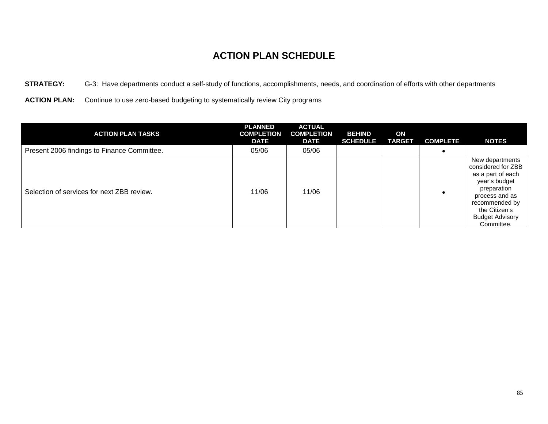**STRATEGY:** G-3: Have departments conduct a self-study of functions, accomplishments, needs, and coordination of efforts with other departments

**ACTION PLAN:** Continue to use zero-based budgeting to systematically review City programs

| <b>ACTION PLAN TASKS</b>                    | <b>PLANNED</b><br><b>COMPLETION</b><br><b>DATE</b> | <b>ACTUAL</b><br><b>COMPLETION</b><br><b>DATE</b> | <b>BEHIND</b><br><b>SCHEDULE</b> | ON<br><b>TARGET</b> | <b>COMPLETE</b> | <b>NOTES</b>                                                                                                                                                                            |
|---------------------------------------------|----------------------------------------------------|---------------------------------------------------|----------------------------------|---------------------|-----------------|-----------------------------------------------------------------------------------------------------------------------------------------------------------------------------------------|
| Present 2006 findings to Finance Committee. | 05/06                                              | 05/06                                             |                                  |                     |                 |                                                                                                                                                                                         |
| Selection of services for next ZBB review.  | 11/06                                              | 11/06                                             |                                  |                     |                 | New departments<br>considered for ZBB<br>as a part of each<br>year's budget<br>preparation<br>process and as<br>recommended by<br>the Citizen's<br><b>Budget Advisory</b><br>Committee. |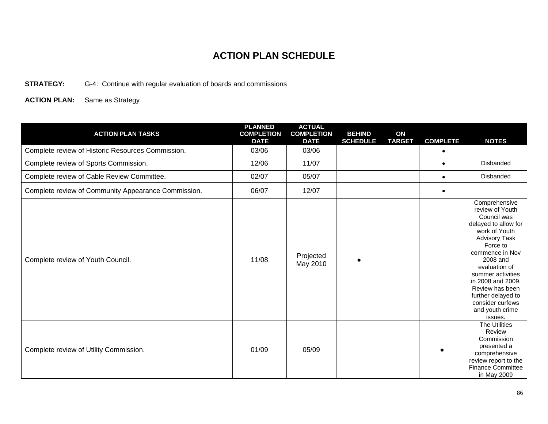**STRATEGY:** G-4: Continue with regular evaluation of boards and commissions

| <b>ACTION PLAN TASKS</b>                            | <b>PLANNED</b><br><b>COMPLETION</b><br><b>DATE</b> | <b>ACTUAL</b><br><b>COMPLETION</b><br><b>DATE</b> | <b>BEHIND</b><br><b>SCHEDULE</b> | ON<br><b>TARGET</b> | <b>COMPLETE</b> | <b>NOTES</b>                                                                                                                                                                                                                                                                                                      |
|-----------------------------------------------------|----------------------------------------------------|---------------------------------------------------|----------------------------------|---------------------|-----------------|-------------------------------------------------------------------------------------------------------------------------------------------------------------------------------------------------------------------------------------------------------------------------------------------------------------------|
| Complete review of Historic Resources Commission.   | 03/06                                              | 03/06                                             |                                  |                     | $\bullet$       |                                                                                                                                                                                                                                                                                                                   |
| Complete review of Sports Commission.               | 12/06                                              | 11/07                                             |                                  |                     | $\bullet$       | Disbanded                                                                                                                                                                                                                                                                                                         |
| Complete review of Cable Review Committee.          | 02/07                                              | 05/07                                             |                                  |                     | $\bullet$       | Disbanded                                                                                                                                                                                                                                                                                                         |
| Complete review of Community Appearance Commission. | 06/07                                              | 12/07                                             |                                  |                     | $\bullet$       |                                                                                                                                                                                                                                                                                                                   |
| Complete review of Youth Council.                   | 11/08                                              | Projected<br>May 2010                             |                                  |                     |                 | Comprehensive<br>review of Youth<br>Council was<br>delayed to allow for<br>work of Youth<br><b>Advisory Task</b><br>Force to<br>commence in Nov<br>2008 and<br>evaluation of<br>summer activities<br>in 2008 and 2009.<br>Review has been<br>further delayed to<br>consider curfews<br>and youth crime<br>issues. |
| Complete review of Utility Commission.              | 01/09                                              | 05/09                                             |                                  |                     |                 | <b>The Utilities</b><br>Review<br>Commission<br>presented a<br>comprehensive<br>review report to the<br><b>Finance Committee</b><br>in May 2009                                                                                                                                                                   |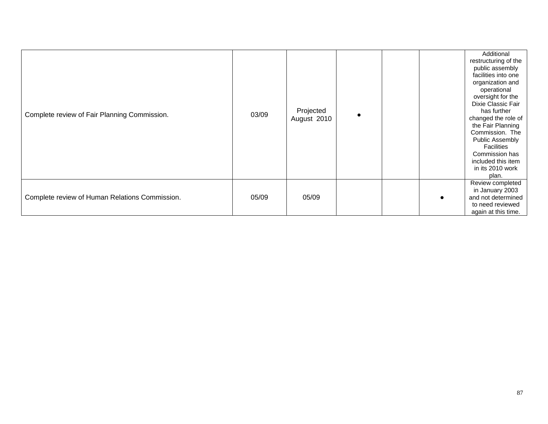| Complete review of Fair Planning Commission.   | 03/09 | Projected<br>August 2010 |  | Additional<br>restructuring of the<br>public assembly<br>facilities into one<br>organization and<br>operational<br>oversight for the<br>Dixie Classic Fair<br>has further<br>changed the role of<br>the Fair Planning<br>Commission. The<br>Public Assembly<br><b>Facilities</b><br>Commission has<br>included this item<br>in its 2010 work<br>plan. |
|------------------------------------------------|-------|--------------------------|--|-------------------------------------------------------------------------------------------------------------------------------------------------------------------------------------------------------------------------------------------------------------------------------------------------------------------------------------------------------|
| Complete review of Human Relations Commission. | 05/09 | 05/09                    |  | Review completed<br>in January 2003<br>and not determined<br>to need reviewed<br>again at this time.                                                                                                                                                                                                                                                  |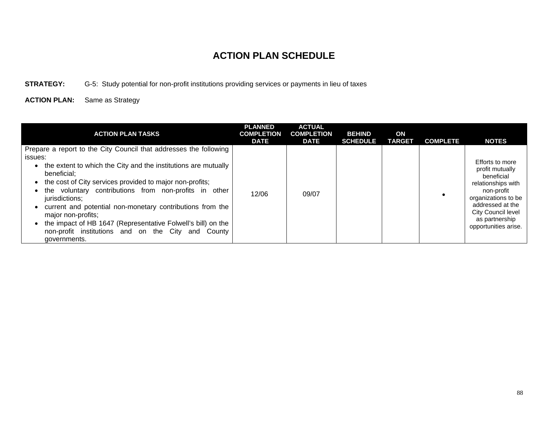**STRATEGY:** G-5: Study potential for non-profit institutions providing services or payments in lieu of taxes

| <b>ACTION PLAN TASKS</b>                                                                                                                                                                                                                                                                                                                                                                                                                                                                                                      | <b>PLANNED</b><br><b>COMPLETION</b><br><b>DATE</b> | <b>ACTUAL</b><br><b>COMPLETION</b><br><b>DATE</b> | <b>BEHIND</b><br><b>SCHEDULE</b> | ON<br><b>TARGET</b> | <b>COMPLETE</b> | <b>NOTES</b>                                                                                                                                                                                    |
|-------------------------------------------------------------------------------------------------------------------------------------------------------------------------------------------------------------------------------------------------------------------------------------------------------------------------------------------------------------------------------------------------------------------------------------------------------------------------------------------------------------------------------|----------------------------------------------------|---------------------------------------------------|----------------------------------|---------------------|-----------------|-------------------------------------------------------------------------------------------------------------------------------------------------------------------------------------------------|
| Prepare a report to the City Council that addresses the following<br>issues:<br>the extent to which the City and the institutions are mutually<br>beneficial:<br>the cost of City services provided to major non-profits;<br>the voluntary contributions from non-profits in other<br>jurisdictions;<br>current and potential non-monetary contributions from the<br>major non-profits;<br>the impact of HB 1647 (Representative Folwell's bill) on the<br>non-profit institutions and on the City and County<br>governments. | 12/06                                              | 09/07                                             |                                  |                     |                 | Efforts to more<br>profit mutually<br>beneficial<br>relationships with<br>non-profit<br>organizations to be<br>addressed at the<br>City Council level<br>as partnership<br>opportunities arise. |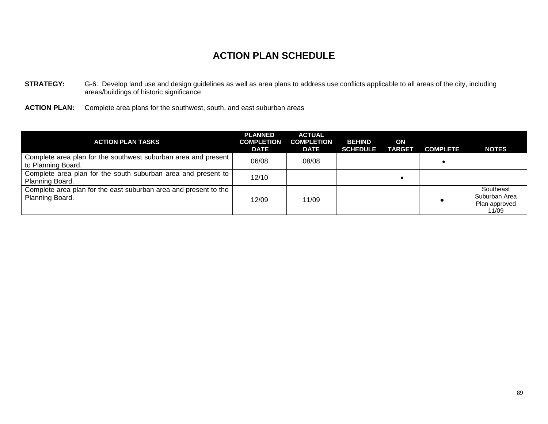- **STRATEGY:** G-6: Develop land use and design guidelines as well as area plans to address use conflicts applicable to all areas of the city, including areas/buildings of historic significance
- **ACTION PLAN:** Complete area plans for the southwest, south, and east suburban areas

| <b>ACTION PLAN TASKS</b>                                                             | <b>PLANNED</b><br><b>COMPLETION</b><br><b>DATE</b> | <b>ACTUAL</b><br><b>COMPLETION</b><br><b>DATE</b> | <b>BEHIND</b><br><b>SCHEDULE</b> | ON<br><b>TARGET</b> | <b>COMPLETE</b> | <b>NOTES</b>                                         |
|--------------------------------------------------------------------------------------|----------------------------------------------------|---------------------------------------------------|----------------------------------|---------------------|-----------------|------------------------------------------------------|
| Complete area plan for the southwest suburban area and present<br>to Planning Board. | 06/08                                              | 08/08                                             |                                  |                     |                 |                                                      |
| Complete area plan for the south suburban area and present to<br>Planning Board.     | 12/10                                              |                                                   |                                  |                     |                 |                                                      |
| Complete area plan for the east suburban area and present to the<br>Planning Board.  | 12/09                                              | 11/09                                             |                                  |                     |                 | Southeast<br>Suburban Area<br>Plan approved<br>11/09 |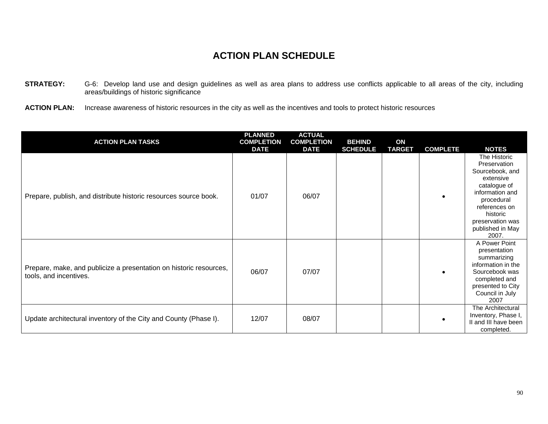- **STRATEGY:** G-6: Develop land use and design guidelines as well as area plans to address use conflicts applicable to all areas of the city, including areas/buildings of historic significance
- **ACTION PLAN:** Increase awareness of historic resources in the city as well as the incentives and tools to protect historic resources

| <b>ACTION PLAN TASKS</b>                                                                     | <b>PLANNED</b><br><b>COMPLETION</b><br><b>DATE</b> | <b>ACTUAL</b><br><b>COMPLETION</b><br><b>DATE</b> | <b>BEHIND</b><br><b>SCHEDULE</b> | ON<br><b>TARGET</b> | <b>COMPLETE</b> | <b>NOTES</b>                                                                                                                                                                                |
|----------------------------------------------------------------------------------------------|----------------------------------------------------|---------------------------------------------------|----------------------------------|---------------------|-----------------|---------------------------------------------------------------------------------------------------------------------------------------------------------------------------------------------|
| Prepare, publish, and distribute historic resources source book.                             | 01/07                                              | 06/07                                             |                                  |                     |                 | The Historic<br>Preservation<br>Sourcebook, and<br>extensive<br>catalogue of<br>information and<br>procedural<br>references on<br>historic<br>preservation was<br>published in May<br>2007. |
| Prepare, make, and publicize a presentation on historic resources,<br>tools, and incentives. | 06/07                                              | 07/07                                             |                                  |                     |                 | A Power Point<br>presentation<br>summarizing<br>information in the<br>Sourcebook was<br>completed and<br>presented to City<br>Council in July<br>2007                                       |
| Update architectural inventory of the City and County (Phase I).                             | 12/07                                              | 08/07                                             |                                  |                     |                 | The Architectural<br>Inventory, Phase I,<br>II and III have been<br>completed.                                                                                                              |